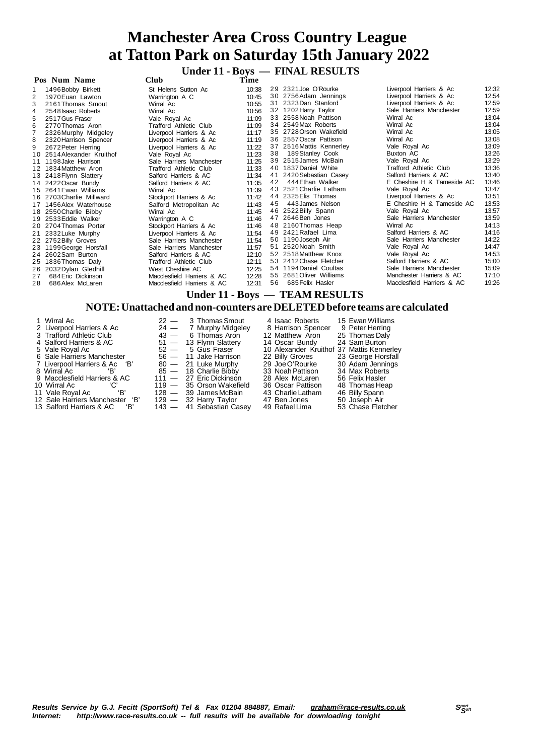**Under 11 - Boys — FINAL RESULTS**

| Pos Num Name   |                            | Club                          | Time  |    |                          |                               |       |
|----------------|----------------------------|-------------------------------|-------|----|--------------------------|-------------------------------|-------|
|                | 1496 Bobby Birkett         | St Helens Sutton Ac           | 10:38 |    | 29 2321 Joe O'Rourke     | Liverpool Harriers & Ac       | 12:32 |
| $\overline{2}$ | 1970 Euan Lawton           | Warrington A C                | 10:45 |    | 30 2756 Adam Jennings    | Liverpool Harriers & Ac       | 12:54 |
| 3              | 2161 Thomas Smout          | Wirral Ac                     | 10:55 |    | 31 2323Dan Stanford      | Liverpool Harriers & Ac       | 12:59 |
|                | 2548 Isaac Roberts         | Wirral Ac                     | 10:56 |    | 32 1202 Harry Taylor     | Sale Harriers Manchester      | 12:59 |
| 5              | 2517 Gus Fraser            | Vale Royal Ac                 | 11:09 |    | 33 2558 Noah Pattison    | Wirral Ac                     | 13:04 |
| 6              | 2770Thomas Aron            | Trafford Athletic Club        | 11:09 |    | 34 2549 Max Roberts      | Wirral Ac                     | 13:04 |
|                | 2326 Murphy Midgeley       | Liverpool Harriers & Ac       | 11:17 |    | 35 2728 Orson Wakefield  | Wirral Ac                     | 13:05 |
| 8              | 2320 Harrison Spencer      | Liverpool Harriers & Ac       | 11:19 |    | 36 2557 Oscar Pattison   | Wirral Ac                     | 13:08 |
| 9              | 2672 Peter Herring         | Liverpool Harriers & Ac       | 11:22 |    | 37 2516 Mattis Kennerley | Vale Royal Ac                 | 13:09 |
|                | 10 2514 Alexander Kruithof | Vale Royal Ac                 | 11:23 | 38 | 189Stanley Cook          | Buxton AC                     | 13:26 |
| 11             | 1198 Jake Harrison         | Sale Harriers Manchester      | 11:25 |    | 39 2515 James McBain     | Vale Royal Ac                 | 13:29 |
| 12             | 1834 Matthew Aron          | <b>Trafford Athletic Club</b> | 11:33 |    | 40 1837 Daniel White     | <b>Trafford Athletic Club</b> | 13:36 |
|                | 13 2418 Flynn Slattery     | Salford Harriers & AC         | 11:34 |    | 41 2420 Sebastian Casey  | Salford Harriers & AC         | 13:40 |
|                | 14 2422 Oscar Bundy        | Salford Harriers & AC         | 11:35 | 42 | 444 Ethan Walker         | E Cheshire H & Tameside AC    | 13:46 |
|                | 15 2641 Ewan Williams      | Wirral Ac                     | 11:39 |    | 43 2521 Charlie Latham   | Vale Royal Ac                 | 13:47 |
|                | 16 2703 Charlie Millward   | Stockport Harriers & Ac       | 11:42 |    | 44 2325 Elis Thomas      | Liverpool Harriers & Ac       | 13:51 |
|                | 17 1456 Alex Waterhouse    | Salford Metropolitan Ac       | 11:43 | 45 | 443 James Nelson         | E Cheshire H & Tameside AC    | 13:53 |
|                | 18 2550 Charlie Bibby      | Wirral Ac                     | 11:45 |    | 46 2522 Billy Spann      | Vale Royal Ac                 | 13:57 |
|                | 19 2533 Eddie Walker       | Warrington A C                | 11:46 |    | 47 2646 Ben Jones        | Sale Harriers Manchester      | 13:59 |
|                | 20 2704 Thomas Porter      | Stockport Harriers & Ac       | 11:46 |    | 48 2160 Thomas Heap      | Wirral Ac                     | 14:13 |
|                | 21 2332 Luke Murphy        | Liverpool Harriers & Ac       | 11:54 |    | 49 2421 Rafael Lima      | Salford Harriers & AC         | 14:16 |
|                | 22 2752 Billy Groves       | Sale Harriers Manchester      | 11:54 |    | 50 1190 Joseph Air       | Sale Harriers Manchester      | 14:22 |
|                | 23 1199 George Horsfall    | Sale Harriers Manchester      | 11:57 |    | 51 2520 Noah Smith       | Vale Royal Ac                 | 14:47 |
|                | 24 2602 Sam Burton         | Salford Harriers & AC         | 12:10 |    | 52 2518 Matthew Knox     | Vale Royal Ac                 | 14:53 |
|                | 25 1836 Thomas Daly        | <b>Trafford Athletic Club</b> | 12:11 |    | 53 2412 Chase Fletcher   | Salford Harriers & AC         | 15:00 |
|                | 26 2032 Dylan Gledhill     | West Cheshire AC              | 12:25 |    | 54 1194 Daniel Coultas   | Sale Harriers Manchester      | 15:09 |
| 27             | 684 Eric Dickinson         | Macclesfield Harriers & AC    | 12:28 |    | 55 2681 Oliver Williams  | Manchester Harriers & AC      | 17:10 |
| 28             | 686 Alex McLaren           | Macclesfield Harriers & AC    | 12:31 | 56 | 685 Felix Hasler         | Macclesfield Harriers & AC    | 19:26 |
|                |                            |                               |       |    |                          |                               |       |

**Under 11 - Boys — TEAM RESULTS**

#### **NOTE:Unattached and non-counters are DELETEDbefore teams are calculated**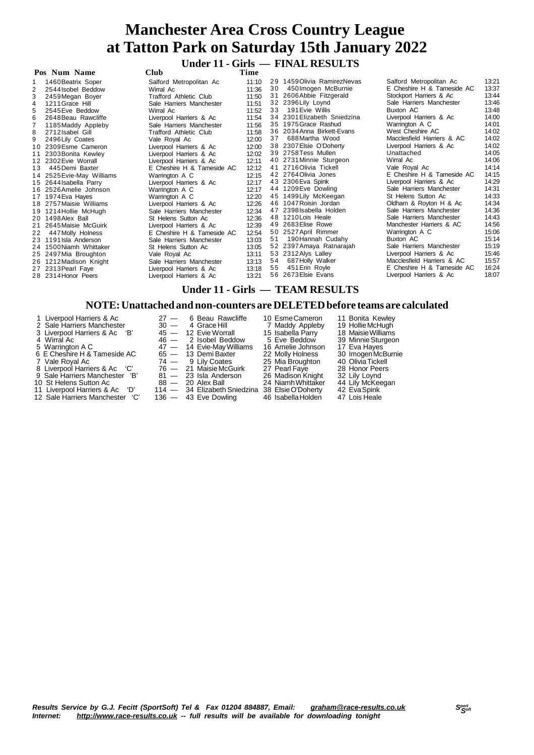**Under 11 - Girls — FINAL RESULTS**

|    | Pos Num Name              | <b>Club</b>                | Time           |    |                              |                            |       |
|----|---------------------------|----------------------------|----------------|----|------------------------------|----------------------------|-------|
|    | 1460 Beatrix Soper        | Salford Metropolitan Ac    | 11:10          |    | 29 1459 Olivia Ramirez Nevas | Salford Metropolitan Ac    | 13:21 |
|    | 2544 Isobel Beddow        | Wirral Ac                  | 11:36          | 30 | 450 Imogen McBurnie          | E Cheshire H & Tameside AC | 13:37 |
| 3  | 2459Megan Boyer           | Trafford Athletic Club     | 11:50          |    | 31 2606 Abbie Fitzgerald     | Stockport Harriers & Ac    | 13:44 |
| 4  | 1211 Grace Hill           | Sale Harriers Manchester   | 11:51          |    | 32 2396 Lily Loynd           | Sale Harriers Manchester   | 13:46 |
| 5  | 2545 Eve Beddow           | Wirral Ac                  | 11:52          | 33 | 191 Evie Willis              | Buxton AC                  | 13:48 |
| 6  | 2648 Beau Rawcliffe       | Liverpool Harriers & Ac    | 11:54          |    | 34 2301 Elizabeth Sniedzina  | Liverpool Harriers & Ac    | 14:00 |
|    | 1185 Maddy Appleby        | Sale Harriers Manchester   | 11:56          |    | 35 1975 Grace Rashud         | Warrington A C             | 14:01 |
| 8  | 2712 Isabel Gill          | Trafford Athletic Club     | 11:58          |    | 36 2034 Anna Birkett-Evans   | West Cheshire AC           | 14:02 |
| 9  | 2496 Lily Coates          | Vale Royal Ac              | 12:00          | 37 | 688 Martha Wood              | Macclesfield Harriers & AC | 14:02 |
|    | 10 2309 Esme Cameron      | Liverpool Harriers & Ac    | 12:00          |    | 38 2307 Elsie O'Doherty      | Liverpool Harriers & Ac    | 14:02 |
|    | 2303 Bonita Kewley        | Liverpool Harriers & Ac    | 12:02          |    | 39 2758 Tess Mullen          | Unattached                 | 14:05 |
|    | 12 2302 Evie Worrall      | Liverpool Harriers & Ac    | 12:11          |    | 40 2731 Minnie Sturgeon      | Wirral Ac                  | 14:06 |
| 13 | 445 Demi Baxter           | E Cheshire H & Tameside AC | 12:12          |    | 41 2716 Olivia Tickell       | Vale Royal Ac              | 14:14 |
|    | 14 2525 Evie-May Williams | Warrington A C             | 12:15          |    | 42 2764 Olivia Jones         | E Cheshire H & Tameside AC | 14:15 |
|    | 15 2644 Isabella Parry    | Liverpool Harriers & Ac    | 12:17          |    | 43 2306 Eva Spink            | Liverpool Harriers & Ac    | 14:29 |
|    | 16 2526 Amelie Johnson    | Warrington A C             | 12:17          |    | 44 1209Eve Dowling           | Sale Harriers Manchester   | 14:31 |
|    | 17 1974 Eva Hayes         | Warrington A C             | 12:20          |    | 45 1499 Lily McKeegan        | St Helens Sutton Ac        | 14:33 |
|    | 18 2757 Maisie Williams   | Liverpool Harriers & Ac    | 12:26          |    | 46 1047 Roisin Jordan        | Oldham & Royton H & Ac     | 14:34 |
|    | 19 1214 Hollie McHugh     | Sale Harriers Manchester   | 12:34          |    | 47 2398 Isabella Holden      | Sale Harriers Manchester   | 14:36 |
|    | 20 1498 Alex Ball         | St Helens Sutton Ac        | 12:36          |    | 48 1210 Lois Heale           | Sale Harriers Manchester   | 14:43 |
|    | 21 2645 Maisie McGuirk    | Liverpool Harriers & Ac    | 12:39          |    | 49 2683 Elise Rowe           | Manchester Harriers & AC   | 14:56 |
| 22 | 447 Molly Holness         | E Cheshire H & Tameside AC | 12:54          |    | 50 2527 April Rimmer         | Warrington A C             | 15:06 |
|    | 23 1191 Isla Anderson     | Sale Harriers Manchester   | 13:03          | 51 | 190 Hannah Cudahy            | Buxton AC                  | 15:14 |
|    | 24 1500 Niamh Whittaker   | St Helens Sutton Ac        | 13:05          |    | 52 2397 Amaya Ratnarajah     | Sale Harriers Manchester   | 15:19 |
|    | 25 2497 Mia Broughton     | Vale Royal Ac              | 13:11          |    | 53 2312 Alys Lalley          | Liverpool Harriers & Ac    | 15:46 |
|    | 26 1212 Madison Knight    | Sale Harriers Manchester   | 13:13          | 54 | 687 Holly Walker             | Macclesfield Harriers & AC | 15:57 |
|    | 27 2313 Pearl Faye        | Liverpool Harriers & Ac    | 13:18          | 55 | 451 Erin Royle               | E Cheshire H & Tameside AC | 16:24 |
|    | 28 2314 Honor Peers       | Liverpool Harriers & Ac    | 13:21          |    | 56 2673 Elsie Evans          | Liverpool Harriers & Ac    | 18:07 |
|    |                           | $I_{\text{badon}}$ 11      | $\bigcap$ inle |    | <b>TE AM DECHI TC</b>        |                            |       |

### **Under 11 - Girls — TEAM RESULTS**

#### **NOTE:Unattached and non-counters are DELETEDbefore teams are calculated**

- 1 Liverpool Harriers & Ac 27 6 Beau Rawcliffe 10 EsmeCameron 11 Bonita Kewley Sale Harriers Manchester 30 4 Grace Hill 7 Maddy Appleby 19 HollieMcHugh
- 
- 
- 
- 
- 
- 
- 
- 
- 12 Sale Harriers Manchester 'C'
- Liverpool Harriers & Ac 'B' 45 12 Evie Worrall 15 Isabella Parry 18 MaisieWilliams 4 Wirral Ac 46  $-$  2 Isobel Beddow 5 Eve Beddow 39 Minnie Sturgeon 5 Warrington A C  $\begin{array}{cccc} 47 & - & 14 & \text{Evie-May Williams} & 16 & \text{Amelle Johnson} & 17 & \text{Eva Hayes} \\ 6 & \text{E Cheshire H & Tameside AC} & 65 & - & 13 & \text{Demi Baxter} & 22 & \text{Molly Holmes} & 30 & \text{Imogen McBurnie} \\ 7 & \text{Vale Royal Ac} & 74 & - & 9 & \text{Lily Coates} & 25 & \text{Mia Broughton} & 40 & \text{Olivia Tickell} \\ 8 & \text{Liverpool Harrises & Ac} & \text{C'} & 76 & -$  E Cheshire H & Tameside AC 65 — 13 Demi Baxter 22 Molly Holness 30 ImogenMcBurnie Vale Royal Ac 74 — 9 Lily Coates 25 Mia Broughton 40 OliviaTickell 8 Liverpool Harriers & Ac 'C' 76 — 21 MaisieMcGuirk 27 Pearl Faye 28 Honor Peers Sale Harriers Manchester 'B' 81 — 23 Isla Anderson 26 Madison Knight 32 Lily Loynd St Helens Sutton Ac 88 — 20 Alex Ball 24 NiamhWhittaker 44 Lily McKeegan
	-
	-

11 Discreptor Trainings Manchester 'B' 114 — 23 Isla Anderson<br>11 St Helens Sutton Ac 28 - 20 Alex Ball 24 Niamh Whittaker 44 Lily McKeegan<br>11 Liverpool Harriers & Ac 'D' 114 — 34 Elizabeth Sniedzina 38 Elsie O'Doherty 42 E

- Results Service by G.J. Fecitt (SportSoft) Tel & Fax 01204 884887, Email: [graham@race-results.co.uk](mailto:graham@race-results.co.uk)<br>Internet: http://www.race-results.co.uk -- full results will be available for downloading topight *Internet: <http://www.race-results.co.uk> -- full results will be available for downloading tonight*
	-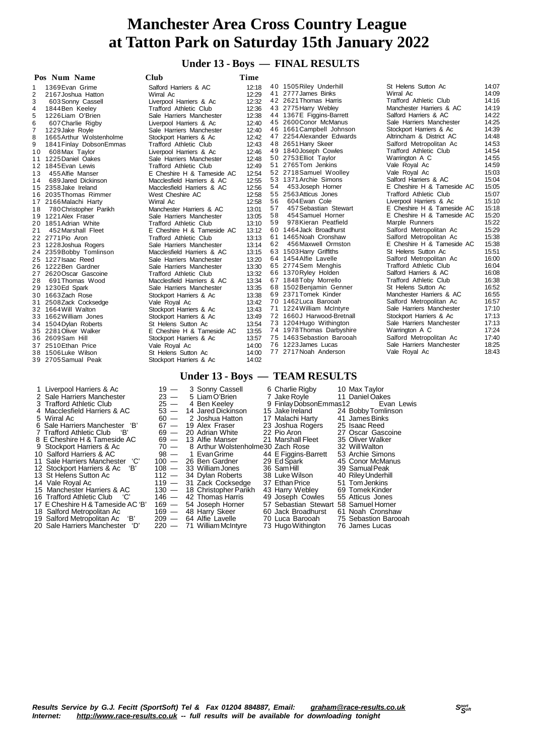### **Under 13 - Boys — FINAL RESULTS**

|                | Pos Num Name             | <b>Club</b>                   | Time  |    |                                |                               |       |
|----------------|--------------------------|-------------------------------|-------|----|--------------------------------|-------------------------------|-------|
| 1              | 1369 Evan Grime          | Salford Harriers & AC         | 12:18 |    | 40 1505 Riley Underhill        | St Helens Sutton Ac           | 14:07 |
| 2              | 2167 Joshua Hatton       | Wirral Ac                     | 12:29 |    | 41 2777 James Binks            | Wirral Ac                     | 14:09 |
| 3              | 603 Sonny Cassell        | Liverpool Harriers & Ac       | 12:32 |    | 42 2621 Thomas Harris          | <b>Trafford Athletic Club</b> | 14:16 |
| 4              | 1844 Ben Keeley          | <b>Trafford Athletic Club</b> | 12:36 |    | 43 2775 Harry Webley           | Manchester Harriers & AC      | 14:19 |
| 5              | 1226 Liam O'Brien        | Sale Harriers Manchester      | 12:38 |    | 44 1367E Figgins-Barrett       | Salford Harriers & AC         | 14:22 |
| 6              | 607 Charlie Rigby        | Liverpool Harriers & Ac       | 12:40 |    | 45 2600 Conor McManus          | Sale Harriers Manchester      | 14:25 |
| $\overline{7}$ | 1229 Jake Royle          | Sale Harriers Manchester      | 12:40 |    | 46 1661 Campbell Johnson       | Stockport Harriers & Ac       | 14:39 |
| 8              | 1665 Arthur Wolstenholme | Stockport Harriers & Ac       | 12:42 |    | 47 2254 Alexander Edwards      | Altrincham & District AC      | 14:48 |
| 9              | 1841 Finlay Dobson Emmas | Trafford Athletic Club        | 12:43 |    | 48 2651 Harry Skeer            | Salford Metropolitan Ac       | 14:53 |
| 10             | 608 Max Taylor           | Liverpool Harriers & Ac       | 12:46 |    | 49 1840 Joseph Cowles          | <b>Trafford Athletic Club</b> | 14:54 |
|                | 11 1225 Daniel Oakes     | Sale Harriers Manchester      | 12:48 |    | 50 2753 Elliot Taylor          | Warrington A C                | 14:55 |
|                | 12 1845 Evan Lewis       | <b>Trafford Athletic Club</b> | 12:49 |    | 51 2765 Tom Jenkins            | Vale Royal Ac                 | 14:59 |
| 13             | 455 Alfie Manser         | E Cheshire H & Tameside AC    | 12:54 |    | 52 2718 Samuel Woolley         | Vale Royal Ac                 | 15:03 |
| 14             | 689 Jared Dickinson      | Macclesfield Harriers & AC    | 12:55 |    | 53 1371 Archie Simons          | Salford Harriers & AC         | 15:04 |
|                | 15 2358 Jake Ireland     | Macclesfield Harriers & AC    | 12:56 | 54 | 453 Joseph Horner              | E Cheshire H & Tameside AC    | 15:05 |
| 16             | 2035 Thomas Rimmer       | West Cheshire AC              | 12:58 |    | 55 2563 Atticus Jones          | Trafford Athletic Club        | 15:07 |
|                | 17 2166 Malachi Harty    | Wirral Ac                     | 12:58 | 56 | 604 Ewan Cole                  | Liverpool Harriers & Ac       | 15:10 |
| 18             | 780 Christopher Parikh   | Manchester Harriers & AC      | 13:01 | 57 | 457 Sebastian Stewart          | E Cheshire H & Tameside AC    | 15:18 |
|                | 19 1221 Alex Fraser      | Sale Harriers Manchester      | 13:05 | 58 | 454 Samuel Horner              | E Cheshire H & Tameside AC    | 15:20 |
|                | 20 1851 Adrian White     | Trafford Athletic Club        | 13:10 | 59 | 978 Kieran Peatfield           | Marple Runners                | 15:22 |
| 21             | 452 Marshall Fleet       | E Cheshire H & Tameside AC    | 13:12 |    | 60 1464 Jack Broadhurst        | Salford Metropolitan Ac       | 15:29 |
|                | 22 2771 Pio Aron         | Trafford Athletic Club        | 13:13 |    | 61 1465 Noah Cronshaw          | Salford Metropolitan Ac       | 15:38 |
|                | 23 1228 Joshua Rogers    | Sale Harriers Manchester      | 13:14 | 62 | 456 Maxwell Ormston            | E Cheshire H & Tameside AC    | 15:38 |
|                | 24 2359 Bobby Tomlinson  | Macclesfield Harriers & AC    | 13:15 |    | 63 1503 Harry Griffiths        | St Helens Sutton Ac           | 15:51 |
|                | 25 1227 Isaac Reed       | Sale Harriers Manchester      | 13:20 |    | 64 1454 Alfie Lavelle          | Salford Metropolitan Ac       | 16:00 |
|                | 26 1222 Ben Gardner      | Sale Harriers Manchester      | 13:30 |    | 65 2774 Sem Menghis            | <b>Trafford Athletic Club</b> | 16:04 |
|                | 27 2620 Oscar Gascoine   | Trafford Athletic Club        | 13:32 |    | 66 1370 Ryley Holden           | Salford Harriers & AC         | 16:08 |
| 28             | 691 Thomas Wood          | Macclesfield Harriers & AC    | 13:34 |    | 67 1848 Toby Morrello          | Trafford Athletic Club        | 16:38 |
|                | 29 1230 Ed Spark         | Sale Harriers Manchester      | 13:35 |    | 68 1502 Benjamin Genner        | St Helens Sutton Ac           | 16:52 |
|                | 30 1663Zach Rose         | Stockport Harriers & Ac       | 13:38 |    | 69 2371 Tomek Kinder           | Manchester Harriers & AC      | 16:55 |
|                | 31 2508 Zack Cocksedge   | Vale Royal Ac                 | 13:42 |    | 70 1462 Luca Barooah           | Salford Metropolitan Ac       | 16:57 |
|                | 32 1664 Will Walton      | Stockport Harriers & Ac       | 13:43 |    | 71 1224 William McIntyre       | Sale Harriers Manchester      | 17:10 |
|                | 33 1662 William Jones    | Stockport Harriers & Ac       | 13:49 |    | 72 1660J Harwood-Bretnall      | Stockport Harriers & Ac       | 17:13 |
|                | 34 1504 Dylan Roberts    | St Helens Sutton Ac           | 13:54 |    | 73 1204 Hugo Withington        | Sale Harriers Manchester      | 17:13 |
|                | 35 2281 Oliver Walker    | E Cheshire H & Tameside AC    | 13:55 |    | 74 1978 Thomas Darbyshire      | Warrington A C                | 17:24 |
|                | 36 2609Sam Hill          | Stockport Harriers & Ac       | 13:57 |    | 75 1463 Sebastion Barooah      | Salford Metropolitan Ac       | 17:40 |
|                | 37 2510 Ethan Price      | Vale Royal Ac                 | 14:00 |    | 76 1223 James Lucas            | Sale Harriers Manchester      | 18:25 |
|                | 38 1506 Luke Wilson      | St Helens Sutton Ac           | 14:00 |    | 77 2717 Noah Anderson          | Vale Royal Ac                 | 18:43 |
|                | 39 2705 Samual Peak      | Stockport Harriers & Ac       | 14:02 |    |                                |                               |       |
|                |                          |                               |       |    | Under 13 - Boys — TEAM RESULTS |                               |       |

| 1 Liverpool Harriers & Ac         |        | 19 - 3 Sonny Cassell                    | 6 Charlie Rigby                       | 10 Max Taylor        |
|-----------------------------------|--------|-----------------------------------------|---------------------------------------|----------------------|
| 2 Sale Harriers Manchester        | $23 -$ | 5 Liam O'Brien                          | 7 Jake Royle                          | 11 Daniel Oakes      |
| 3 Trafford Athletic Club          | $25 -$ | 4 Ben Keeley                            | 9 Finlay DobsonEmmas12                | Evan Lewis           |
| 4 Macclesfield Harriers & AC      | $53 -$ | 14 Jared Dickinson                      | 15 Jake Ireland                       | 24 Bobby Tomlinson   |
| 5 Wirral Ac                       | $60 -$ | 2 Joshua Hatton                         | 17 Malachi Harty                      | 41 James Binks       |
| 6 Sale Harriers Manchester 'B'    |        | $67 - 19$ Alex Fraser                   | 23 Joshua Rogers                      | 25 Isaac Reed        |
| 7 Trafford Athletic Club 'B'      | $69 -$ | 20 Adrian White                         | 22 Pio Aron                           | 27 Oscar Gascoine    |
| 8 E Cheshire H & Tameside AC      |        | $69 - 13$ Alfie Manser                  | 21 Marshall Fleet                     | 35 Oliver Walker     |
| 9 Stockport Harriers & Ac         |        | 70 - 8 Arthur Wolstenholme 30 Zach Rose |                                       | 32 Will Walton       |
| 10 Salford Harriers & AC          |        | 98 - 1 Evan Grime                       | 44 E Figgins-Barrett                  | 53 Archie Simons     |
| 11 Sale Harriers Manchester 'C'   |        | $100 - 26$ Ben Gardner                  | 29 Ed Spark                           | 45 Conor McManus     |
| 12 Stockport Harriers & Ac<br>ʻB' |        | 108 - 33 William Jones                  | 36 SamHill                            | 39 Samual Peak       |
| 13 St Helens Sutton Ac            |        | $112 - 34$ Dylan Roberts                | 38 Luke Wilson                        | 40 Riley Underhill   |
| 14 Vale Royal Ac                  |        | 119 - 31 Zack Cocksedge                 | 37 Ethan Price                        | 51 Tom Jenkins       |
| 15 Manchester Harriers & AC       |        | 130 - 18 Christopher Parikh             | 43 Harry Webley                       | 69 Tomek Kinder      |
| 16 Trafford Athletic Club<br>C'   | 146 —  | 42 Thomas Harris                        | 49 Joseph Cowles                      | 55 Atticus Jones     |
| 17 E Cheshire H & Tameside AC 'B' |        | 169 - 54 Joseph Horner                  | 57 Sebastian Stewart 58 Samuel Horner |                      |
| 18 Salford Metropolitan Ac        |        | 169 - 48 Harry Skeer                    | 60 Jack Broadhurst                    | 61 Noah Cronshaw     |
| 19 Salford Metropolitan Ac 'R'    |        | alleve I and Alfree I avely             | 70 Luca Barooah.                      | 75 Sebastion Barooab |

- 20 Sale Harriers Manchester 'D'
- 

209 — 64 Alfie Lavelle 70 Luca Barooah 76 Sebastion Bar<br>220 — 71 William McIntyre 73 Hugo Withington 76 James Lucas

Results Service by G.J. Fecitt (SportSoft) Tel & Fax 01204 884887, Email: <u>[graham@race-results.co.uk](mailto:graham@race-results.co.uk)</u> S<sup>oon</sup><br>Internet: <u><http://www.race-results.co.uk></u> -- full results will be available for downloading tonight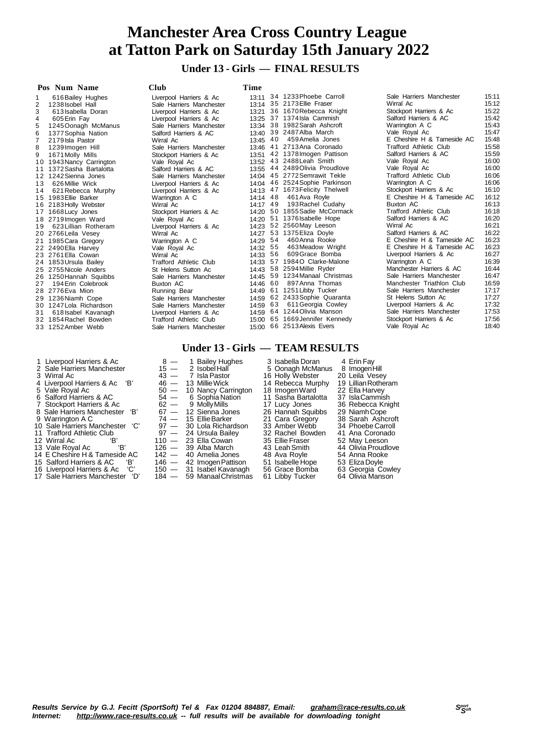### **Under 13 - Girls — FINAL RESULTS**

#### **Pos Num Name Club Time** 1 616Bailey Hughes Liverpool Harriers & Ac 13:11 2 1238Isobel Hall Sale Harriers Manchester 13:14 3 613 Isabella Doran Liverpool Harriers<br>4 605 Erin Fav **Liverpool Harriers** 4 605 Erin Fay **Liverpool Harriers**<br>5 1245 Oonagh McManus Sale Harriers Man 5 1245Oonagh McManus Sale Harriers Man<br>6 1377Sophia Nation Salford Harriers & 6 1377 Sophia Nation **1986 1377 Sophia Nation**<br>17 2179 Isla Pastor **Mirral Ac** 7 2179Isla Pastor Wirral Ac 13:45 1239Imogen Hill 9 1671 Molly Mills Stockport Harriers<br>10 1943 Nancy Carrington Vale Roval Ac 1 0 1943Nancy Carrington Vale Royal Ac 13:52 1 1 1372Sasha Bartalotta Salford Harriers & AC 13:55 12 1242Sienna Jones Sale Harriers Manchester 14:04<br>13 626 Millie Wick Charlester 14:04:05 (National Harriers 13 626 Millie Wick Liverpool Harriers<br>14 621 Rebecca Murphy Liverpool Harriers 14 621 Rebecca Murphy<br>15 1983 Ellie Barker 1 5 1983Ellie Barker Warrington A C 14:14 16 2183 Holly Webster **Wirral Ac** 14:17 1 1 2 1 1668 Lucy Jones<br>1 7 1668 Lucy Jones Stockport Harriers<br>1 8 2719 Imporent Ward Vale Royal Ac 1 8 2719 Imogen Ward Vale Royal Ac<br>19 623 Lillian Rotheram Liverpool Harriers 1 623 Lillian Rotheram Liverpool<br>1 1 1766 Leila Vesey Mirral Ac 20 2766Leila Vesey Wirral Ac 21 1985Cara Gregory Warrington A C 21 1985Cara Gregory Warrington A C 22 2490Ella Harvey Warrington A C 2 2490 Ella Harvey Vale Roy<br>23 2761 Ella Cowan Wirral Ac 2 2761 Ella Cowan Mirral Ac 12:33<br>2 2761 Ella Cowan Wirral Ac 1853 Ursula Bailey Trafford Athletic C 24 1853Ursula Bailey Trafford Athletic C<br>25 2755Nicole Anders St Helens Sutton 2 5 2755 Nicole Anders St Helens Sutton (25 2755 Nicole Anders St Helens Sutton )<br>26 1250 Hannah Squibbs Sale Harriers Man 1250 Hannah Squibbs 27 194Erin Colebrook Buxton AC<br>28 2776Eva Mion Running Bear 28 2776 Eva Mion **Running Bear 12:39 Automaker 29 12:36 Night** Pope Running Bear 12:49<br>29 12:36 Niamh Cope 14:49 Sale Harriers Man 29 1236 Niamh Cope 30 1247Lola Richardson Sale Harriers Manchester 14:59 Sale Harriers Manchester 14:59<br>31 618 Isabel Kavanagh Cherchester 14:599 Saleman Saleman 618 Isabel Kavanagh Liverpool Harriers & Accord Liverpool Harriers & Accord Bowden Trafford Athletic C 32 1854 Rachel Bowden Trafford Athletic C<br>33 1252 Amber Webb Sale Harriers Man 33 1252 Amber Webb 3 4 1233Phoebe Carroll Sale Harriers Manchester 15:11 3 5 2173Ellie Fraser Wirral Ac 15:12 3 6 1670Rebecca Knight Stockport Harriers & Ac 15:22 3 7 1374Isla Cammish Salford Harriers & AC 15:42 3 8 1982Sarah Ashcroft Warrington A C 15:43 3 9 2487Alba March Vale Royal Ac 15:47 4 0 459Amelia Jones E Cheshire H & Tameside AC 15:48 4 1 2713Ana Coronado Trafford Athletic Club 15:58 4 2 1378Imogen Pattison Salford Harriers & AC 15:59 4 3 2488Leah Smith Vale Royal Ac 16:00 4 4 2489Olivia Proudlove Vale Royal Ac 16:00 4 5 2772Semrawit Tekle Trafford Athletic Club 16:06 4 6 2524Sophie Parkinson Warrington A C 16:06 4 7 1673Felicity Thelwell Stockport Harriers & Ac 16:10 4 8 461Ava Royle E Cheshire H & Tameside AC 16:12 49 193Rachel Cudahy Buxton AC 16:13 5 0 1855Sadie McCormack Trafford Athletic Club 16:18 5 1 1376Isabelle Hope Salford Harriers & AC 16:20 5 2 2560May Leeson Wirral Ac 16:21 5 3 1375Eliza Doyle Salford Harriers & AC 16:22 5 4 460Anna Rooke E Cheshire H & Tameside AC 16:23 5 5 463Meadow Wright E Cheshire H & Tameside AC 16:23 5 6 609Grace Bomba Liverpool Harriers & Ac 16:27 57 1984 O Clarke-Malone **Warrington A C** 16:39 5 8 2594Millie Ryder Manchester Harriers & AC 16:44 5 9 1234Manaal Christmas Sale Harriers Manchester 16:47 6 0 897Anna Thomas Manchester Triathlon Club 16:59 61 1251 Libby Tucker **Sale Harriers Manchester** 17:17 62 2433 Sophie Quaranta St Helens Sutton Ac 17:27 6 3 611Georgia Cowley Liverpool Harriers & Ac 17:32 6 4 1244Olivia Manson Sale Harriers Manchester 17:53 6 5 1669Jennifer Kennedy Stockport Harriers & Ac 17:56 Vale Royal Ac 18:40

- 
- 
- 
- 
- 
- 
- 
- 
- 
- 17 Sale Harriers Manchester 'D' 184 59 ManaalChristmas 61 Libby Tucker 64 Olivia Manson

| & Ac    | 13:11    | 34   | 1233 Phoebe Carroll     |
|---------|----------|------|-------------------------|
| chester | 13:14    | 35   | 2173 Ellie Fraser       |
| & Ac    | 13:21    |      | 36 1670 Rebecca Knight  |
| & Ac    | 13:25    | 37   | 1374 Isla Cammish       |
| chester | 13:34    | 38   | 1982 Sarah Ashcroft     |
| АC      | 13:40    |      | 39 2487 Alba March      |
|         | 13:45    | 40   | 459 Amelia Jones        |
| chester | 13:46    | 41   | 2713Ana Coronado        |
| & Ac    | 13:51    | 42   | 1378 Imogen Pattison    |
|         | 13:52    | 43   | 2488 Leah Smith         |
| AC      | 13:55 44 |      | 2489 Olivia Proudlove   |
| chester | 14:04    | 45   | 2772 Semrawit Tekle     |
| & Ac    | 14:04    | 46   | 2524 Sophie Parkinson   |
| & Ac    | 14:13    | 47   | 1673 Felicity Thelwell  |
|         | 14:14    | 48   | 461 Ava Royle           |
|         | 14:17    | 49   | 193 Rachel Cudahy       |
| & Ac    | 14:20    | 50   | 1855 Sadie McCormack    |
|         | 14:20    | 51   | 1376 Isabelle Hope      |
| & Ac    | 14:23    | 52   | 2560 May Leeson         |
|         | 14:27    | 53   | 1375 Eliza Doyle        |
|         | 14:29    | 54   | 460 Anna Rooke          |
|         | 14:32    |      | 55 463 Meadow Wright    |
|         | 14:33    | 56   | 609 Grace Bomba         |
| Club    | 14:33    | 57   | 1984O Clarke-Malone     |
| Aс      | 14:43    | 58   | 2594 Millie Ryder       |
| chester | 14:45    | 59   | 1234 Manaal Christmas   |
|         | 14:46    | 60   | 897 Anna Thomas         |
|         | 14:49    | 61   | 1251 Libby Tucker       |
| chester | 14:59    | 62   | 2433 Sophie Quaranta    |
| chester | 14:59    | 63 - | 611 Georgia Cowley      |
| & Ac    | 14:59    | 64   | 1244 Olivia Manson      |
| Club    | 15:00    |      | 65 1669Jennifer Kennedy |
| chester | 15:00    | 66   | 2513 Alexis Evers       |
|         |          |      |                         |

#### **Under 13 - Girls — TEAM RESULTS**

1 Liverpool Harriers & Ac  $15 - 1$  Bailey Hughes  $3$  Isabella Doran  $4$  Erin Fay  $2$  Sale Harriers Manchester  $15 - 2$  Isobel Hall  $3$  Wirral Ac  $43 - 7$  Isla Pastor  $16$  Holly Webster  $20$  Leila Vesey 2 Sale Harriers Manchester  $15 - 2$  Isobel Hall 5 Oonagh McManus 8 Imogen Hill 3 Wirral Ac 43 — 7 Isla Pastor 16 Holly Webster 20 Leila Vesey 4 Liverpool Harriers & Ac 'B' 46 — 13 MillieWick 14 Rebecca Murphy 19 LillianRotheram 5 Vale Royal Ac  $=$  50  $-$  10 Nancy Carrington 18 Imogen Ward  $=$  22 Ella Harvey 4 Liverpool Harriers & Ac 'B'  $\begin{array}{ccc} 46 & -13 \text{ Miller Wick} & 14 \text{ Rebecca Murphy} & 19 \text{ Lillian Rothéram} \\ 5 \text{ Vale Royal Ac} & 50 & -10 \text{ Nancy Carrington} & 18 \text{ ImageNard} & 22 \text{ Ella Harvey} \\ 6 \text{ Salford Harris & 54 & -6 \text{ Sophia Nation} & 11 \text{ Sasha Bartalotta} & 37 \text{ IslaCamminh} \\ 7 \text{ Stockport Harris & 46 & -62 & -9 \text{ MollyMills} & 17 \text{ Lucy Jones} & 36 \text{ Rebecca Knight} \\ \end{array$ 7 Stockport Harriers & Ac 62 — 9 Molly Mills 17 Lucy Jones 36 Rebecca Kn<br>8 Sale Harriers Manchester 'B' 67 — 12 Sienna Jones 26 Hannah Squibbs 29 Niamh Cope 8 Sale Harriers Manchester 'B' 67 - 12 Sienna Jones 26 Hannah Squib<br>9 Warrington A C 74 - 15 Ellie Barker 21 Cara Gregory 9 Warrington A C 74 — 15 Ellie Barker 21 Cara Gregory 38 Sarah Ashcroft<br>97 — 30 Lola Richardson 33 Amber Webb 34 Phoebe Carroll<br>97 — 24 Ursula Bailey 32 Rachel Bowden 41 Ana Coronado 10 Sale Harriers Manchester 'C' 97 - 30 Lola Richardson 33 Amber Webb 31 Trafford Athletic Club 97 - 24 Ursula Bailey 32 Rachel Bowden 11 Trafford Athletic Club 97 — 24 Ursula Bailey 32 Rachel Bowley 32 Rachel Bowley 32 Rachel Bowley 41 October 41 Ana Coronado 41 Ana Coronado 41 Ana Coronado 41 Ana Coronado 41 Ana Coronado 41 Ana Coronado 41 Ana Coronado 12 Wirral Ac 'B' 110 — 23 Ella Cowan 35 Ellie Fraser 52 May Leeson<br>13 Vale Royal Ac 'B' 126 — 39 Alba March 43 Leah Smith 44 Olivia Proudl 126 — 39 Alba March <sup>43</sup> Leah Smith 44 Olivia Proudlove<br>142 — 40 Amelia Jones 48 Ava Royle 54 Anna Rooke 14 E Cheshire H & Tameside AC  $142 - 40$  Amelia Jones 48 Ava Royle 54 Anna Rook<br>15 Salford Harriers & AC 'B' 146 - 42 Imogen Pattison 51 Isabelle Hope 53 Eliza Doyle 15 Salford Harriers & AC 'B' 146 — 42 Imogen Pattison 51 Isabelle Hope 53 Eliza Doyle<br>16 Liverpool Harriers & Ac 'C' 150 — 31 Isabel Kavanagh 56 Grace Bomba 63 Georgia Cowley<br>17 Sale Harriers Manchester 'D' 184 — 59 Manaal 16 Liverpool Harriers & Ac 'C' 150 — 31 Isabel Kavanagh 56 Grace Bomba 63 Georgia Cowley

| <b>210 I IQIIIGIS IVIQIIUIGSIGI</b> | 1 J. I I |
|-------------------------------------|----------|
| 'irral Ac                           | 15:12    |
| ockport Harriers & Ac               | 15:22    |
| alford Harriers & AC                | 15:42    |
| arrington A C                       | 15:43    |
| ale Royal Ac                        | 15:47    |
| Cheshire H & Tameside AC            | 15:48    |
| afford Athletic Club                | 15:58    |
| alford Harriers & AC                | 15:59    |
| ale Royal Ac                        | 16:00    |
| ale Royal Ac                        | 16:00    |
| afford Athletic Club                | 16:06    |
| arrington A C                       | 16:06    |
| ockport Harriers & Ac               | 16:10    |
| Cheshire H & Tameside AC            | 16:12    |
| uxton AC                            | 16:13    |
| afford Athletic Club                | 16:18    |
| alford Harriers & AC                | 16:20    |
| 'irral Ac                           | 16:21    |
| alford Harriers & AC                | 16:22    |
| Cheshire H & Tameside AC            | 16:23    |
| Cheshire H & Tameside AC            | 16:23    |
| verpool Harriers & Ac               | 16:27    |
| arrington A C                       | 16:39    |
| anchester Harriers & AC             | 16:44    |
| ale Harriers Manchester             | 16:47    |
| anchester Triathlon Club            | 16:59    |
| ale Harriers Manchester             | 17:17    |
| Helens Sutton Ac                    | 17:27    |
| verpool Harriers & Ac               | 17:32    |
| ale Harriers Manchester             | 17:53    |
| ockport Harriers & Ac               | 17:56    |
| ale Devel As                        | 10.10    |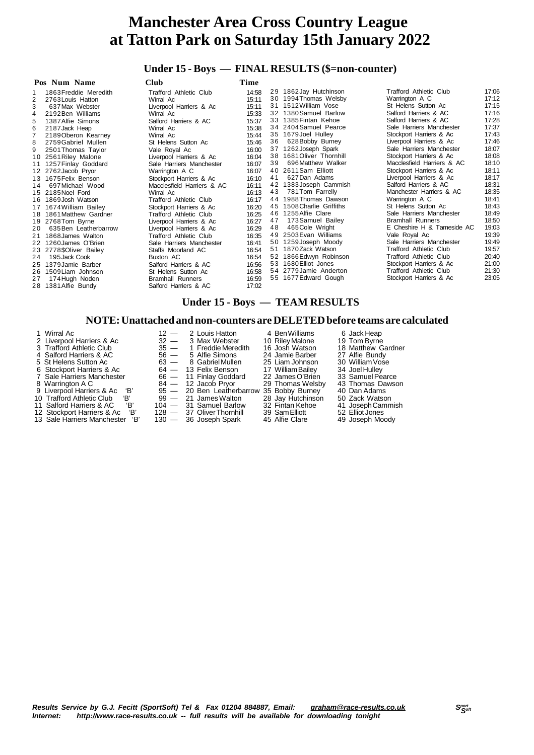### **Under 15 - Boys — FINAL RESULTS (\$=non-counter)**

### **Under 15 - Boys — TEAM RESULTS**

#### **NOTE:Unattached and non-counters are DELETEDbefore teams are calculated**

| 1 Wirral Ac<br>2 Liverpool Harriers & Ac<br>3 Trafford Athletic Club<br>4 Salford Harriers & AC<br>5 St Helens Sutton Ac<br>6 Stockport Harriers & Ac<br>7 Sale Harriers Manchester<br>8 Warrington A C<br>9 Liverpool Harriers & Ac 'B'<br>10 Trafford Athletic Club 'B'<br>'В'<br>11 Salford Harriers & AC<br>12 Stockport Harriers & Ac 'B' | $32 -$<br>$56 -$ | $12 - 2$ Louis Hatton<br>3 Max Webster<br>$35 - 1$ Freddie Meredith<br>5 Alfie Simons<br>63 — 8 Gabriel Mullen<br>$64 - 13$ Felix Benson<br>66 - 11 Finlay Goddard<br>$84 - 12$ Jacob Pryor<br>95 - 20 Ben Leatherbarrow 35 Bobby Burney<br>$99 - 21$ James Walton<br>$104 - 31$ Samuel Barlow<br>128 - 37 Oliver Thornhill | 4 Ben Williams<br>10 Riley Malone<br>16 Josh Watson<br>24 Jamie Barber<br>25 Liam Johnson<br>17 William Bailey<br>22 James O'Brien<br>29 Thomas Welsby<br>28 Jay Hutchinson<br>32 Fintan Kehoe<br>39 Sam Elliott | 6 Jack Heap<br>19 Tom Byrne<br>18 Matthew Gardner<br>27 Alfie Bundy<br>30 William Vose<br>34 Joel Hulley<br>33 Samuel Pearce<br>43 Thomas Dawson<br>40 Dan Adams<br>50 Zack Watson<br>41 Joseph Cammish<br>52 Elliot Jones |
|------------------------------------------------------------------------------------------------------------------------------------------------------------------------------------------------------------------------------------------------------------------------------------------------------------------------------------------------|------------------|-----------------------------------------------------------------------------------------------------------------------------------------------------------------------------------------------------------------------------------------------------------------------------------------------------------------------------|------------------------------------------------------------------------------------------------------------------------------------------------------------------------------------------------------------------|----------------------------------------------------------------------------------------------------------------------------------------------------------------------------------------------------------------------------|
| 13 Sale Harriers Manchester 'B'                                                                                                                                                                                                                                                                                                                |                  | $130 - 36$ Joseph Spark                                                                                                                                                                                                                                                                                                     | 45 Alfie Clare                                                                                                                                                                                                   | 49 Joseph Moody                                                                                                                                                                                                            |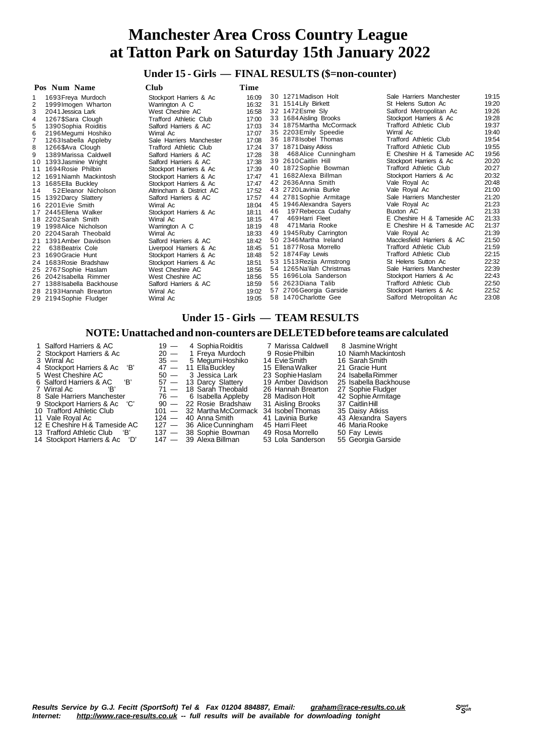### **Under 15 - Girls — FINAL RESULTS (\$=non-counter)**

| Pos Num Name<br>Club |                         | Time                          |       |    |                           |                               |       |
|----------------------|-------------------------|-------------------------------|-------|----|---------------------------|-------------------------------|-------|
|                      | 1693 Freya Murdoch      | Stockport Harriers & Ac       | 16:09 |    | 30 1271 Madison Holt      | Sale Harriers Manchester      | 19:15 |
| 2                    | 1999 Imogen Wharton     | Warrington A C                | 16:32 |    | 31 1514 Lily Birkett      | St Helens Sutton Ac           | 19:20 |
|                      | 2041 Jessica Lark       | West Cheshire AC              | 16:58 |    | 32 1472 Esme Sly          | Salford Metropolitan Ac       | 19:26 |
|                      | 1267\$Sara Clough       | <b>Trafford Athletic Club</b> | 17:00 |    | 33 1684 Aisling Brooks    | Stockport Harriers & Ac       | 19:28 |
|                      | 1390 Sophia Roiditis    | Salford Harriers & AC         | 17:03 |    | 34 1875 Martha McCormack  | Trafford Athletic Club        | 19:37 |
| 6                    | 2196 Megumi Hoshiko     | Wirral Ac                     | 17:07 |    | 35 2203 Emily Speedie     | Wirral Ac                     | 19:40 |
|                      | 1263 Isabella Appleby   | Sale Harriers Manchester      | 17:08 |    | 36 1878 Isobel Thomas     | <b>Trafford Athletic Club</b> | 19:54 |
| 8                    | 1266\$Ava Clough        | <b>Trafford Athletic Club</b> | 17:24 |    | 37 1871 Daisy Atkiss      | <b>Trafford Athletic Club</b> | 19:55 |
| 9                    | 1389 Marissa Caldwell   | Salford Harriers & AC         | 17:28 | 38 | 468 Alice Cunningham      | E Cheshire H & Tameside AC    | 19:56 |
| 10                   | 1393 Jasmine Wright     | Salford Harriers & AC         | 17:38 |    | 39 2610 Caitlin Hill      | Stockport Harriers & Ac       | 20:20 |
|                      | 1694 Rosie Philbin      | Stockport Harriers & Ac       | 17:39 |    | 40 1872 Sophie Bowman     | <b>Trafford Athletic Club</b> | 20:27 |
| 12                   | 1691 Niamh Mackintosh   | Stockport Harriers & Ac       | 17:47 | 41 | 1682 Alexa Billman        | Stockport Harriers & Ac       | 20:32 |
| 13                   | 1685 Ella Buckley       | Stockport Harriers & Ac       | 17:47 |    | 42 2636 Anna Smith        | Vale Royal Ac                 | 20:48 |
| 14                   | 52 Eleanor Nicholson    | Altrincham & District AC      | 17:52 |    | 43 2720 Lavinia Burke     | Vale Royal Ac                 | 21:00 |
| 15                   | 1392 Darcy Slattery     | Salford Harriers & AC         | 17:57 |    | 44 2781 Sophie Armitage   | Sale Harriers Manchester      | 21:20 |
| 16.                  | 2201 Evie Smith         | Wirral Ac                     | 18:04 |    | 45 1946 Alexandra Sayers  | Vale Royal Ac                 | 21:23 |
| 17                   | 2445 Ellena Walker      | Stockport Harriers & Ac       | 18:11 | 46 | 197 Rebecca Cudahy        | Buxton AC                     | 21:33 |
| 18                   | 2202 Sarah Smith        | Wirral Ac                     | 18:15 | 47 | 469 Harri Fleet           | E Cheshire H & Tameside AC    | 21:33 |
|                      | 1998 Alice Nicholson    | Warrington A C                | 18:19 | 48 | 471 Maria Rooke           | E Cheshire H & Tameside AC    | 21:37 |
| 20                   | 2204 Sarah Theobald     | Wirral Ac                     | 18:33 | 49 | 1945 Ruby Carrington      | Vale Royal Ac                 | 21:39 |
| 21                   | 1391 Amber Davidson     | Salford Harriers & AC         | 18:42 |    | 50 2346 Martha Ireland    | Macclesfield Harriers & AC    | 21:50 |
| 22                   | 638 Beatrix Cole        | Liverpool Harriers & Ac       | 18:45 |    | 51 1877 Rosa Morrello     | <b>Trafford Athletic Club</b> | 21:59 |
| 23                   | 1690 Gracie Hunt        | Stockport Harriers & Ac       | 18:48 |    | 52 1874 Fav Lewis         | Trafford Athletic Club        | 22:15 |
| 24                   | 1683 Rosie Bradshaw     | Stockport Harriers & Ac       | 18:51 |    | 53 1513 Rezija Armstrong  | St Helens Sutton Ac           | 22:32 |
| 25                   | 2767 Sophie Haslam      | West Cheshire AC              | 18:56 |    | 54 1265 Na'ilah Christmas | Sale Harriers Manchester      | 22:39 |
|                      | 26 2042 Isabella Rimmer | West Cheshire AC              | 18:56 |    | 55 1696 Lola Sanderson    | Stockport Harriers & Ac       | 22:43 |
| 27                   | 1388 Isabella Backhouse | Salford Harriers & AC         | 18:59 |    | 56 2623Diana Talib        | <b>Trafford Athletic Club</b> | 22:50 |
|                      | 28 2193 Hannah Brearton | Wirral Ac                     | 19:02 |    | 57 2706 Georgia Garside   | Stockport Harriers & Ac       | 22:52 |
|                      | 29 2194 Sophie Fludger  | Wirral Ac                     | 19:05 |    | 58 1470 Charlotte Gee     | Salford Metropolitan Ac       | 23:08 |

#### **Under 15 - Girls — TEAM RESULTS**

#### **NOTE:Unattached and non-counters are DELETEDbefore teams are calculated**

- 
- 
- 
- 
- 
- 
- 
- Sale Harriers Manchester 76 6 Isabella Appleby 28 Madison Holt 42 SophieArmitage
- Stockport Harriers & Ac 'C' 90 22 Rosie Bradshaw 31 Aisling Brooks 37 CaitlinHill
- 
- 
- 
- 13 Trafford Athletic Club 'B' 137 38 Sophie Bowman 49 Rosa Morrello 50 Fay Lewis
- 14 Stockport Harriers & Ac 'D' 147 39 Alexa Billman 53 Lola Sanderson 55 Georgia Garside

1 Salford Harriers & AC 19 — 4 Sophia Roiditis 7 Marissa Caldwell 8 Jasmine Wright<br>2 Stockport Harriers & Ac 20 — 1 Freya Murdoch 9 Rosie Philbin 10 Niamh Mackintosh<br>3 Wirral Ac 35 — 5 Megumi Hoshiko 14 Evie Smith 16 Sarah 2 Stockport Harriers & Ac 20 — 1 Freya Murdoch 9 Rosie Philbin 10 Niamh Mackintosh<br>3 Wirral Ac 35 — 5 Megumi Hoshiko 14 Evie Smith 16 Sarah Smith 4 Stockport Harriers & Ac 'B' 47 - 11 Ella Buckley 15 Ellena Walker 21 Gracie Hunt<br>5 West Cheshire AC 50 - 3 Jessica Lark 23 Sophie Haslam 24 Isabella Rimmer<br>6 Salford Harriers & AC 'B' 57 -- 13 Darcy Slattery 19 Amber Dav 5 West Cheshire AC 50 — 3 Jessica Lark 23 Sophie Haslam<br>6 Salford Harriers & AC 'B' 57 — 13 Darcy Slattery 19 Amber Davidson Salford Harriers & AC 'B' 57 — 13 Darcy Slattery 19 Amber Davidson 25 Isabella Backhouse Wirral Ac 'B' 71 — 18 Sarah Theobald 26 Hannah Brearton 27 Sophie Fludger 10 Stockport Harriers & Ac  $^{\circ}$  (C'  $^{\circ}$  90  $-$  22 Rosie Bradshaw 31 Aisling Brooks 37 Caitlin Hill<br>
10 Trafford Athletic Club 101  $-$  32 Martha McCormack 34 Isobel Thomas 35 Daisy Atkiss<br>
11 Vale Royal Ac 124  $-$  40 A 11 Vale Royal Ac 124 - 124 - 40 Anna Smith 11 Vale Royal Ac 13 Alexandra Sayers<br>12 E Cheshire H & Tameside AC 127 - 36 Alice Cunningham 15 Harri Fleet 46 Maria Rooke 12 E Cheshire H & Tameside AC 127 — 36 Alice Cunningham 45 Harri Fleet 46 Maria Rook<br>13 Trafford Athletic Club 18' 137 — 38 Sophie Bowman 49 Rosa Morrello 50 Fay Lewis

- 
- 
-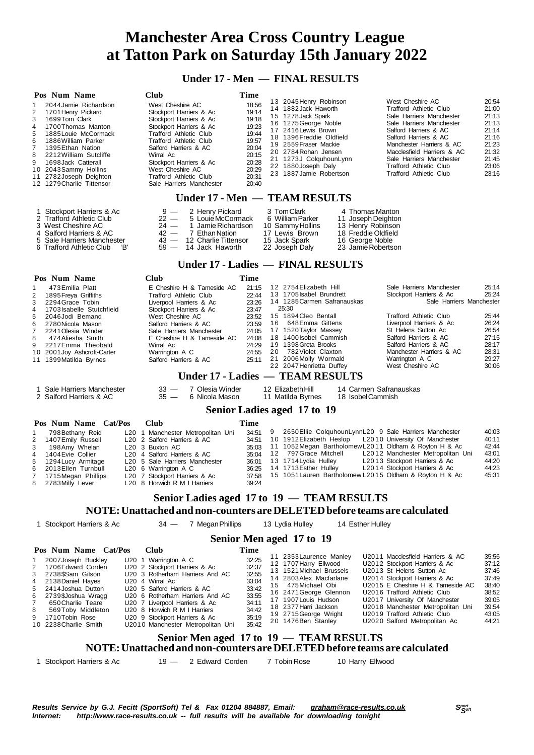### *Under* **17** *Men* **EINAL DECULTE**

|                                                                     | Under $\Gamma$ - Men $-$ FINAL RESULIS                                                                                                                                                                                                                                                                   |     |                                                                                                                                                                                                                                                                                                   |                                                                                                                         |                                                                                                                  |          |                                                                                                                                                                                                                                                                                              |  |                                                                                                                            |                                                                                                                                                                                                                                                                                                                        |                                                                                                 |
|---------------------------------------------------------------------|----------------------------------------------------------------------------------------------------------------------------------------------------------------------------------------------------------------------------------------------------------------------------------------------------------|-----|---------------------------------------------------------------------------------------------------------------------------------------------------------------------------------------------------------------------------------------------------------------------------------------------------|-------------------------------------------------------------------------------------------------------------------------|------------------------------------------------------------------------------------------------------------------|----------|----------------------------------------------------------------------------------------------------------------------------------------------------------------------------------------------------------------------------------------------------------------------------------------------|--|----------------------------------------------------------------------------------------------------------------------------|------------------------------------------------------------------------------------------------------------------------------------------------------------------------------------------------------------------------------------------------------------------------------------------------------------------------|-------------------------------------------------------------------------------------------------|
| 1<br>$\overline{2}$<br>3<br>4<br>5<br>6<br>$\overline{7}$<br>8<br>9 | Pos Num Name<br>2044 Jamie Richardson<br>1701 Henry Pickard<br>1699Tom Clark<br>1700 Thomas Manton<br>1885 Louie McCormack<br>1886 William Parker<br>1395 Ethan Nation<br>2212 William Sutcliffe<br>1698 Jack Catterall<br>10 2043 Sammy Hollins<br>11 2782 Joseph Deighton<br>12 1279 Charlie Tittensor |     | Club<br>West Cheshire AC<br>Stockport Harriers & Ac<br>Stockport Harriers & Ac<br>Stockport Harriers & Ac<br><b>Trafford Athletic Club</b><br><b>Trafford Athletic Club</b><br>Salford Harriers & AC<br>Wirral Ac<br>Stockport Harriers & Ac<br>West Cheshire AC<br><b>Trafford Athletic Club</b> | Sale Harriers Manchester                                                                                                | Time<br>18:56<br>19:14<br>19:18<br>19:23<br>19:44<br>19:57<br>20:04<br>20:15<br>20:28<br>20:29<br>20:31<br>20:40 |          | 13 2045 Henry Robinson<br>14 1882 Jack Haworth<br>15 1278 Jack Spark<br>16 1275 George Noble<br>17 2416 Lewis Brown<br>18 1396 Freddie Oldfield<br>19 2559 Fraser Mackie<br>20 2784 Rohan Jensen<br>21 1273J ColquhounLynn<br>22 1880 Joseph Daly<br>23 1887 Jamie Robertson                 |  |                                                                                                                            | West Cheshire AC<br><b>Trafford Athletic Club</b><br>Sale Harriers Manchester<br>Sale Harriers Manchester<br>Salford Harriers & AC<br>Salford Harriers & AC<br>Manchester Harriers & AC<br>Macclesfield Harriers & AC<br>Sale Harriers Manchester<br><b>Trafford Athletic Club</b><br><b>Trafford Athletic Club</b>    | 20:54<br>21:00<br>21:13<br>21:13<br>21:14<br>21:16<br>21:23<br>21:32<br>21:45<br>23:06<br>23:16 |
|                                                                     |                                                                                                                                                                                                                                                                                                          |     |                                                                                                                                                                                                                                                                                                   | Under 17 - Men - TEAM RESULTS                                                                                           |                                                                                                                  |          |                                                                                                                                                                                                                                                                                              |  |                                                                                                                            |                                                                                                                                                                                                                                                                                                                        |                                                                                                 |
| 1<br>4<br>5                                                         | Stockport Harriers & Ac<br>2 Trafford Athletic Club<br>3 West Cheshire AC<br>Salford Harriers & AC<br>Sale Harriers Manchester<br>6 Trafford Athletic Club                                                                                                                                               | 'В' | $9 -$<br>$22 -$<br>$24 -$<br>$42 -$<br>$43 -$<br>$59 -$                                                                                                                                                                                                                                           | 2 Henry Pickard<br>5 Louie McCormack<br>1 Jamie Richardson<br>7 Ethan Nation<br>12 Charlie Tittensor<br>14 Jack Haworth |                                                                                                                  |          | 3 Tom Clark<br>6 William Parker<br>10 Sammy Hollins<br>17 Lewis Brown<br>15 Jack Spark<br>22 Joseph Daly                                                                                                                                                                                     |  | 4 Thomas Manton<br>11 Joseph Deighton<br>13 Henry Robinson<br>18 Freddie Oldfield<br>16 George Noble<br>23 Jamie Robertson |                                                                                                                                                                                                                                                                                                                        |                                                                                                 |
|                                                                     | Under 17 - Ladies - FINAL RESULTS                                                                                                                                                                                                                                                                        |     |                                                                                                                                                                                                                                                                                                   |                                                                                                                         |                                                                                                                  |          |                                                                                                                                                                                                                                                                                              |  |                                                                                                                            |                                                                                                                                                                                                                                                                                                                        |                                                                                                 |
|                                                                     | Pos Num Name                                                                                                                                                                                                                                                                                             |     | Club                                                                                                                                                                                                                                                                                              |                                                                                                                         | Time                                                                                                             |          |                                                                                                                                                                                                                                                                                              |  |                                                                                                                            |                                                                                                                                                                                                                                                                                                                        |                                                                                                 |
| 1<br>2<br>3<br>4<br>5<br>6<br>$\overline{7}$<br>8<br>9              | 473 Emilia Platt<br>1895 Freya Griffiths<br>2294 Grace Tobin<br>1703 Isabelle Stutchfield<br>2046 Jodi Bemand<br>2780 Nicola Mason<br>2241 Olesia Winder<br>474 Aliesha Smith<br>2217 Emma Theobald<br>10 2001 Joy Ashcroft-Carter<br>11 1399 Matilda Byrnes                                             |     | <b>Trafford Athletic Club</b><br>Liverpool Harriers & Ac<br>Stockport Harriers & Ac<br>West Cheshire AC<br>Salford Harriers & AC<br>Wirral Ac<br>Warrington A C<br>Salford Harriers & AC                                                                                                          | E Cheshire H & Tameside AC<br>Sale Harriers Manchester<br>E Cheshire H & Tameside AC                                    | 21:15<br>22:44<br>23:26<br>23:47<br>23:52<br>23:59<br>24:05<br>24:08<br>24:29<br>24:55<br>25:11                  | 16<br>20 | 12 2754 Elizabeth Hill<br>13 1705 Isabel Brundrett<br>14 1285 Carmen Safranauskas<br>25:30<br>15 1894 Cleo Bentall<br>648 Emma Gittens<br>17 1520 Taylor Massey<br>18 1400 Isobel Cammish<br>19 1398 Greta Brooks<br>782 Violet Claxton<br>21 2006 Molly Wormald<br>22 2047 Henrietta Duffey |  |                                                                                                                            | Sale Harriers Manchester<br>Stockport Harriers & Ac<br>Sale Harriers Manchester<br><b>Trafford Athletic Club</b><br>Liverpool Harriers & Ac<br>St Helens Sutton Ac<br>Salford Harriers & AC<br>Salford Harriers & AC<br>Manchester Harriers & AC<br>Warrington A C<br>West Cheshire AC                                 | 25:14<br>25:24<br>25:44<br>26:24<br>26:54<br>27:15<br>28:17<br>28:31<br>29:27<br>30:06          |
|                                                                     |                                                                                                                                                                                                                                                                                                          |     |                                                                                                                                                                                                                                                                                                   | Under 17 - Ladies — TEAM RESULTS                                                                                        |                                                                                                                  |          |                                                                                                                                                                                                                                                                                              |  |                                                                                                                            |                                                                                                                                                                                                                                                                                                                        |                                                                                                 |
|                                                                     | 1 Sale Harriers Manchester<br>2 Salford Harriers & AC                                                                                                                                                                                                                                                    |     | $33 -$<br>$35 -$                                                                                                                                                                                                                                                                                  | 7 Olesia Winder<br>6 Nicola Mason                                                                                       |                                                                                                                  |          | 12 Elizabeth Hill<br>11 Matilda Byrnes                                                                                                                                                                                                                                                       |  | 14 Carmen Safranauskas<br>18 Isobel Cammish                                                                                |                                                                                                                                                                                                                                                                                                                        |                                                                                                 |
|                                                                     |                                                                                                                                                                                                                                                                                                          |     |                                                                                                                                                                                                                                                                                                   |                                                                                                                         |                                                                                                                  |          | Senior Ladies aged 17 to 19                                                                                                                                                                                                                                                                  |  |                                                                                                                            |                                                                                                                                                                                                                                                                                                                        |                                                                                                 |
| 1<br>$\overline{2}$<br>3<br>4<br>5<br>6<br>7<br>8                   | Pos Num Name Cat/Pos<br>798 Bethany Reid<br>1407 Emily Russell<br>198 Amy Whelan<br>1404 Evie Collier<br>1294 Lucy Armitage<br>2013 Ellen Turnbull<br>1715 Megan Phillips<br>2783Milly Lever                                                                                                             |     | Club<br>L <sub>20</sub> 2 Salford Harriers & AC<br>L20 3 Buxton AC<br>L20 4 Salford Harriers & AC<br>L20 5 Sale Harriers Manchester<br>L <sub>20</sub> 6 Warrington A C<br>L20 7 Stockport Harriers & Ac<br>L20 8 Horwich R M I Harriers                                                          | L20 1 Manchester Metropolitan Uni                                                                                       | Time<br>34:51<br>34:51<br>35:03<br>35:04<br>36:01<br>36:25<br>37:58<br>39:24                                     | 9<br>12  | 10 1912 Elizabeth Heslop<br>797 Grace Mitchell<br>13 1714 Lydia Hulley<br>14 1713 Esther Hulley                                                                                                                                                                                              |  |                                                                                                                            | 2650 Ellie Colquhoun Lynn L20 9 Sale Harriers Manchester<br>L2010 University Of Manchester<br>11 1052 Megan Bartholomew L2011 Oldham & Royton H & Ac<br>L2012 Manchester Metropolitan Uni<br>L2013 Stockport Harriers & Ac<br>L2014 Stockport Harriers & Ac<br>15 1051 Lauren Bartholomew L2015 Oldham & Royton H & Ac | 40:03<br>40:11<br>42:44<br>43:01<br>44:20<br>44:23<br>45:31                                     |
|                                                                     |                                                                                                                                                                                                                                                                                                          |     |                                                                                                                                                                                                                                                                                                   | Senior Ladies aged 17 to 19 - TEAM RESULTS                                                                              |                                                                                                                  |          |                                                                                                                                                                                                                                                                                              |  |                                                                                                                            |                                                                                                                                                                                                                                                                                                                        |                                                                                                 |
|                                                                     |                                                                                                                                                                                                                                                                                                          |     |                                                                                                                                                                                                                                                                                                   |                                                                                                                         |                                                                                                                  |          |                                                                                                                                                                                                                                                                                              |  |                                                                                                                            | NOTE: Unattached and non-counters are DELETED before teams are calculated                                                                                                                                                                                                                                              |                                                                                                 |
|                                                                     | 1 Stockport Harriers & Ac                                                                                                                                                                                                                                                                                |     | $34 -$                                                                                                                                                                                                                                                                                            | 7 Megan Phillips                                                                                                        |                                                                                                                  |          | 13 Lydia Hulley                                                                                                                                                                                                                                                                              |  | 14 Esther Hulley                                                                                                           |                                                                                                                                                                                                                                                                                                                        |                                                                                                 |
|                                                                     |                                                                                                                                                                                                                                                                                                          |     |                                                                                                                                                                                                                                                                                                   |                                                                                                                         |                                                                                                                  |          | Senior Men aged 17 to 19                                                                                                                                                                                                                                                                     |  |                                                                                                                            |                                                                                                                                                                                                                                                                                                                        |                                                                                                 |
|                                                                     | Pos Num Name Cat/Pos                                                                                                                                                                                                                                                                                     |     | Club                                                                                                                                                                                                                                                                                              |                                                                                                                         | Time                                                                                                             |          |                                                                                                                                                                                                                                                                                              |  |                                                                                                                            |                                                                                                                                                                                                                                                                                                                        |                                                                                                 |
|                                                                     | 2007 Joseph Buckley<br>1706 Edward Corden<br>27200Com Cilcon                                                                                                                                                                                                                                             |     | U20 1 Warrington A C<br>U20 2 Stockport Harriers & Ac                                                                                                                                                                                                                                             | 1120 3 Pothorbom Horriore And AC                                                                                        | 32:25<br>32:37<br>$20 - 55$                                                                                      |          | 11 2353 Laurence Manley<br>12 1707 Harry Ellwood<br>13 1521 Michael Brussels                                                                                                                                                                                                                 |  |                                                                                                                            | U2011 Macclesfield Harriers & AC<br>U2012 Stockport Harriers & Ac<br>U2013 St Helens Sutton Ac                                                                                                                                                                                                                         | 35:56<br>37:12<br>37:46                                                                         |

|                       | <b>Conjor Mon good 17 to 10</b>   |       | TE AM DECHI TC                       |                                   |               |
|-----------------------|-----------------------------------|-------|--------------------------------------|-----------------------------------|---------------|
| 10 2238 Charlie Smith | U2010 Manchester Metropolitan Uni | 35:42 |                                      |                                   |               |
| 9 1710 Tobin Rose     | U20 9 Stockport Harriers & Ac     | 35:19 | 20 1476 Ben Stanley                  | U2020 Salford Metropolitan Ac     | 44:21         |
| 8 569Toby Middleton   | U20 8 Horwich R M I Harriers      | 34:42 | 19 2715 George Wright                | U2019 Trafford Athletic Club      | 43:05         |
| 7 650 Charlie Teare   | U20 7 Liverpool Harriers & Ac     | 34:11 | 18 2377 Harri Jackson                | U2018 Manchester Metropolitan Uni | 39:54         |
|                       |                                   |       | 17 1907 Louis Hudson                 | U2017 University Of Manchester    | 39:05         |
| 6 2739\$Joshua Wragg  | U20 6 Rotherham Harriers And AC   | 33:55 | 16 2471 George Glennon               | U2016 Trafford Athletic Club      | 38:52         |
| 5 2414 Joshua Dutton  | U20 5 Salford Harriers & AC       | 33:42 | 15 475 Michael Obi                   | U2015 E Cheshire H & Tameside AC  | 38:40         |
| 4 2138 Daniel Hayes   | U <sub>20</sub> 4 Wirral Ac       | 33:04 | 14 2803 Alex Macfarlane              | U2014 Stockport Harriers & Ac     | 37:49         |
| 3 2738\$Sam Gilson    | U20 3 Rotherham Harriers And AC   | 32:55 | <b>USSERS</b> INTERNATIONAL PRODUCTS | <b>UZU I JULITURIS OUTION AC</b>  | <u>JI. TU</u> |

#### **Senior Men aged 17 to 19 — TEAM RESULTS NOTE:Unattached and non-counters are DELETEDbefore teams are calculated**

Stockport Harriers & Ac 19 — 2 Edward Corden 7 Tobin Rose 10 Harry Ellwood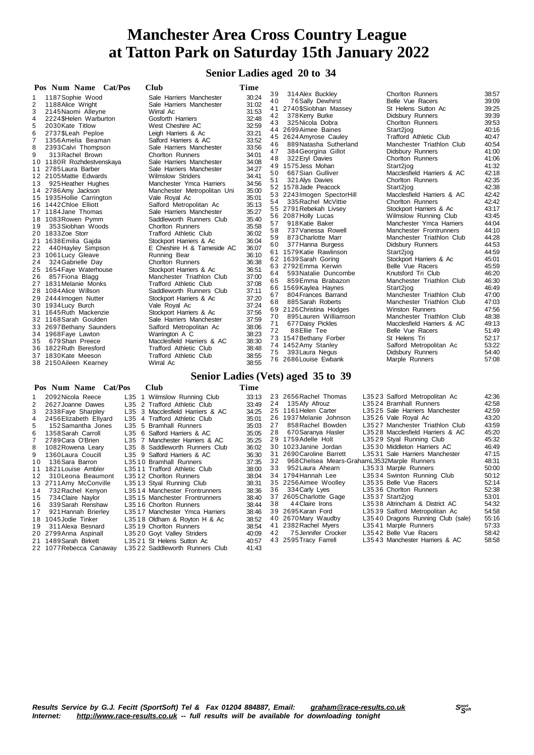**Senior Ladies aged 20 to 34**

| Pos Num Name Cat/Pos                   | Club                                                        | Time           |          |                                               |                                                     |                |
|----------------------------------------|-------------------------------------------------------------|----------------|----------|-----------------------------------------------|-----------------------------------------------------|----------------|
| 1187 Sophie Wood<br>1                  | Sale Harriers Manchester                                    | 30:24          | 39       | 314 Alex Buckley                              | <b>Chorlton Runners</b>                             | 38:57          |
| 2<br>1188 Alice Wright                 | Sale Harriers Manchester                                    | 31:02          | 40       | 76Sally Dewhirst                              | Belle Vue Racers                                    | 39:09          |
| 3<br>2145 Naomi Alleyne                | Wirral Ac                                                   | 31:53          |          | 41 2740\$Siobhan Massey                       | St Helens Sutton Ac                                 | 39:25          |
| 4<br>2224 \$Helen Warburton            | Gosforth Harriers                                           | 32:48          | 42       | 378 Kerry Burke                               | <b>Didsbury Runners</b>                             | 39:39          |
| 5<br>2030 Kate Titlow                  | West Cheshire AC                                            | 32:59          | 43       | 325 Nicola Dobra                              | Chorlton Runners                                    | 39:53          |
| 6<br>2737\$Leah Peploe                 | Leigh Harriers & Ac                                         | 33:21          |          | 44 2699 Aimee Baines                          | Start2jog                                           | 40:16          |
| 7<br>1356 Amelia Beaman                | Salford Harriers & AC                                       | 33:52          |          | 45 2624 Amyrose Cauley                        | <b>Trafford Athletic Club</b>                       | 40:47          |
| 8<br>2393 Calvi Thompson               | Sale Harriers Manchester                                    | 33:56          | 46       | 889 Natasha Sutherland                        | Manchester Triathlon Club                           | 40:54          |
| 9<br>313 Rachel Brown                  | <b>Chorlton Runners</b>                                     | 34:01          | 47       | 384 Georgina Gillot                           | <b>Didsbury Runners</b>                             | 41:00          |
| 10 1180R Rozhdestvenskaya              | Sale Harriers Manchester                                    | 34:08          | 48       | 322 Eryl Davies                               | Chorlton Runners                                    | 41:06          |
| 11 2785 Laura Barber                   | Sale Harriers Manchester                                    | 34:27          |          | 49 1575 Jess Mohan                            | Start2jog                                           | 41:32          |
| 12 2105 Mattie Edwards                 | <b>Wilmslow Striders</b>                                    | 34:41          | 50       | 667 Sian Gulliver                             | Macclesfield Harriers & AC                          | 42:18          |
| 13<br>925 Heather Hughes               | Manchester Ymca Harriers                                    | 34:56          | 51       | 321 Alys Davies                               | <b>Chorlton Runners</b>                             | 42:35          |
| 14 2786 Amy Jackson                    | Manchester Metropolitan Uni                                 | 35:00          |          | 52 1578 Jade Peacock                          | Start2jog                                           | 42:38          |
| 15 1935 Hollie Carrington              | Vale Royal Ac                                               | 35:01          |          | 53 2243 Imogen SpectorHill                    | Macclesfield Harriers & AC                          | 42:42          |
| 16 1442 Chloe Elliott                  | Salford Metropolitan Ac                                     | 35:13          | 54       | 335 Rachel McVittie                           | <b>Chorlton Runners</b>                             | 42:42          |
| 17 1184 Jane Thomas                    | Sale Harriers Manchester                                    | 35:27          |          | 55 2791 Rebekah Livsey                        | Stockport Harriers & Ac                             | 43:17          |
| 18 1083 Rowen Pymm                     | Saddleworth Runners Club                                    | 35:40          |          | 56 2087 Holly Lucas                           | Wilmslow Running Club                               | 43:45<br>44:04 |
| 353 Siobhan Woods<br>19                | <b>Chorlton Runners</b>                                     | 35:58          | 57<br>58 | 918 Katie Baker<br>737 Vanessa Rowell         | Manchester Ymca Harriers<br>Manchester Frontrunners | 44:10          |
| 20 1833Zoe Storr                       | <b>Trafford Athletic Club</b>                               | 36:02          | 59       | 873 Charlotte Marr                            | Manchester Triathlon Club                           | 44:28          |
| 21 1638 Emilia Gajda                   | Stockport Harriers & Ac                                     | 36:04          | 60       | 377 Hanna Burgess                             | Didsbury Runners                                    | 44:53          |
| 22<br>440 Hayley Simpson               | E Cheshire H & Tameside AC                                  | 36:07          |          | 61 1579 Katie Rawlinson                       | Start2jog                                           | 44:59          |
| 23 1061 Lucy Gleave                    | Running Bear                                                | 36:10          |          | 62 1639 Sarah Goring                          | Stockport Harriers & Ac                             | 45:01          |
| 324 Gabrielle Day<br>24                | Chorlton Runners                                            | 36:38          |          | 63 2792 Emma Kerwin                           | Belle Vue Racers                                    | 45:59          |
| 25 1654 Faye Waterhouse                | Stockport Harriers & Ac                                     | 36:51          | 64       | 593 Natalie Duncombe                          | Knutsford Tri Club                                  | 46:20          |
| 857 Fiona Blagg<br>26                  | Manchester Triathlon Club                                   | 37:00          | 65       | 859 Emma Brabazon                             | Manchester Triathlon Club                           | 46:30          |
| 27 1831 Melanie Monks                  | <b>Trafford Athletic Club</b>                               | 37:08          |          | 66 1569 Kaylea Haynes                         | Start2jog                                           | 46:49          |
| 28 1084 Alice Willson                  | Saddleworth Runners Club                                    | 37:11          | 67       | 804 Frances Barrand                           | Manchester Triathlon Club                           | 47:00          |
| 29 2444 Imogen Nutter                  | Stockport Harriers & Ac                                     | 37:20          | 68       | 885 Sarah Roberts                             | Manchester Triathlon Club                           | 47:03          |
| 30 1934 Lucy Burch                     | Vale Royal Ac                                               | 37:24          |          | 69 2126 Christina Hodges                      | <b>Winston Runners</b>                              | 47:56          |
| 31 1645 Ruth Mackenzie                 | Stockport Harriers & Ac                                     | 37:56          | 70       | 895 Lauren Williamson                         | Manchester Triathlon Club                           | 48:38          |
| 32 1168 Sarah Goulden                  | Sale Harriers Manchester                                    | 37:59          | 71       | 677 Daisy Pickles                             | Macclesfield Harriers & AC                          | 49:13          |
| 33 2697 Bethany Saunders               | Salford Metropolitan Ac                                     | 38:06          | 72       | 88 Ellie Tee                                  | Belle Vue Racers                                    | 51:49          |
| 34 1968 Faye Lawton<br>679 Shan Preece | Warrington A C                                              | 38:23<br>38:30 |          | 73 1547 Bethany Forber                        | St Helens Tri                                       | 52:17          |
| 35<br>36 1822 Ruth Beresford           | Macclesfield Harriers & AC<br><b>Trafford Athletic Club</b> | 38:48          |          | 74 1452 Amy Stanley                           | Salford Metropolitan Ac                             | 53:22          |
| 37 1830 Kate Meeson                    | <b>Trafford Athletic Club</b>                               | 38:55          | 75       | 393 Laura Negus                               | Didsbury Runners                                    | 54:40          |
| 38 2150 Aileen Kearney                 | Wirral Ac                                                   | 38:55          |          | 76 2686 Louise Ewbank                         | Marple Runners                                      | 57:08          |
|                                        |                                                             |                |          |                                               |                                                     |                |
|                                        |                                                             |                |          | Senior Ladies (Vets) aged 35 to 39            |                                                     |                |
| Pos Num Name Cat/Pos                   | <b>Club</b>                                                 | Time           |          |                                               |                                                     |                |
| 2092 Nicola Reece<br>1                 | L35 1 Wilmslow Running Club                                 | 33:13          |          | 23 2656 Rachel Thomas                         | L3523 Salford Metropolitan Ac                       | 42:36          |
| 2<br>2627 Joanne Dawes                 | L35 2 Trafford Athletic Club                                | 33.49          | 24       | 135 Afy Afrouz                                | L3524 Bramhall Runners                              | 42:58          |
| 3<br>2338 Faye Sharpley                | L35 3 Macclesfield Harriers & AC                            | 34:25          |          | 25 1161 Helen Carter                          | L3525 Sale Harriers Manchester                      | 42:59          |
| 4<br>2456 Elizabeth Ellyard            | L35 4 Trafford Athletic Club                                | 35:01          |          | 26 1937 Melanie Johnson                       | L3526 Vale Royal Ac                                 | 43:20          |
| 5<br>152 Samantha Jones                | L35 5 Bramhall Runners                                      | 35:03          | 27       | 858 Rachel Bowden                             | L3527 Manchester Triathlon Club                     | 43:59          |
| 1358 Sarah Carroll<br>6                | L35 6 Salford Harriers & AC                                 | 35:05          | 28       | 670 Saranya Hasler                            | L3528 Macclesfield Harriers & AC                    | 45:20          |
| 2789 Cara O'Brien<br>$\overline{7}$    | L35 7 Manchester Harriers & AC                              | 35:25          |          | 29 1759 Adelle Holt                           | L3529 Styal Running Club                            | 45:32          |
| 8<br>1082 Rowena Leary                 | L35 8 Saddleworth Runners Club                              | 36:02          |          | 30 1023 Janine Jordan                         | L3530 Middleton Harriers AC                         | 46:49          |
| 9<br>1360 Laura Coucill                | L35 9 Salford Harriers & AC                                 | 36:30          |          | 31 2690 Caroline Barrett                      | L3531 Sale Harriers Manchester                      | 47:15          |
| 136 Sara Barron<br>10                  | L3510 Bramhall Runners                                      | 37:35          | 32       | 968 Chelsea Mears-Graham L3532 Marple Runners |                                                     | 48:31          |
| 1821 Louise Ambler<br>11               | L3511 Trafford Athletic Club                                | 38:00          | 33       | 952 Laura Ahearn                              | L3533 Marple Runners                                | 50:00          |
| 12<br>310 Leona Beaumont               | L3512 Chorlton Runners                                      | 38:04          |          | 34 1794 Hannah Lee                            | L3534 Swinton Running Club                          | 50:12          |
| 13 2711 Amy McConville                 | L3513 Styal Running Club                                    | 38:31          |          | 35 2256 Aimee Woolley                         | L3535 Belle Vue Racers                              | 52:14          |

12 310 Leona Beaumont L3512 Chorlton Runners 38:04<br>13 2711 Amy McConville L3513 Styal Running Club 38:31 1 3 2711 Amy McConville L35 1 3 3 13 2711 Amy McConville L35 1 3 Styal Running Club 38:31 14 732 Rachel Kenyon L35 14 Manchester Frontrunners 38:36<br>15 734 Claire Naylor L35 15 Manchester Frontrunners 38:40 15 734 Claire Naylor L35 15 Manchester Frontrunners 38:40<br>16 339 Sarah Renshaw 135 16 Chorlton Runners 38:44 L3516 Chorlton Runners

17 921 Hannah Brierley L35 17 Manchester Ymca Harriers 38:46<br>18 1045 Jodie Tinker L35 18 Oldham & Rovton H & Ac 38:52 1 8 1045Jodie Tinker L35 1 8 Oldham & Royton H & Ac 38:52 1 9 311Alexa Besnard L35 1 9 Chorlton Runners 38:54 20 2799Anna Aspinall L35 20 Goyt Valley Striders 40:09<br>21 1489Sarah Birkett L35 21 St Helens Sutton Ac 40:57 21 1489 Sarah Birkett L35 21 St Helens Sutton Ac 40:57<br>22 1077 Rebecca Canaway L35 22 Saddleworth Runners Club 41:43 22 1077 Rebecca Canaway L35 22 Saddleworth Runners Club

L35 35 Belle Vue Racers 52:14<br>135 36 Chorlton Runners 52:38

L3543 Manchester Harriers & AC 58:58

36 334Carly Lyes L3536 Chorlton Runners<br>37 2605Charlotte Gage L3537 Start2jog

42 75Jennifer Crocker L3542 Belle Vue Racers<br>43 2595Tracy Farrell L3543 Manchester Harrier

 7 2605Charlotte Gage L35 3 7 Start2jog 53:01 3 8 4 4Claire Irons L35 3 8 Altrincham & District AC 54:32 9 2695Karan Ford L35 3 9 Salford Metropolitan Ac 54:58 0 2670Mary Waudby L35 4 0 Dragons Running Club (sale) 55:16 41 2382 Rachel Myers L35 41 Marple Runners 57:33<br>42 75 Jennifer Crocker L35 42 Belle Vue Racers 58:42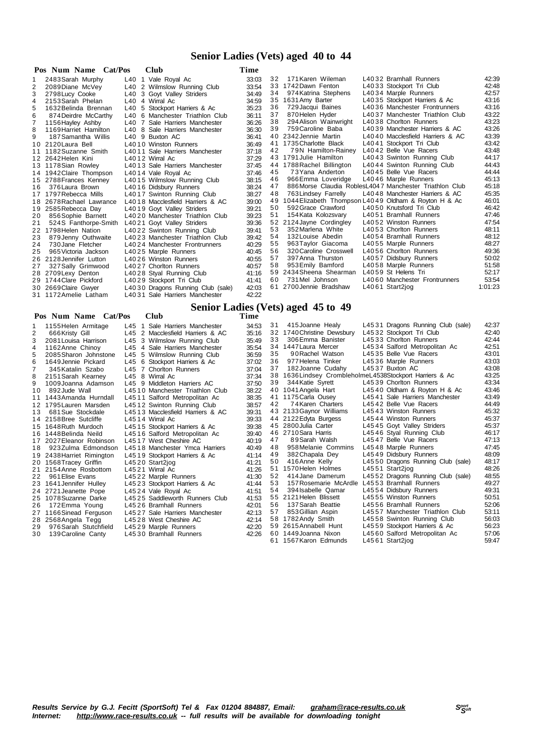### **Senior Ladies (Vets) aged 40 to 44**

|    | Pos Num Name Cat/Pos     | Club                              | Time  |    |                           |                                                          |         |
|----|--------------------------|-----------------------------------|-------|----|---------------------------|----------------------------------------------------------|---------|
|    | 2483 Sarah Murphy        | L40 1 Vale Royal Ac               | 33:03 | 32 | 171 Karen Wileman         | L4032 Bramhall Runners                                   | 42:39   |
| 2  | 2089Diane McVey          | L40 2 Wilmslow Running Club       | 33:54 |    | 33 1742 Dawn Fenton       | L4033 Stockport Tri Club                                 | 42:48   |
| 3  | 2798 Lucy Cooke          | L40 3 Goyt Valley Striders        | 34.49 | 34 | 974 Katrina Stephens      | L4034 Marple Runners                                     | 42:57   |
| 4  | 2153 Sarah Phelan        | L40 4 Wirral Ac                   | 34:59 | 35 | 1631 Amy Barter           | L4035 Stockport Harriers & Ac                            | 43:16   |
| 5  | 1632 Belinda Brennan     | L40 5 Stockport Harriers & Ac     | 35:23 | 36 | 729 Jacqui Baines         | L4036 Manchester Frontrunners                            | 43:16   |
| 6  | 874 Deirdre McCarthy     | L40 6 Manchester Triathlon Club   | 36:11 | 37 | 870 Helen Hyder           | L4037 Manchester Triathlon Club                          | 43:22   |
| 7  | 1156 Hayley Ashby        | L40 7 Sale Harriers Manchester    | 36:26 | 38 | 294 Alison Wainwright     | L4038 Chorlton Runners                                   | 43:23   |
| 8  | 1169 Harriet Hamilton    | L40 8 Sale Harriers Manchester    | 36:30 | 39 | 759 Caroline Baba         | L4039 Manchester Harriers & AC                           | 43:26   |
| 9  | 187 Samantha Willis      | L40 9 Buxton AC                   | 36:41 |    | 40 2342 Jennie Martin     | L4040 Macclesfield Harriers & AC                         | 43:39   |
|    | 10 2120 Laura Bell       | L4010 Winston Runners             | 36:49 |    | 41 1735 Charlotte Black   | L4041 Stockport Tri Club                                 | 43:42   |
|    | 11 1182 Suzanne Smith    | L4011 Sale Harriers Manchester    | 37:18 | 42 | 79N Hamilton-Rainey       | L4042 Belle Vue Racers                                   | 43:48   |
|    | 12 2642 Helen Kini       | L4012 Wirral Ac                   | 37:29 |    | 43 1791 Julie Hamilton    | L4043 Swinton Running Club                               | 44:17   |
|    | 13 1178 Sian Rowley      | L4013 Sale Harriers Manchester    | 37:45 |    | 44 1788 Rachel Billington | L4044 Swinton Running Club                               | 44:43   |
|    | 14 1942 Claire Thompson  | L4014 Vale Royal Ac               | 37:46 | 45 | 73 Yana Anderton          | L4045 Belle Vue Racers                                   | 44:44   |
|    | 15 2788 Frances Kenney   | L4015 Wilmslow Running Club       | 38:15 | 46 | 966 Emma Loveridge        | L4046 Marple Runners                                     | 45:13   |
| 16 | 376 Laura Brown          | L4016 Didsbury Runners            | 38:24 | 47 |                           | 886 Morse Claudia Robles L4047 Manchester Triathlon Club | 45:18   |
|    | 17 1797 Rebecca Mills    | L4017 Swinton Running Club        | 38:27 | 48 | 763 Lindsey Farrelly      | L4048 Manchester Harriers & AC                           | 45:35   |
|    | 18 2678 Rachael Lawrance | L4018 Macclesfield Harriers & AC  | 39:00 | 49 |                           | 1044 Elizabeth Thompson L4049 Oldham & Royton H & Ac     | 46:01   |
|    | 19 2585 Rebecca Day      | L4019 Goyt Valley Striders        | 39:21 | 50 | 592 Grace Crawford        | L4050 Knutsford Tri Club                                 | 46:42   |
| 20 | 856 Sophie Barnett       | L4020 Manchester Triathlon Club   | 39:23 | 51 | 154 Kata Kolozsvary       | L4051 Bramhall Runners                                   | 47:46   |
| 21 | 524S Fanthorpe-Smith     | L4021 Goyt Valley Striders        | 39:36 | 52 | 2124 Jayne Cordingley     | L4052 Winston Runners                                    | 47:54   |
|    | 22 1798 Helen Nation     | L4022 Swinton Running Club        | 39:41 | 53 | 352 Marlena White         | L4053 Chorlton Runners                                   | 48:11   |
| 23 | 879 Jenny Outhwaite      | L4023 Manchester Triathlon Club   | 39:42 | 54 | 132 Louise Abedin         | L4054 Bramhall Runners                                   | 48:12   |
| 24 | 730 Jane Fletcher        | L4024 Manchester Frontrunners     | 40:29 | 55 | 963 Taylor Giacoma        | L4055 Marple Runners                                     | 48:27   |
| 25 | 965 Victoria Jackson     | L4025 Marple Runners              | 40:45 | 56 | 320 Caroline Crosswell    | L4056 Chorlton Runners                                   | 49:36   |
|    | 26 2128 Jennifer Lutton  | L4026 Winston Runners             | 40:55 | 57 | 397 Anna Thurston         | L4057 Didsbury Runners                                   | 50:02   |
| 27 | 327 Sally Grimwood       | L4027 Chorlton Runners            | 40:57 | 58 | 953 Emily Bamford         | L4058 Marple Runners                                     | 51:58   |
|    | 28 2709 Lexy Denton      | L4028 Styal Running Club          | 41:16 | 59 | 2434 Sheena Shearman      | L4059 St Helens Tri                                      | 52:17   |
|    | 29 1744 Clare Pickford   | L4029 Stockport Tri Club          | 41:41 | 60 | 731 Mel Johnson           | L4060 Manchester Frontrunners                            | 53:54   |
|    | 30 2669 Claire Gwyer     | L4030 Dragons Running Club (sale) | 42:03 | 61 | 2700 Jennie Bradshaw      | L4061 Start2jog                                          | 1:01:23 |
|    | 31 1172 Amelie Latham    | L4031 Sale Harriers Manchester    | 42:22 |    |                           |                                                          |         |

## **Senior Ladies (Vets) aged 45 to 49**

|    |                           |         |                                  |       |    | $\frac{1}{2}$                                              |                                   |       |
|----|---------------------------|---------|----------------------------------|-------|----|------------------------------------------------------------|-----------------------------------|-------|
|    | Pos Num Name Cat/Pos      |         | <b>Club</b>                      | Time  |    |                                                            |                                   |       |
| 1  | 1155 Helen Armitage       | $L45$ 1 | Sale Harriers Manchester         | 34:53 | 31 | 415 Joanne Healy                                           | L4531 Dragons Running Club (sale) | 42:37 |
| 2  | 666 Kristy Gill           |         | L45 2 Macclesfield Harriers & AC | 35:16 |    | 32 1740 Christine Dewsbury                                 | L4532 Stockport Tri Club          | 42:40 |
| 3  | 2081 Louisa Harrison      |         | L45 3 Wilmslow Running Club      | 35:49 | 33 | 306 Emma Banister                                          | L4533 Chorlton Runners            | 42:44 |
| 4  | 1162Anne Chinoy           |         | L45 4 Sale Harriers Manchester   | 35:54 |    | 34 1447 Laura Mercer                                       | L4534 Salford Metropolitan Ac     | 42:51 |
| 5  | 2085 Sharon Johnstone     |         | L45 5 Wilmslow Running Club      | 36:59 | 35 | 90 Rachel Watson                                           | L4535 Belle Vue Racers            | 43:01 |
| 6  | 1649 Jennie Pickard       |         | L45 6 Stockport Harriers & Ac    | 37:02 | 36 | 977 Helena Tinker                                          | L4536 Marple Runners              | 43:03 |
|    | 345 Katalin Szabo         |         | L45 7 Chorlton Runners           | 37:04 | 37 | 182 Joanne Cudahy                                          | L4537 Buxton AC                   | 43:08 |
| 8  | 2151 Sarah Kearney        |         | L45 8 Wirral Ac                  | 37:34 |    | 38 1636 Lindsey Crombleholme L4538 Stockport Harriers & Ac |                                   | 43:25 |
| 9  | 1009 Joanna Adamson       |         | L45 9 Middleton Harriers AC      | 37:50 | 39 | 344 Katie Syrett                                           | L4539 Chorlton Runners            | 43:34 |
| 10 | 892 Jude Wall             |         | L4510 Manchester Triathlon Club  | 38:22 |    | 40 1041 Angela Hart                                        | L4540 Oldham & Royton H & Ac      | 43:46 |
|    | 11 1443 Amanda Hurndall   |         | L4511 Salford Metropolitan Ac    | 38:35 |    | 41 1175 Carla Ousey                                        | L4541 Sale Harriers Manchester    | 43:49 |
|    | 12 1795 Lauren Marsden    |         | L4512 Swinton Running Club       | 38:57 | 42 | 74 Karen Charters                                          | L4542 Belle Vue Racers            | 44:49 |
| 13 | 681 Sue Stockdale         |         | L4513 Macclesfield Harriers & AC | 39.31 |    | 43 2133 Gaynor Williams                                    | L4543 Winston Runners             | 45:32 |
|    | 14 2158 Bree Sutcliffe    |         | L4514 Wirral Ac                  | 39:33 |    | 44 2122 Edyta Burgess                                      | L4544 Winston Runners             | 45:37 |
|    | 15 1648 Ruth Murdoch      |         | L4515 Stockport Harriers & Ac    | 39:38 |    | 45 2800 Julia Carter                                       | L4545 Goyt Valley Striders        | 45:37 |
|    | 16 1448 Belinda Neild     |         | L4516 Salford Metropolitan Ac    | 39:40 |    | 46 2710 Sara Harris                                        | L4546 Styal Running Club          | 46:17 |
|    | 17 2027 Eleanor Robinson  |         | L4517 West Cheshire AC           | 40:19 | 47 | 89Sarah Walsh                                              | L4547 Belle Vue Racers            | 47:13 |
| 18 | 923 Zulma Edmondson       |         | L4518 Manchester Ymca Harriers   | 40:49 | 48 | 958 Melanie Commins                                        | L4548 Marple Runners              | 47:45 |
|    | 19 2438 Harriet Rimington |         | L4519 Stockport Harriers & Ac    | 41:14 | 49 | 382 Chapala Dey                                            | L4549 Didsbury Runners            | 48:09 |
|    | 20 1568 Tracey Griffin    |         | L4520 Start2jog                  | 41:21 | 50 | 416 Anne Kelly                                             | L4550 Dragons Running Club (sale) | 48:17 |
|    | 21 2154 Anne Rosbottom    |         | L4521 Wirral Ac                  | 41:26 | 51 | 1570 Helen Holmes                                          | L4551 Start2jog                   | 48:26 |
| 22 | 961 Elise Evans           |         | L4522 Marple Runners             | 41:30 | 52 | 414 Jane Damerum                                           | L4552 Dragons Running Club (sale) | 48:55 |
|    | 23 1641 Jennifer Hulley   |         | L4523 Stockport Harriers & Ac    | 41:44 | 53 | 157 Rosemarie McArdle                                      | L4553 Bramhall Runners            | 49:27 |
|    | 24 2721 Jeanette Pope     |         | L4524 Vale Roval Ac              | 41:51 | 54 | 394 Isabelle Qamar                                         | L4554 Didsbury Runners            | 49:31 |
|    | 25 1078 Suzanne Darke     |         | L4525 Saddleworth Runners Club   | 41.53 |    | 55 2121 Helen Blissett                                     | L4555 Winston Runners             | 50:51 |
| 26 | 172 Emma Young            |         | L4526 Bramhall Runners           | 42:01 | 56 | 137 Sarah Beattie                                          | L4556 Bramhall Runners            | 52:06 |
|    | 27 1166 Sinead Ferguson   |         | L4527 Sale Harriers Manchester   | 42:13 | 57 | 853 Gillian Aspin                                          | L4557 Manchester Triathlon Club   | 53:11 |
|    | 28 2568 Angela Tegg       |         | L4528 West Cheshire AC           | 42:14 |    | 58 1782 Andy Smith                                         | L4558 Swinton Running Club        | 56:03 |
| 29 | 976 Sarah Stutchfield     |         | L4529 Marple Runners             | 42:20 |    | 59 2615 Annabell Hunt                                      | L4559 Stockport Harriers & Ac     | 56:23 |
| 30 | 139 Caroline Canty        |         | L4530 Bramhall Runners           | 42:26 |    | 60 1449 Joanna Nixon                                       | L4560 Salford Metropolitan Ac     | 57:06 |
|    |                           |         |                                  |       |    | 61 1567 Karon Edmunds                                      | L4561 Start2jog                   | 59:47 |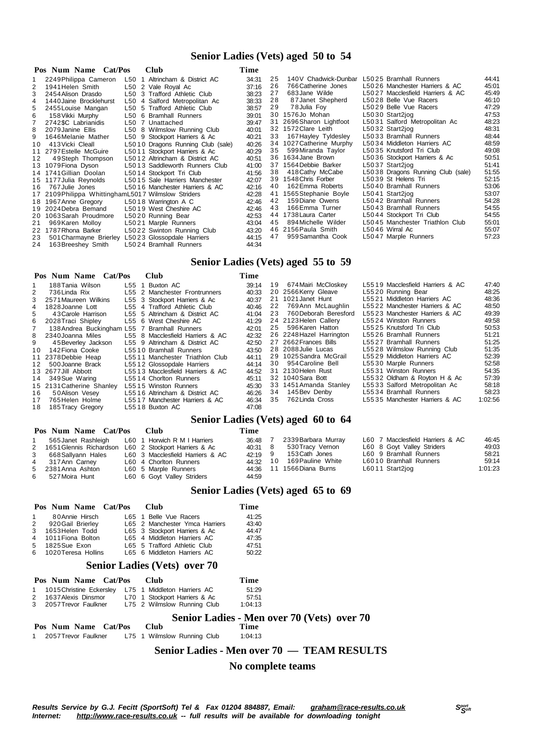#### **Senior Ladies (Vets) aged 50 to 54**

|    | Pos Num Name Cat/Pos                                 | <b>Club</b>                       | Time  |    |                          |                                   |       |
|----|------------------------------------------------------|-----------------------------------|-------|----|--------------------------|-----------------------------------|-------|
|    | 2249 Philippa Cameron                                | L50 1 Altrincham & District AC    | 34:31 | 25 | 140V Chadwick-Dunbar     | L5025 Bramhall Runners            | 44:41 |
| 2  | 1941 Helen Smith                                     | L50 2 Vale Roval Ac               | 37:16 | 26 | 766 Catherine Jones      | L5026 Manchester Harriers & AC    | 45:01 |
|    | 2454 Alison Drasdo                                   | L50 3 Trafford Athletic Club      | 38.23 | 27 | 683 Jane Wilde           | L5027 Macclesfield Harriers & AC  | 45:49 |
| 4  | 1440 Jaine Brocklehurst                              | L50 4 Salford Metropolitan Ac     | 38:33 | 28 | 87 Janet Shepherd        | L5028 Belle Vue Racers            | 46:10 |
| 5  | 2455 Louise Mangan                                   | L50 5 Trafford Athletic Club      | 38:57 | 29 | 78 Julia Foy             | L5029 Belle Vue Racers            | 47:29 |
| 6  | 158 Vikki Murphy                                     | L50 6 Bramhall Runners            | 39:01 |    | 30 1576Jo Mohan          | L5030 Start2iog                   | 47:53 |
|    | 2742\$C Labrianidis                                  | L50 7 Unattached                  | 39:47 |    | 31 2696 Sharon Lightfoot | L5031 Salford Metropolitan Ac     | 48:23 |
| 8  | 2079 Janine Ellis                                    | L50 8 Wilmslow Running Club       | 40:01 |    | 32 1572 Clare Leith      | L5032 Start2jog                   | 48:31 |
| 9  | 1646 Melanie Mather                                  | L50 9 Stockport Harriers & Ac     | 40:21 | 33 | 167 Hayley Tyldesley     | L5033 Bramhall Runners            | 48:44 |
| 10 | 413 Vicki Cleall                                     | L5010 Dragons Running Club (sale) | 40:26 |    | 34 1027 Catherine Murphy | L5034 Middleton Harriers AC       | 48:59 |
|    | 11 2797 Estelle McGuire                              | L5011 Stockport Harriers & Ac     | 40:29 | 35 | 599 Miranda Taylor       | L5035 Knutsford Tri Club          | 49:08 |
| 12 | 49Steph Thompson                                     | L5012 Altrincham & District AC    | 40:51 |    | 36 1634 Jane Brown       | L5036 Stockport Harriers & Ac     | 50:51 |
|    | 13 1079 Fiona Dyson                                  | L5013 Saddleworth Runners Club    | 41:00 |    | 37 1564 Debbie Barker    | L5037 Start2jog                   | 51:41 |
|    | 14 1741 Gillian Doolan                               | L5014 Stockport Tri Club          | 41:56 | 38 | 418 Cathy McCabe         | L5038 Dragons Running Club (sale) | 51:55 |
|    | 15 1177 Julia Reynolds                               | L5015 Sale Harriers Manchester    | 42:07 |    | 39 1548 Chris Forber     | L5039 St Helens Tri               | 52:15 |
| 16 | 767 Julie Jones                                      | L5016 Manchester Harriers & AC    | 42:16 | 40 | 162 Emma Roberts         | L5040 Bramhall Runners            | 53:06 |
|    | 17 2109 Philippa Whittingham L5017 Wilmslow Striders |                                   | 42:28 |    | 41 1565 Stephanie Boyle  | L5041 Start2jog                   | 53:07 |
|    | 18 1967 Anne Gregory                                 | L5018 Warrington A C              | 42:46 | 42 | 159 Diane Owens          | L5042 Bramhall Runners            | 54:28 |
|    | 19 2024 Debra Bemand                                 | L5019 West Cheshire AC            | 42:46 | 43 | 166Emma Turner           | L5043 Bramhall Runners            | 54:55 |
|    | 20 1063 Sarah Proudmore                              | L5020 Running Bear                | 42:53 |    | 44 1738 Laura Carter     | L5044 Stockport Tri Club          | 54:55 |
| 21 | 969 Karen Molloy                                     | L5021 Marple Runners              | 43:04 | 45 | 894 Michelle Wilder      | L5045 Manchester Triathlon Club   | 55:01 |
|    | 22 1787 Rhona Barker                                 | L5022 Swinton Running Club        | 43:20 |    | 46 2156 Paula Smith      | L5046 Wirral Ac                   | 55:07 |
| 23 | 501 Charmayne Brierley L5023 Glossopdale Harriers    |                                   | 44:15 | 47 | 959 Samantha Cook        | L5047 Marple Runners              | 57:23 |
| 24 | 163 Breeshev Smith                                   | L5024 Bramhall Runners            | 44:34 |    |                          |                                   |       |

### **Senior Ladies (Vets) aged 55 to 59**

|     | Pos Num Name Cat/Pos                         | <b>Club</b>                      | Time  |                          |                                  |         |
|-----|----------------------------------------------|----------------------------------|-------|--------------------------|----------------------------------|---------|
| 1   | 188Tania Wilson                              | L55 1 Buxton AC                  | 39:14 | 19 674 Mairi McCloskey   | L5519 Macclesfield Harriers & AC | 47:40   |
|     | 736 Linda Rix                                | L55 2 Manchester Frontrunners    | 40:33 | 20 2566 Kerry Gleave     | L5520 Running Bear               | 48:25   |
| 3   | 2571 Maureen Wilkins                         | L55 3 Stockport Harriers & Ac    | 40:37 | 21 1021 Janet Hunt       | L5521 Middleton Harriers AC      | 48:36   |
| 4   | 1828Joanne Lott                              | L55 4 Trafford Athletic Club     | 40:46 | 22 769Ann McLaughlin     | L5522 Manchester Harriers & AC   | 48:50   |
| 5.  | 43 Carole Harrison                           | L55 5 Altrincham & District AC   | 41:04 | 23 760 Deborah Beresford | L5523 Manchester Harriers & AC   | 49:39   |
|     | 6 2028Traci Shiplev                          | L55 6 West Cheshire AC           | 41:29 | 24 2123 Helen Callery    | L5524 Winston Runners            | 49:58   |
|     | 138 Andrea Buckingham L55 7 Bramhall Runners |                                  | 42:01 | 25 596 Karen Hatton      | L5525 Knutsford Tri Club         | 50:53   |
|     | 8 2340 Joanna Miles                          | L55 8 Macclesfield Harriers & AC | 42:32 | 26 2248 Hazel Harrington | L5526 Bramhall Runners           | 51:21   |
| 9   | 45 Beverley Jackson                          | L55 9 Altrincham & District AC   | 42:50 | 27 2662 Frances Bills    | L5527 Bramhall Runners           | 51:25   |
|     | 10 142 Fiona Cooke                           | L5510 Bramhall Runners           | 43:50 | 28 2088 Julie Lucas      | L5528 Wilmslow Running Club      | 51:35   |
|     | 11 2378 Debbie Heap                          | L5511 Manchester Triathlon Club  | 44:11 | 29 1025 Sandra McGrail   | L5529 Middleton Harriers AC      | 52:39   |
|     | 12 500 Joanne Brack                          | L5512 Glossopdale Harriers       | 44:14 | 30 954 Caroline Bell     | L5530 Marple Runners             | 52:58   |
|     | 13 2677Jill Abbott                           | L5513 Macclesfield Harriers & AC | 44:52 | 31 2130 Helen Rust       | L5531 Winston Runners            | 54:35   |
|     | 14 349 Sue Waring                            | L5514 Chorlton Runners           | 45:11 | 32 1040 Sara Bott        | L5532 Oldham & Royton H & Ac     | 57:39   |
|     | 15 2131 Catherine Shanley                    | L5515 Winston Runners            | 45:30 | 33 1451 Amanda Stanley   | L5533 Salford Metropolitan Ac    | 58:18   |
| 16. | 50Alison Vesev                               | L5516 Altrincham & District AC   | 46:26 | 34 145 Bev Denby         | L5534 Bramhall Runners           | 58:23   |
|     | 17 765 Helen Holme                           | L5517 Manchester Harriers & AC   | 46:34 | 35 762 Linda Cross       | L5535 Manchester Harriers & AC   | 1:02:56 |
|     | 18 185 Tracy Gregory                         | L5518 Buxton AC                  | 47:08 |                          |                                  |         |

# **Senior Ladies (Vets) aged 60 to 64**

| Pos Num Name Cat/Pos | Club -                                                  | Time    |    |                           |                                  |         |
|----------------------|---------------------------------------------------------|---------|----|---------------------------|----------------------------------|---------|
|                      | 565 Janet Rashleigh L60 1 Horwich R M I Harriers        | 36:48   |    | 2339 Barbara Murray       | L60 7 Macclesfield Harriers & AC | 46:45   |
|                      | 2 1651 Glennis Richardson L60 2 Stockport Harriers & Ac | 40:31 8 |    | 530 Tracy Vernon          | L60 8 Goyt Valley Striders       | 49:03   |
| 3 668 Sallyann Hales | L60 3 Macclesfield Harriers & AC                        | 42:19 9 |    | 153 Cath Jones            | L60 9 Bramhall Runners           | 58:21   |
| 4 317 Ann Carney     | L60 4 Chorlton Runners                                  | 44:32   | 10 | 169 Pauline White         | L6010 Bramhall Runners           | 59:14   |
| 5 2381 Anna Ashton   | L60 5 Marple Runners                                    |         |    | 44.36 11 1566 Diana Burns | L6011 Start2jog                  | 1:01:23 |
| 6 527 Moira Hunt     | L60 6 Goyt Valley Striders                              | 44.59   |    |                           |                                  |         |

#### **Senior Ladies (Vets) aged 65 to 69**

|   | Pos Num Name Cat/Pos | Club                           | Time  |
|---|----------------------|--------------------------------|-------|
| 1 | 80 Annie Hirsch      | L65 1 Belle Vue Racers         | 41:25 |
| 2 | 920 Gail Brierley    | L65 2 Manchester Ymca Harriers | 43:40 |
| 3 | 1653 Helen Todd      | L65 3 Stockport Harriers & Ac  | 44.47 |
| 4 | 1011 Fiona Bolton    | L65 4 Middleton Harriers AC    | 47:35 |
| 5 | 1825 Sue Exon        | L65 5 Trafford Athletic Club   | 47:51 |
| 6 | 1020Teresa Hollins   | L65 6 Middleton Harriers AC    | 50.22 |

#### **Senior Ladies (Vets) over 70**

| Pos Num Name Cat/Pos   | Club                                                   | Time                            |
|------------------------|--------------------------------------------------------|---------------------------------|
|                        | 1 1015 Christine Eckersley L75 1 Middleton Harriers AC | 51:29                           |
| 2 1637 Alexis Dinsmor  | L70 1 Stockport Harriers & Ac                          | 57:51                           |
| 3 2057 Trevor Faulkner | L75 2 Wilmslow Running Club                            | 1:04:13                         |
|                        |                                                        | <b>Senior Ladies - Men over</b> |

## **Senior Ladies - Men over 70 (Vets) over 70**

 **Pos Num Name Cat/Pos Club** 1 2057Trevor Faulkner L75 1 Wilmslow Running Club 1:04:13

#### **Senior Ladies - Men over 70 — TEAM RESULTS**

#### **No complete teams**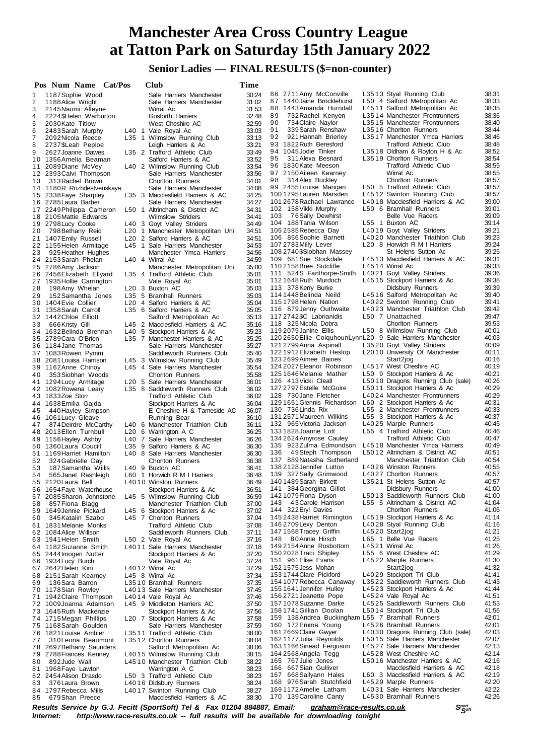**Senior Ladies — FINAL RESULTS (\$=non-counter)**

|    | Pos Num Name Cat/Pos      |       | Club                                                          | Time           |                                                              |                                                             |       |
|----|---------------------------|-------|---------------------------------------------------------------|----------------|--------------------------------------------------------------|-------------------------------------------------------------|-------|
| 1  | 1187 Sophie Wood          |       | Sale Harriers Manchester                                      | 30:24          | 86 2711 Amy McConville                                       | L3513 Styal Running Club                                    | 38:31 |
| 2  | 1188 Alice Wright         |       | Sale Harriers Manchester                                      | 31:02          | 87 1440 Jaine Brocklehurst                                   | L50 4 Salford Metropolitan Ac                               | 38:33 |
| 3  | 2145 Naomi Alleyne        |       | Wirral Ac                                                     | 31:53          | 88 1443 Amanda Hurndall                                      | L4511 Salford Metropolitan Ac                               | 38:35 |
| 4  | 2224\$Helen Warburton     |       | Gosforth Harriers                                             | 32:48          | 89<br>732 Rachel Kenyon                                      | L3514 Manchester Frontrunners                               | 38:36 |
| 5  | 2030 Kate Titlow          |       | West Cheshire AC                                              | 32:59          | 90<br>734 Claire Naylor                                      | L3515 Manchester Frontrunners                               | 38:40 |
| 6  | 2483 Sarah Murphy         |       | L40 1 Vale Royal Ac                                           | 33:03          | 91<br>339 Sarah Renshaw                                      | L3516 Chorlton Runners                                      | 38:44 |
| 7  | 2092 Nicola Reece         |       | L35 1 Wilmslow Running Club                                   | 33:13          | 92<br>921 Hannah Brierley                                    | L3517 Manchester Ymca Harriers                              | 38:46 |
| 8  | 2737\$Leah Peploe         |       | Leigh Harriers & Ac                                           | 33:21          | 93 1822 Ruth Beresford                                       | <b>Trafford Athletic Club</b>                               | 38:48 |
| 9  | 2627 Joanne Dawes         |       | L35 2 Trafford Athletic Club                                  | 33:49          | 94 1045 Jodie Tinker                                         | L3518 Oldham & Royton H & Ac                                | 38:52 |
|    | 10 1356 Amelia Beaman     |       | Salford Harriers & AC                                         | 33:52          | 95<br>311 Alexa Besnard                                      | L3519 Chorlton Runners                                      | 38:54 |
|    | 11 2089 Diane McVey       |       | L40 2 Wilmslow Running Club                                   | 33:54          | 96 1830 Kate Meeson                                          | <b>Trafford Athletic Club</b>                               | 38:55 |
|    | 12 2393 Calvi Thompson    |       | Sale Harriers Manchester                                      | 33:56          | 97 2150 Aileen Kearney                                       | Wirral Ac                                                   | 38:55 |
| 13 | 313 Rachel Brown          |       | <b>Chorlton Runners</b>                                       | 34:01          | 98<br>314 Alex Buckley                                       | <b>Chorlton Runners</b>                                     | 38:57 |
|    | 14 1180R Rozhdestvenskaya |       | Sale Harriers Manchester                                      | 34:08          | 99 2455 Louise Mangan                                        | L50 5 Trafford Athletic Club                                | 38:57 |
|    | 15 2338 Faye Sharpley     |       | L35 3 Macclesfield Harriers & AC                              | 34:25          | 1001795 Lauren Marsden                                       | L4512 Swinton Running Club                                  | 38:57 |
|    | 16 2785 Laura Barber      |       | Sale Harriers Manchester                                      | 34:27          | 101 2678 Rachael Lawrance                                    | L4018 Macclesfield Harriers & AC                            | 39:00 |
|    | 17 2249 Philippa Cameron  |       | L50 1 Altrincham & District AC                                | 34:31          | 102 158 Vikki Murphy                                         | L50 6 Bramhall Runners                                      | 39:01 |
|    | 18 2105 Mattie Edwards    |       | <b>Wilmslow Striders</b>                                      | 34:41          | 76Sally Dewhirst<br>103                                      | Belle Vue Racers                                            | 39:09 |
|    | 19 2798 Lucy Cooke        |       | L40 3 Goyt Valley Striders                                    | 34.49          | 104 188 Tania Wilson                                         | L55 1 Buxton AC                                             | 39:14 |
| 20 | 798 Bethany Reid          |       | L20 1 Manchester Metropolitan Uni                             | 34:51          | 1052585 Rebecca Day                                          | L4019 Goyt Valley Striders                                  | 39:21 |
|    | 21 1407 Emily Russell     |       | L <sub>20</sub> 2 Salford Harriers & AC                       | 34:51          | 106 856 Sophie Barnett                                       | L4020 Manchester Triathlon Club                             | 39:23 |
|    | 22 1155 Helen Armitage    |       | L45 1 Sale Harriers Manchester                                | 34:53          | 107 2783 Milly Lever                                         | L20 8 Horwich R M I Harriers                                | 39:24 |
| 23 | 925 Heather Hughes        |       | Manchester Ymca Harriers                                      | 34:56          | 1082740\$Siobhan Massey                                      | St Helens Sutton Ac                                         | 39:25 |
|    | 24 2153 Sarah Phelan      |       | L40 4 Wirral Ac                                               | 34:59          | 109 681 Sue Stockdale                                        | L4513 Macclesfield Harriers & AC                            | 39:31 |
|    | 25 2786 Amy Jackson       |       | Manchester Metropolitan Uni                                   | 35.00          | 1102158Bree Sutcliffe                                        | L4514 Wirral Ac                                             | 39:33 |
|    | 26 2456 Elizabeth Ellyard |       | L35 4 Trafford Athletic Club                                  | 35:01          | 111 524S Fanthorpe-Smith                                     | L4021 Goyt Valley Striders                                  | 39:36 |
|    | 27 1935 Hollie Carrington |       | Vale Royal Ac                                                 | 35:01          | 1121648 Ruth Murdoch                                         | L4515 Stockport Harriers & Ac                               | 39:38 |
| 28 | 198 Amy Whelan            |       | L20 3 Buxton AC                                               | 35.03          | 113 378 Kerry Burke                                          | Didsbury Runners                                            | 39:39 |
| 29 | 152 Samantha Jones        |       | L35 5 Bramhall Runners                                        | 35:03          | 1141448 Belinda Neild                                        | L4516 Salford Metropolitan Ac                               | 39:40 |
|    | 30 1404 Evie Collier      |       | L <sub>20</sub> 4 Salford Harriers & AC                       | 35:04          | 1151798 Helen Nation                                         | L4022 Swinton Running Club                                  | 39:41 |
|    | 31 1358 Sarah Carroll     |       | L35 6 Salford Harriers & AC                                   | 35.05          | 116 879 Jenny Outhwaite                                      | L4023 Manchester Triathlon Club                             | 39:42 |
|    | 32 1442 Chloe Elliott     |       | Salford Metropolitan Ac                                       | 35:13          | 117 2742 \$C Labrianidis                                     | L50 7 Unattached                                            | 39:47 |
| 33 | 666 Kristy Gill           |       | L45 2 Macclesfield Harriers & AC                              | 35:16          | 118 325 Nicola Dobra                                         | <b>Chorlton Runners</b>                                     | 39:53 |
|    | 34 1632 Belinda Brennan   |       | L40 5 Stockport Harriers & Ac                                 | 35:23          | 119 2079 Janine Ellis                                        | L50 8 Wilmslow Running Club                                 | 40:01 |
|    | 35 2789 Cara O'Brien      |       | L35 7 Manchester Harriers & AC                                | 35:25          | 120 2650 Ellie Colquhoun Lynn L20 9 Sale Harriers Manchester |                                                             | 40:03 |
|    |                           |       | Sale Harriers Manchester                                      | 35:27          | 121 2799 Anna Aspinall                                       | L3520 Goyt Valley Striders                                  | 40:09 |
|    | 36 1184 Jane Thomas       |       |                                                               | 35.40          | 122 1912 Elizabeth Heslop                                    | L2010 University Of Manchester                              | 40:11 |
|    | 37 1083 Rowen Pymm        |       | Saddleworth Runners Club                                      |                | 123 2699 Aimee Baines                                        | Start2jog                                                   | 40:16 |
|    | 38 2081 Louisa Harrison   |       | L45 3 Wilmslow Running Club<br>L45 4 Sale Harriers Manchester | 35:49<br>35:54 | 124 2027 Eleanor Robinson                                    | L4517 West Cheshire AC                                      | 40:19 |
|    | 39 1162 Anne Chinoy       |       |                                                               |                | 1251646Melanie Mather                                        | L50 9 Stockport Harriers & Ac                               | 40:21 |
| 40 | 353 Siobhan Woods         |       | <b>Chorlton Runners</b>                                       | 35:58          | 126 413 Vicki Cleall                                         | L5010 Dragons Running Club (sale)                           | 40:26 |
|    | 41 1294 Lucy Armitage     |       | L20 5 Sale Harriers Manchester                                | 36:01          | 127 2797 Estelle McGuire                                     | L5011 Stockport Harriers & Ac                               | 40:29 |
|    | 42 1082 Rowena Leary      |       | L35 8 Saddleworth Runners Club                                | 36:02          | 128 730 Jane Fletcher                                        | L4024 Manchester Frontrunners                               | 40:29 |
|    | 43 1833Zoe Storr          |       | <b>Trafford Athletic Club</b>                                 | 36:02          | 129 1651 Glennis Richardson                                  | L60 2 Stockport Harriers & Ac                               | 40:31 |
|    | 44 1638 Emilia Gajda      |       | Stockport Harriers & Ac                                       | 36:04          | 130 736 Linda Rix                                            |                                                             | 40:33 |
| 45 | 440 Hayley Simpson        |       | E Cheshire H & Tameside AC                                    | 36:07          | 131 2571 Maureen Wilkins                                     | L55 2 Manchester Frontrunners                               | 40:37 |
|    | 46 1061 Lucy Gleave       |       | Running Bear                                                  | 36:10          |                                                              | L55 3 Stockport Harriers & Ac                               | 40:45 |
| 47 | 874 Deirdre McCarthy      |       | L40 6 Manchester Triathlon Club                               | 36:11          | 132 965 Victoria Jackson                                     | L4025 Marple Runners<br>L55 4 Trafford Athletic Club        | 40:46 |
|    | 48 2013 Ellen Turnbull    |       | L20 6 Warrington A C                                          | 36:25          | 1331828Joanne Lott<br>134 2624 Amyrose Cauley                | <b>Trafford Athletic Club</b>                               | 40:47 |
|    | 49 1156 Hayley Ashby      |       | L40 7 Sale Harriers Manchester                                | 36:26          |                                                              | L4518 Manchester Ymca Harriers                              | 40:49 |
|    | 50 1360 Laura Coucill     | L35 9 | Salford Harriers & AC                                         | 36:30          | 135 923Zulma Edmondson                                       |                                                             |       |
|    | 51 1169 Harriet Hamilton  |       | L40 8 Sale Harriers Manchester                                | 36:30          | 136<br>49Steph Thompson                                      | L5012 Altrincham & District AC<br>Manchester Triathlon Club | 40:51 |
| 52 | 324 Gabrielle Day         |       | <b>Chorlton Runners</b>                                       | 36:38          | 137 889 Natasha Sutherland                                   |                                                             | 40:54 |
| 53 | 187 Samantha Willis       |       | L40 9 Buxton AC                                               | 36:41          | 1382128 Jennifer Lutton                                      | L4026 Winston Runners                                       | 40:55 |
| 54 | 565 Janet Rashleigh       |       | L60 1 Horwich R M I Harriers                                  | 36:48          | 139 327 Sally Grimwood                                       | L4027 Chorlton Runners                                      | 40:57 |
|    | 55 2120 Laura Bell        |       | L4010 Winston Runners                                         | 36:49          | 140 1489 Sarah Birkett                                       | L3521 St Helens Sutton Ac                                   | 40:57 |
|    | 56 1654 Faye Waterhouse   |       | Stockport Harriers & Ac                                       | 36:51          | 141 384 Georgina Gillot                                      | Didsbury Runners                                            | 41:00 |
| 57 | 2085 Sharon Johnstone     |       | L45 5 Wilmslow Running Club                                   | 36.59          | 1421079 Fiona Dyson                                          | L5013 Saddleworth Runners Club                              | 41:00 |
| 58 | 857 Fiona Blagg           |       | Manchester Triathlon Club                                     | 37:00          | 43 Carole Harrison<br>143                                    | L55 5 Altrincham & District AC                              | 41:04 |
|    | 59 1649 Jennie Pickard    |       | L45 6 Stockport Harriers & Ac                                 | 37:02          | 144 322 Eryl Davies                                          | <b>Choriton Runners</b>                                     | 41:06 |
| 60 | 345 Katalin Szabo         |       | L45 7 Chorlton Runners                                        | 37:04          | 145 2438 Harriet Rimington                                   | L4519 Stockport Harriers & Ac                               | 41:14 |
|    | 61 1831 Melanie Monks     |       | <b>Trafford Athletic Club</b>                                 | 37:08          | 146 2709 Lexy Denton                                         | L4028 Styal Running Club                                    | 41:16 |
|    | 62 1084 Alice Willson     |       | Saddleworth Runners Club                                      | 37:11          | 1471568 Tracey Griffin                                       | L4520 Start2jog                                             | 41:21 |
|    | 63 1941 Helen Smith       |       | L50 2 Vale Royal Ac                                           | 37:16          | 148<br>80 Annie Hirsch                                       | L65 1 Belle Vue Racers                                      | 41:25 |
|    | 64 1182 Suzanne Smith     |       | L4011 Sale Harriers Manchester                                | 37:18          | 149 2154 Anne Rosbottom                                      | L4521 Wirral Ac                                             | 41:26 |
|    | 65 2444 Imogen Nutter     |       | Stockport Harriers & Ac                                       | 37:20          | 150 2028 Traci Shipley                                       | L55 6 West Cheshire AC                                      | 41:29 |
|    | 66 1934 Lucy Burch        |       | Vale Royal Ac                                                 | 37:24          | 151 961 Elise Evans                                          | L4522 Marple Runners                                        | 41:30 |
|    | 67 2642 Helen Kini        |       | L4012 Wirral Ac                                               | 37:29          | 152 1575 Jess Mohan                                          | Start2jog                                                   | 41:32 |
| 68 | 2151 Sarah Kearney        |       | L45 8 Wirral Ac                                               | 37:34          | 153 1744 Clare Pickford                                      | L4029 Stockport Tri Club                                    | 41:41 |
| 69 | 136 Sara Barron           |       | L3510 Bramhall Runners                                        | 37:35          | 154 1077 Rebecca Canaway                                     | L3522 Saddleworth Runners Club                              | 41:43 |
|    | 70 1178 Sian Rowley       |       | L4013 Sale Harriers Manchester                                | 37:45          | 1551641 Jennifer Hulley                                      | L4523 Stockport Harriers & Ac                               | 41:44 |
|    | 71 1942 Claire Thompson   |       | L4014 Vale Royal Ac                                           | 37:46          | 156 2721 Jeanette Pope                                       | L4524 Vale Royal Ac                                         | 41:51 |
|    | 72 1009 Joanna Adamson    |       | L45 9 Middleton Harriers AC                                   | 37:50          | 1571078 Suzanne Darke                                        | L4525 Saddleworth Runners Club                              | 41:53 |
|    | 73 1645 Ruth Mackenzie    |       | Stockport Harriers & Ac                                       | 37:56          | 158 1741 Gillian Doolan                                      | L5014 Stockport Tri Club                                    | 41:56 |
|    | 74 1715 Megan Phillips    |       | L <sub>20</sub> 7 Stockport Harriers & Ac                     | 37:58          | 159 138 Andrea Buckingham L55 7 Bramhall Runners             |                                                             | 42:01 |
|    | 75 1168 Sarah Goulden     |       | Sale Harriers Manchester                                      | 37:59          | 160 172 Emma Young                                           | L4526 Bramhall Runners                                      | 42:01 |
|    | 76 1821 Louise Ambler     |       | L3511 Trafford Athletic Club                                  | 38:00          | 161 2669 Claire Gwyer                                        | L4030 Dragons Running Club (sale)                           | 42:03 |
| 77 | 310 Leona Beaumont        |       | L3512 Chorlton Runners                                        | 38:04          | 1621177 Julia Reynolds                                       | L5015 Sale Harriers Manchester                              | 42:07 |
|    | 78 2697 Bethany Saunders  |       | Salford Metropolitan Ac                                       | 38.06          | 1631166Sinead Ferguson                                       | L4527 Sale Harriers Manchester                              | 42:13 |
|    | 79 2788 Frances Kenney    |       | L4015 Wilmslow Running Club                                   | 38:15          | 164 2568 Angela Tegg                                         | L4528 West Cheshire AC                                      | 42:14 |
| 80 | 892 Jude Wall             |       | L4510 Manchester Triathlon Club                               | 38:22          | 165 767 Julie Jones                                          | L5016 Manchester Harriers & AC                              | 42:16 |
|    | 81 1968 Faye Lawton       |       | Warrington A C                                                | 38:23          | 166 667 Sian Gulliver                                        | Macclesfield Harriers & AC                                  | 42:18 |
|    | 82 2454 Alison Drasdo     |       | L50 3 Trafford Athletic Club                                  | 38:23          | 167 668 Sallyann Hales                                       | L60 3 Macclesfield Harriers & AC                            | 42:19 |
| 83 | 376 Laura Brown           |       | L4016 Didsbury Runners                                        | 38:24          | 168 976 Sarah Stutchfield                                    | L4529 Marple Runners                                        | 42:20 |
|    | 84 1797 Rebecca Mills     |       | L4017 Swinton Running Club                                    | 38:27          | 1691172 Amelie Latham                                        | L4031 Sale Harriers Manchester                              | 42:22 |
| 85 | 679 Shan Preece           |       | Macclesfield Harriers & AC                                    | 38:30          | 170 139 Caroline Canty                                       | L4530 Bramhall Runners                                      | 42:26 |

Results Service by G.J. Fecitt (SportSoft) Tel & Fax 01204 884887, Email: <u>[graham@race-results.co.uk](mailto:graham@race-results.co.uk)</u> S<sup>oon</sup><br>Internet: <u><http://www.race-results.co.uk></u> -- full results will be available for downloading tonight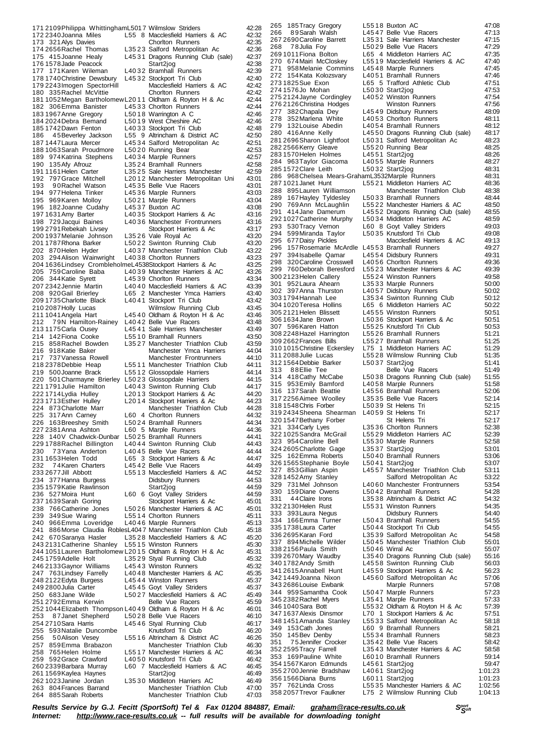171 2109 Philippa WhittinghamL5017 Wilmslow Striders 42:28<br>172 2340 Joanna Miles L55 8 Macclesfield Harriers & AC 42:32 173 172 173 172 2340 L55 8 Macclesfield Harriers & AC 42:32<br>Choriton Runners 42:35 173 321 Alys Davies Chorlton Runners 42:35<br>174 2656 Rachel Thomas L35 23 Salford Metropolitan Ac 42:36 L3523 Salford Metropolitan Ac 175 415Joanne Healy L45 31 Dragons Running Club (sale) 42:37<br>176 1578 Jade Peacock Start2iog 12:38 176 1578Jade Peacock - Elios Start2jog - Alexandr 176 1578Jade Peacock - Start2jog - 42:38<br>177 171 Karen Wileman - L40 32 Bramhall Runners - 42:39 177 177 178 1717 1720 1721 1722 1734 1742<br>177 171 171 171 172 1742:40 178 1740 Christine Dewsbury L45 32 Stockport Tri Club 42:40<br>179 2243 Imogen Spector Hill Macclesfield Harriers & AC 42:42 179 2243 Imogen SpectorHill Macclesfield Harriers & AC 42:42<br>180 335 Rachel McVittie Choriton Runners 42:42 180 335 Rachel McVittie 181 1052Megan BartholomewL20 1 1 Oldham & Royton H & Ac 42:44 182 306Emma Banister L45 3 3 Chorlton Runners 42:44 183 1967 Anne Journal Liss Chemical Martington A C 42:46<br>183 1967 Anne Gregory L50 18 Warrington A C 42:46<br>184 2024 Debra Bemand L50 19 West Cheshire AC 42:46 184 2024Debra Bemand L50 1 9 West Cheshire AC 42:46 185 1742Dawn Fenton L40 3 3 Stockport Tri Club 42:48 186 4 5Beverley Jackson L55 9 Altrincham & District AC 42:50 187 1447 Laura Mercer L45 34 Salford Metropolitan Ac 42:51<br>188 1063 Sarah Proudmore L50 20 Running Bear 47:53 189 12:53 L50 20 Running Bear 42:53<br>14034 Marple Runners 42:57 189 974 Katrina Stephens<br>190 135 Afy Afrouz 190 135Afy Afrouz 19524 Bramhall Runners 42:58<br>1911161 Helen Carter 19525 Sale Harriers Manchester 42:59 191 1161 Helen Carter L35 25 Sale Harriers Manchester 42:59<br>192 797 Grace Mitchell L2012 Manchester Metropolitan Uni 43:01 197 Grace Mitchell L2012 Manchester Metropolitan Uni<br>90 Rachel Watson L4535 Belle Vue Racers 193 9 0 Rachel Watson L45 35 Belle Vue Racers 43:01<br>194 977 Helena Tinker L45 36 Marole Runners 43:03 194 977 Helena Tinker L45 36 Marple Runners (43:03 43:03 L50 21 Marple Runners 196 182Joanne Cudahy L45 37 Buxton AC 43:08<br>19716 31 Amy Barter L40 35 Stockport Harriers & Ac 43:16 197 1631 Amy Barter L40 35 Stockport Harriers & Ac 43:16<br>198 729 Jacqui Baines L40 36 Manchester Frontrunners 43:16 1986 Manchester Frontrunners 43:16<br>Stockport Harriers & Ac 43:17 199 2791 Rebekah Livsey Stockport Harriers & Ac 43:17<br>199 200 1937 Melanie Johnson L35 26 Vale Royal Ac 43:20 200 1937 Melanie Johnson L35 26 Vale Royal Ac 43:20<br>201 1787 Rhona Barker 150 22 Swinton Running Club 43:20 L5022 Swinton Running Club 202 870 Helen Hyder L40 37 Manchester Triathlon Club 43:22<br>203 294 Alison Wainwright L40 38 Chorlton Runners 43:23 203 294Alison Wainwright L40 38 Chorlton Runners 43:23<br>204 1636Lindsey CrombleholmeL4538Stockport Harriers & Ac 43:25 204 1636Lindsey CrombleholmeL4538Stockport Harriers & Ac 43:25 205 759 Caroline Baba L40 39 Manchester Harriers & AC 43:26<br>206 344 Katie Syrett L45 39 Chorlton Runners 43:34 206 344Katie Syrett L45 39 Chorlton Runners 43:34<br>207 2342 Jennie Martin L40 40 Macclesfield Harriers & AC 43:39 207 2342Jennie Martin L40 4 0 Macclesfield Harriers & AC 43:39 208 920Gail Brierley L65 2 Manchester Ymca Harriers 43:40 209 1735Charlotte Black L40 4 1 Stockport Tri Club 43:42 210 2087Holly Lucas Wilmslow Running Club 43:45 21 145 40 Oldham & Royton H & Ac 43:46<br>140 4 2 Belle Vue Racers 43:48 211 1041 Angela Hart L45 40 Oldham & Royton H & Ac 43:46<br>212 7 9N Hamilton-Rainey L40 42 Belle Vue Racers 43:48<br>213 1175 Carla Ousey L45 41 Sale Harriers Manchester 43:49 213 1175 Carla Ousey L45 41 Sale Harriers Manchester 43:49<br>214 142 Fiona Cooke L55 10 Bramhall Runners 43:50 L55 10 Bramhall Runners 215 858 Rachel Bowden L35 27 Manchester Triathlon Club 43:59 216 918Katie Baker Manchester Ymca Harriers 44:04 217 737Vanessa Rowell Manchester Frontrunners 44:10 218 2378Debbie Heap L55 1 1 Manchester Triathlon Club 44:11 219 500Joanne Brack L5512 Glossopdale Harriers 44:14<br>220 501 Charmayne Brierley L5023 Glossopdale Harriers 44:15 220 501 Charmayne Brierley L50 23 Glossopdale Harriers 44:15<br>221 1791 Julie Hamilton L40 43 Swinton Running Club 44:17 L40 43 Swinton Running Club 222 1714Lydia Hulley L20 1 3 Stockport Harriers & Ac 44:20 223 1713Esther Hulley L20 1 4 Stockport Harriers & Ac 44:23 224 873Charlotte Marr Manchester Triathlon Club 44:28<br>225 317Ann Carney 160 4 Chorlton Runners 44:32 225 317Ann Carney L60 4 Chorlton Runners 1988 44:32<br>226 163Breeshey Smith L5024 Bramhall Runners 44:34 226 163Breeshey Śmith L50 24 Bramhall Runners 44:34<br>227 2381 Anna Ashton L60 5 Marple Runners 44:36 24.36 L60 5 Marple Runners 44:36<br>1.5025 Bramhall Runners 44:41 228 140V Chadwick-Dunbar L50 25 Bramhall Runners 44:41<br>229 1788 Rachel Billington L40 44 Swinton Running Club 44:43 L40 4 4 Swinton Running Club 230 73 Yana Anderton L40 45 Belle Vue Racers 44:44<br>231 1653 Helen Todd L65 3 Stockport Harriers & Ac 44:47 231 1653Helen Todd L65 3 Stockport Harriers & Ac 44:47 L45 42 Belle Vue Racers 233 2677 Jill Abbott L55 1 3 Macclesfield Harriers & AC 44:52<br>234 377 Hanna Burgess Didsbury Runners 44:53 234 377 Hanna Burgess Didsbury Runners 144:53<br>235 1579 Katie Rawlinson Start2jog 144:59 235 1579 Katie Rawlinson 236 527Moira Hunt L60 6 Goyt Valley Striders 44:59 237 1639Sarah Goring Stockport Harriers & Ac 45:01 238 766 Catherine Jones L50 26 Manchester Harriers & AC 45:01<br>239 349 Sue Waring L55 14 Chorlton Runners 45:11 239 349 Sue Waring L55 14 Chorlton Runners 45:11<br>240 966 Emma Loveridge L40 46 Marple Runners 45:13 240 966 Emma Loveridge L40 46 Marple Runners 45:13<br>241 886 Morse Claudia Robles 404 7 Manchester Triathlon Club 45:18 886 Morse Claudia RoblesL4047 Manchester Triathlon Club 242 670 Saranya Hasler L35 28 Macclesfield Harriers & AC 45:20<br>243 2131 Catherine Shanley L55 15 Winston Runners 45:30 243 2131 Catherine Shanley L55 15 Winston Runners 45:30<br>244 1051 Lauren Bartholomew L20 15 Oldham & Royton H & Ac 45:31 244 1051 Lauren Bartholomew L20 15 Oldham & Royton H & Ac 45:31<br>245 1759 Adelle Holt L35 29 Styal Running Club 45:32 L35 29 Styal Running Club 45:32<br>L45 43 Winston Runners 45:32 246 2133 Gaynor Williams L45 43 Winston Runners 45:32<br>247 763 Lindsey Farrelly L40 48 Manchester Harriers & AC 45:35 L40 4 8 Manchester Harriers & AC 248 2122Edyta Burgess L45 4 4 Winston Runners 45:37 249 2800 Julia Carter L45 45 Goyt Valley Striders 45:37 250 683Jane Wilde  $15027$  Macclesfield Harriers & AC 45:49 251 2792 Emma Kerwin Belle Vue Racers 45:59<br>252 251 2792 Emma Kerwin Belle Vue Racers 45:59<br>252 1044 Elizabeth Thompson 140 49 Oldham & Rovton H & Ac 252 1044 Elizabeth Thompson L40 49 Oldham & Royton H & Ac 46:01<br>253 87 Janet Shepherd L50 28 Belle Vue Racers 46:10 253 87 Janet Shepherd L50 28 Belle Vue Racers 46:10<br>254 2710 Sara Harris L45 46 Styal Running Club 46:17 26.17 L45 46 Styal Running Club 46:17<br>26:20 Knutsford Tri Club 255 593 Natalie Duncombe<br>256 50 Alison Vesev 256 50 Alison Vesey L55 16 Altrincham & District AC 46:26 257 859Emma Brabazon Manchester Triathlon Club 46:30 258 765 Helen Holme L55 17 Manchester Harriers & AC 46:34<br>259 592 Grace Crawford L40 50 Knutsford Tri Club 46:42 259 592Grace Crawford L40 50 Knutsford Tri Club<br>260 2339 Barbara Murray L60 7 Macclesfield Harrie 260 7 Macclesfield Harriers & AC 46:45<br>26:49 Start2jog 46:49 261 1569 Kaylea Haynes Start2jog 16:49<br>262 1023 Janine Jordan L35 30 Middleton Harriers AC 46:49 L35 30 Middleton Harriers AC 263 804Frances Barrand Manchester Triathlon Club 47:00 264 885Sarah Roberts Manchester Triathlon Club 47:03

308 2248 Hazel Harrington 355 2700 Jennie Bradshaw

265 185Tracy Gregory 1975 18 Buxton AC 17:08<br>1266 189Sarah Walsh 1975 1261 L4547 Belle Vue Racers 47:13 266 8 9Sarah Walsh L45 4 7 Belle Vue Racers 47:13 267 2690 Caroline Barrett L35 31 Sale Harriers Manchester 47:15<br>268 78 Julia Fov L50 29 Belle Vue Racers 47:29 268 78Julia Foy L5029 Belle Vue Racers 47:29<br>2691011 Fiona Bolton L65 4 Middleton Harriers AC 47:35 L65 4 Middleton Harriers AC 270 674 Mairi McCloskey L55 19 Macclesfield Harriers & AC 47:40<br>271 958 Melanie Commins L45 48 Marple Runners 40:45 271 958 Melanie Commins L45 48 Marple Runners 47:45<br>272 154 Kata Kolozsvary L40 51 Bramhall Runners 47:46 272 154Kata Kolozsvary L40 51 Bramhall Runners 47:46<br>273 1825 Sue Exon L65 5 Trafford Athletic Club 47:51 273 1825 Sue Exon L65 5 Trafford Athletic Club 47:51<br>274 1576 Jo Mohan L50 30 Start2ion 47:53 226 12753<br>1576 167630 L50 30 Start2jog 47:53<br>17:54 17:54 17:54 17:54 275 2124 Jayne Cordingley L40 52 Winston Runners<br>276 2126 Christina Hodges Winston Runners 276 2126Christina Hodges Winston Runners 47:56 277 382Chapala Dey L4549 Didsbury Runners 48:09<br>278 352Marlena White L4053 Chorlton Runners 48:11 278 352Marlena White 14053 Chorlton Runners 48:11<br>279 132Louise Abedin 14054 Bramhall Runners 48:12 279 132Louise Abedin L4054 Bramhall Runners 48:12<br>280 416Anne Kelly L4550 Dragons Running Club (sale) 48:17 280 416Anne Kelly L4550 Dragons Running Club (sale) 48:17<br>281 2696 Sharon Lightfoot L5031 Salford Metropolitan Ac 48:23 L5031 Salford Metropolitan Ac 282 2566Kerry Gleave L55 2 0 Running Bear 48:25 283 1570Helen Holmes L45 5 1 Start2jog 48:26 284 963Taylor Giacoma L4055 Marple Runners 48:27 285 1572Clare Leith L50 3 2 Start2jog 48:31 286 968Chelsea Mears-GrahamL3532Marple Runners 48:31 287 1021Janet Hunt L55 2 1 Middleton Harriers AC 48:36 288 895 Lauren Williamson Manchester Triath 289 167 Hayley Tyldesley L50 33 Bramhall Runners 48:44<br>290 769 Ann McLaughlin L55 22 Manchester Harriers & AC 48:50 290 769Ann McLaughlin L55 2 2 Manchester Harriers & AC 48:50 291 414 Jane Damerum L45 52 Dragons Running Club (sale) 48:55<br>292 1027 Catherine Murphy L50 34 Middleton Harriers AC 48:59 292 1027 Catherine Murphy L50 34 Middleton Harriers AC 48:59<br>293 530 Tracy Vernon L60 8 Goyt Valley Striders 49:03 530Tracy Vernon L60 8 Goyt Valley Striders<br>599Miranda Taylor L5035 Knutsford Tri Club 294 599Miranda Taylor L50 35 Knutsford Tri Club 49:08<br>295 677 Daisy Pickles Macclesfield Harriers & AC 49:13 295 677Daisy Pickles Macclesfield Harriers & AC 49:13 157 Rosemarie McArdle L45 53 Bramhall Runners<br>394 Isabelle Qamar 14554 Didsbury Runners 297 394 Isabelle Qamar L45 54 Didsbury Runners 49:31<br>298 320 Caroline Crosswell L40 56 Chorlton Runners 49:36 298 320Caroline Crosswell L40 56 Chorlton Runners 49:36<br>299 760 Deborah Beresford L55 23 Manchester Harriers & AC 49:39 299 760 Deborah Beresford L55 23 Manchester Harriers & AC 49:39<br>300 2123 Helen Callery L55 24 Winston Runners 49:58 300 2123Helen Callery L55 2 4 Winston Runners 49:58 301 952Laura Ahearn L35 3 3 Marple Runners 50:00 302 397Anna Thurston L4057 Didsbury Runners<br>303.1794Hannah Lee L3534 Swinton Running 303 1794Hannah Lee L35 3 4 Swinton Running Club 50:12 304 1020Teresa Hollins L65 6 Middleton Harriers AC 50:22 305 2121Helen Blissett L45 5 5 Winston Runners 50:51 306 1634 Jane Brown L50 36 Stockport Harriers & Ac 50:51<br>307 596 Karen Hatton L55 25 Knutsford Tri Club 50:53 207 1 5965 L5525 Knutsford Tri Club 50:53<br>121 51:21 51:21 51:21 309 2662 Frances Bills L55 27 Bramhall Runners 51:25<br>310 1015 Christine Eckersley L75 1 Middleton Harriers AC 51:29 310 1015 Christine Eckersley L75 1 Middleton Harriers AC 51:29<br>311 2088 Julie Lucas L55 28 Wilmslow Running Club 51:35 2155 28 Wilmslow Running Club 51:35<br>L5037 Start2jog 51:41 312 1564 Debbie Barker L50 37 Start2jog CD 51:41<br>313 88 Ellie Tee Belle Vue Racers 51:49 313 8 8 Ellie Tee Belle Vue Racers 51:49<br>314 418 Cathy McCabe L5038 Dragons Running Club (sale) 51:55 314 418Cathy McCabe L5038 Dragons Running Club (sale)<br>315 953 Emily Bamford L4058 Marple Runners<br>316 137 Sarah Beattie L4556 Bramhall Runners 315 953Emily Bamford L4058 Marple Runners 51:58<br>316 137Sarah Beattie L4556 Bramhall Runners 52:06 317 2256 Aimee Woolley L35 35 Belle Vue Racers 52:14<br>318 1548 Chris Forber L50 39 St Helens Tri 52:15 318 1548 Chris Forber L50 39 St Helens Tri 52:15<br>319 2434 Sheena Shearman L40 59 St Helens Tri 52:15 319 2434 Sheena Shearman L40 59 St Helens Tri 52:17<br>320 1547 Bethany Forber St Helens Tri 52:17 320 1547 Bethany Forber St Helens Tri 52:17<br>321 334 Carly Lyes L3536 Chorlton Runners 52:38 L3536 Chorlton Runners 52:38<br>L5529 Middleton Harriers AC 52:39 322 1025Sandra McGrail L55 2 9 Middleton Harriers AC 52:39 323 954 Caroline Bell L55 30 Marple Runners 52:58<br>324 2605 Charlotte Gage L35 37 Start2iog 53:01 324 2605Charlotte Gage L35 3 7 Start2jog 53:01 325 162Emma Roberts L50 4 0 Bramhall Runners 53:06 326 1565 Stephanie Boyle L50 41 Start 2jog 53:07 53:07<br>327 853 Gillian Aspin L45 57 Manchester Triathlon Club 53:11 14557 Manchester Triathlon Club 53:11<br>Salford Metropolitan Ac 53:22 328 1452Amy Stanley Salford Metropolitan Ac 53:22 14060 Manchester Frontrunners 330 159Diane Owens L5042 Bramhall Runners 54:28<br>331 44 Claire Irons L3538 Altrincham & District AC 54:32 331 4 4Claire Irons L35 3 8 Altrincham & District AC 54:32 332 2130Helen Rust L55 3 1 Winston Runners 54:35 333 393Laura Negus Didsbury Runners 54:40 334 166Emma Turner L5043 Bramhall Runners 54:55<br>335 1738 Laura Carter 1 5044 Stockport Tri Club 335 1738Laura Carter L50 4 4 Stockport Tri Club 54:55 336 2695 Karan Ford L35 39 Salford Metropolitan Ac 54:58<br>337 894 Michelle Wilder L50 45 Manchester Triathlon Club 55:01 13945 Manchester Triathlon Club 55:01<br>13946 Wirral Ac 55:07 338 2156 Paula Smith L50 46 Wirral Ac 55:07<br>339 2670 Mary Waudby L35 40 Dragons Running Club (sale) 55:16 339 2670 Mary Waudby L35 40 Dragons Running Club (sale) 55:16<br>340 1782 Andy Smith L45 58 Swinton Running Club 56:03 341 2615Annabell Hunt L45 5 9 Stockport Harriers & Ac 56:23 14560 Salford Metropolitan Ac 57:06<br>Marple Runners 57:08 343 2686 Louise Ewbank Marple Runners 57:08<br>344 959 Samantha Cook L5047 Marple Runners 57:23 344 959Samantha Cook L50 4 7 Marple Runners 57:23 345 2382 Rachel Myers L35 4 1 Marple Runners 57:33<br>346 1040 Sara Bott L55 32 Oldham & Rovton H & Ac 57:39 346 1040Sara Bott L55 3 2 Oldham & Royton H & Ac 57:39 347 1637Alexis Dinsmor L70 1 Stockport Harriers & Ac 57:51 L5533 Salford Metropolitan Ac 349 153Cath Jones L60 9 Bramhall Runners 58:21 350 145Bev Denby L55 34 Bramhall Runners 58:23<br>350 145Bev Denby L55 34 Bramhall Runners 58:23<br>351 75 Jennifer Crocker L35 42 Belle Vue Racers 58:42 351 75Jennifer Crocker L3542 Belle Vue Racers 58:42<br>352 2595 Tracy Farrell L3543 Manchester Harriers & AC 58:58 352 2595Tracy Farrell L35 4 3 Manchester Harriers & AC 58:58 16910 Bramhall Runners 59:14<br>14561 Start2jog 59:47 354 1567 Karon Edmunds L45 61 Start2jog 59:47<br>355 2700 Jennie Bradshaw L40 61 Start2jog 1:01:23 356 1566Diana Burns L60 1 1 Start2jog 1:01:23 15535 Manchester Harriers & AC 358 2057Trevor Faulkner L75 2 Wilmslow Running Club 1:04:13

Results Service by G.J. Fecitt (SportSoft) Tel & Fax 01204 884887, Email: [graham@race-results.co.uk](mailto:graham@race-results.co.uk)<br>Internet: http://www.race-results.co.uk -- full results will be available for downloading topight *Internet: <http://www.race-results.co.uk> -- full results will be available for downloading tonight*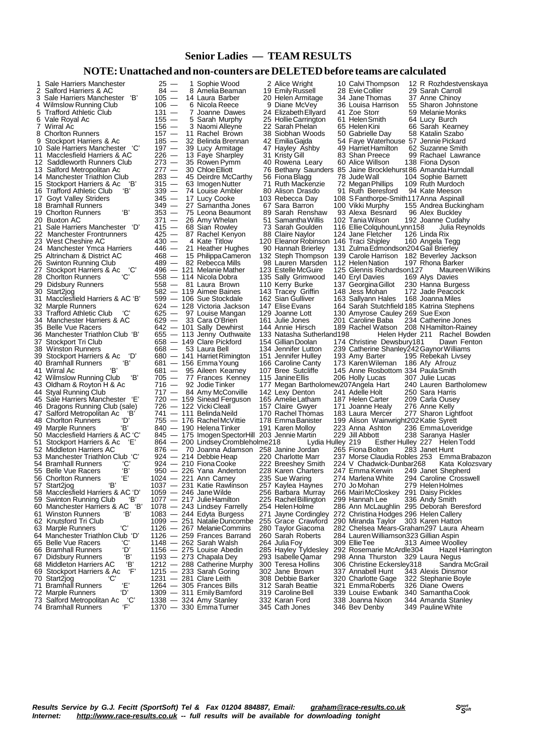### **Senior Ladies — TEAM RESULTS**

### **NOTE:Unattached and non-counters are DELETEDbefore teams are calculated**

| 1 | Sale Harriers Manchester                                        | $25 -$                   | 1 Sophie Wood                                        | 2 Alice Wright                                               | 10 Calvi Thompson                          | 12 R Rozhdestvenskaya                                       |
|---|-----------------------------------------------------------------|--------------------------|------------------------------------------------------|--------------------------------------------------------------|--------------------------------------------|-------------------------------------------------------------|
|   | 2 Salford Harriers & AC                                         | $84 -$                   | 8 Amelia Beaman                                      | 19 Emily Russell                                             | 28 Evie Collier                            | 29 Sarah Carroll                                            |
| 3 | Sale Harriers Manchester 'B'                                    | $105 -$                  | 14 Laura Barber                                      | 20 Helen Armitage                                            | 34 Jane Thomas                             | 37 Anne Chinoy                                              |
|   | 4 Wilmslow Running Club                                         | $106 -$                  | 6 Nicola Reece                                       | 9 Diane McVey                                                | 36 Louisa Harrison                         | 55 Sharon Johnstone                                         |
|   | 5 Trafford Athletic Club                                        | $131 -$                  | 7 Joanne Dawes                                       | 24 Elizabeth Ellyard                                         | 41 Zoe Storr                               | 59 Melanie Monks                                            |
|   | 6 Vale Royal Ac                                                 | $155 -$                  | 5 Sarah Murphy                                       | 25 Hollie Carrington                                         | 61 Helen Smith                             | 64 Lucy Burch                                               |
|   | 7 Wirral Ac                                                     | $156 -$                  | 3 Naomi Alleyne                                      | 22 Sarah Phelan                                              | 65 Helen Kini                              | 66 Sarah Kearney                                            |
|   | 8 Chorlton Runners                                              | $157 -$                  | 11 Rachel Brown                                      | 38 Siobhan Woods                                             | 50 Gabrielle Day                           | 58 Katalin Szabo                                            |
|   | 9 Stockport Harriers & Ac                                       | $185 -$                  | 32 Belinda Brennan                                   | 42 Emilia Gaida                                              | 54 Faye Waterhouse 57 Jennie Pickard       |                                                             |
|   | 10 Sale Harriers Manchester 'C'                                 | $197 -$                  | 39 Lucy Armitage                                     |                                                              | 49 Harriet Hamilton                        | 62 Suzanne Smith                                            |
|   |                                                                 |                          |                                                      | 47 Hayley Ashby                                              |                                            |                                                             |
|   | 11 Macclesfield Harriers & AC                                   | $226 -$                  | 13 Faye Sharpley                                     | 31 Kristy Gill                                               | 83 Shan Preece                             | 99 Rachael Lawrance                                         |
|   | 12 Saddleworth Runners Club                                     | $273 -$<br>$277 -$       | 35 Rowen Pymm                                        | 40 Rowena Leary                                              | 60 Alice Willson                           | 138 Fiona Dyson                                             |
|   | 13 Salford Metropolitan Ac                                      |                          | 30 Chloe Elliott                                     | 76 Bethany Saunders 85 Jaine Brocklehurst 86 Amanda Hurndall |                                            |                                                             |
|   | 14 Manchester Triathlon Club                                    | $283 -$                  | 45 Deirdre McCarthy                                  | 56 Fiona Blagg                                               | 78 Jude Wall                               | 104 Sophie Barnett                                          |
|   | 15 Stockport Harriers & Ac<br>'В'                               | $315 -$                  | 63 Imogen Nutter                                     | 71 Ruth Mackenzie                                            | 72 Megan Phillips                          | 109 Ruth Murdoch                                            |
|   | 16 Trafford Athletic Club<br>'Β'                                | $339 -$                  | 74 Louise Ambler                                     | 80 Alison Drasdo                                             | 91 Ruth Beresford                          | 94 Kate Meeson                                              |
|   | 17 Goyt Valley Striders                                         | $345 -$                  | 17 Lucy Cooke                                        | 103 Rebecca Day                                              | 108 S Fanthorpe-Smith 117 Anna Aspinall    |                                                             |
|   | 18 Bramhall Runners                                             | $349 -$                  | 27 Samantha Jones                                    | 67 Sara Barron                                               | 100 Vikki Murphy                           | 155 Andrea Buckingham                                       |
|   | 'В'<br>19 Chorlton Runners                                      | $353 -$                  | 75 Leona Beaumont                                    | 89 Sarah Renshaw                                             | 93 Alexa Besnard                           | 96 Alex Buckley                                             |
|   | 20 Buxton AC                                                    | 371 —                    | 26 Amy Whelan                                        | 51 Samantha Willis                                           | 102 Tania Wilson                           | 192 Joanne Cudahy                                           |
|   | 21 Sale Harriers Manchester 'D'                                 | 415 —                    | 68 Sian Rowley                                       | 73 Sarah Goulden                                             | 116 Ellie Colquhoun Lynn 158               | Julia Reynolds                                              |
|   | 22 Manchester Frontrunners                                      | 425 —                    | 87 Rachel Kenyon                                     | 88 Claire Naylor                                             | 124 Jane Fletcher                          | 126 Linda Rix                                               |
|   | 23 West Cheshire AC                                             | $430 -$                  | 4 Kate Titlow                                        | 120 Eleanor Robinson 146 Traci Shipley                       |                                            | 160 Angela Tegg                                             |
|   | 24 Manchester Ymca Harriers                                     | 446 —                    | 21 Heather Hughes                                    | 90 Hannah Brierley                                           | 131 Zulma Edmondson 204 Gail Brierley      |                                                             |
|   | 25 Altrincham & District AC                                     | 468 —                    | 15 Philippa Cameron                                  |                                                              |                                            | 132 Steph Thompson 139 Carole Harrison 182 Beverley Jackson |
|   | 26 Swinton Running Club                                         | 489 —                    | 82  Rebecca Mills                                    | 98 Lauren Marsden                                            | 112 Helen Nation                           | 197 Rhona Barker                                            |
|   | 27 Stockport Harriers & Ac<br>'C'                               |                          | 496 - 121 Melanie Mather                             | 123 Estelle McGuire                                          | 125 Glennis Richardson127                  | Maureen Wilkins                                             |
|   | 28 Chorlton Runners<br>'C'                                      |                          | 558 — 114 Nicola Dobra                               | 135 Sally Grimwood                                           | 140 Eryl Davies                            | 169 Alys Davies                                             |
|   | 29 Didsbury Runners                                             |                          | 558 - 81 Laura Brown                                 | 110 Kerry Burke                                              | 137 Georgina Gillot 230 Hanna Burgess      |                                                             |
|   | 30 Start2jog                                                    |                          | 582 — 119 Aimee Baines                               | 143 Tracey Griffin                                           | 148 Jess Mohan                             | 172 Jade Peacock                                            |
|   | 31 Macclesfield Harriers & AC 'B'                               |                          | 599 — 106 Sue Stockdale                              | 162 Sian Gulliver                                            | 163 Sallyann Hales 168 Joanna Miles        |                                                             |
|   | 32 Marple Runners                                               |                          | 624 - 128 Victoria Jackson                           | 147 Elise Evans                                              | 164 Sarah Stutchfield 185 Katrina Stephens |                                                             |
|   | 'C'<br>33 Trafford Athletic Club                                |                          | 625 — 97 Louise Mangan                               | 129 Joanne Lott                                              | 130 Amyrose Cauley 269 Sue Exon            |                                                             |
|   | 34 Manchester Harriers & AC                                     |                          | 629 - 33 Cara O'Brien                                | 161 Julie Jones                                              | 201 Caroline Baba                          | 234 Catherine Jones                                         |
|   | 35 Belle Vue Racers                                             |                          | 642 - 101 Sally Dewhirst                             | 144 Annie Hirsch                                             |                                            | 189 Rachel Watson 208 N Hamilton-Rainey                     |
|   | 36 Manchester Triathlon Club 'B'                                |                          | 655 - 113 Jenny Outhwaite                            | 133 Natasha Sutherland198                                    |                                            | Helen Hyder 211 Rachel Bowden                               |
|   | 37 Stockport Tri Club                                           |                          | 658 - 149 Clare Pickford                             | 154 Gillian Doolan                                           | 174 Christine Dewsbury181                  | Dawn Fenton                                                 |
|   | 38 Winston Runners                                              |                          | 668 - 53 Laura Bell                                  | 134 Jennifer Lutton                                          | 239 Catherine Shanley242 Gaynor Williams   |                                                             |
|   | 39 Stockport Harriers & Ac 'D'                                  |                          | 680 — 141 Harriet Rimington                          | 151 Jennifer Hulley                                          | 193 Amy Barter                             | 195 Rebekah Livsey                                          |
|   | 40 Bramhall Runners<br>'В'                                      |                          | 681 — 156 Emma Young                                 | 166 Caroline Canty                                           | 173 Karen Wileman 186 Afy Afrouz           |                                                             |
|   |                                                                 |                          |                                                      |                                                              |                                            |                                                             |
|   | Έ<br>41  Wirral Ac                                              |                          | 681 — 95 Aileen Kearney                              | 107 Bree Sutcliffe                                           | 145 Anne Rosbottom 334 Paula Smith         |                                                             |
|   | 'В'<br>42 Wilmslow Running Club                                 |                          | 705 - 77 Frances Kenney                              | 115 Janine Ellis                                             | 206 Holly Lucas                            | 307 Julie Lucas                                             |
|   | 43 Oldham & Royton H & Ac                                       |                          | 716 — 92 Jodie Tinker                                | 177 Megan Bartholomew207Angela Hart                          |                                            | 240 Lauren Bartholomew                                      |
|   | 44 Styal Running Club                                           |                          | 717 - 84 Amy McConville                              | 142 Lexy Denton                                              | 241 Adelle Holt                            | 250 Sara Harris                                             |
|   | 45 Sale Harriers Manchester 'E'                                 |                          | 720 - 159 Sinead Ferguson                            | 165 Amelie Latham                                            | 187 Helen Carter                           | 209 Carla Ousey                                             |
|   | 46 Dragons Running Club (sale)                                  |                          | 726 - 122 Vicki Cleall                               | 157 Claire Gwyer                                             | 171 Joanne Healy                           | 276 Anne Kelly                                              |
|   | 47 Salford Metropolitan Ac 'B'                                  |                          | 741 - 111 Belinda Neild                              | 170 Rachel Thomas                                            | 183 Laura Mercer                           | 277 Sharon Lightfoot                                        |
|   | ʻD'<br>48 Chorlton Runners                                      |                          | 755 — 176 Rachel McVittie                            | 178 Emma Banister                                            | 199 Alison Wainwright202 Katie Syrett      |                                                             |
|   | 'В'<br>49 Marple Runners                                        |                          | 840 — 190 Helena Tinker                              | 191 Karen Molloy                                             | 223 Anna Ashton                            | 236 Emma Loveridge                                          |
|   | 50 Macclesfield Harriers & AC 'C'                               |                          | 845 - 175 Imogen SpectorHill 203 Jennie Martin       |                                                              | 229 Jill Abbott                            | 238 Saranya Hasler                                          |
|   | 51 Stockport Harriers & Ac<br>'Е'                               |                          | 864 - 200 Lindsey Crombleholme218                    | Lydia Hulley 219                                             |                                            | Esther Hulley 227 Helen Todd                                |
|   | 52 Middleton Harriers AC                                        |                          | 876 — 70 Joanna Adamson 258 Janine Jordan            |                                                              | 265 Fiona Bolton                           | 283 Janet Hunt                                              |
|   | 53 Manchester Triathlon Club 'C'                                |                          | 924 — 214 Debbie Heap                                | 220 Charlotte Marr                                           |                                            | 237 Morse Claudia Robles 253 Emma Brabazon                  |
|   | 'C'<br>54 Bramhall Runners                                      |                          | 924 — 210 Fiona Cooke                                | 222 Breeshey Smith                                           | 224 V Chadwick-Dunbar268                   | Kata Kolozsvary                                             |
|   | 'B'<br>55 Belle Vue Racers                                      |                          | 950 — 226 Yana Anderton                              | 228 Karen Charters                                           | 247 Emma Kerwin                            | 249 Janet Shepherd                                          |
|   | 'Ε'<br>56 Chorlton Runners                                      |                          | 1024 — 221 Ann Carney                                | 235 Sue Waring                                               |                                            | 274 Marlena White 294 Caroline Crosswell                    |
|   | 57 Start2jog<br>'В'                                             |                          | 1037 - 231 Katie Rawlinson                           | 257 Kaylea Haynes                                            | 270 Jo Mohan                               | 279 Helen Holmes                                            |
|   | 58 Macclesfield Harriers & AC 'D'                               | 1059 - 246 Jane Wilde    |                                                      | 256 Barbara Murray                                           | 266 Mairi McCloskey 291 Daisy Pickles      |                                                             |
|   | 59 Swinton Running Club<br>Έ                                    |                          | 1077 - 217 Julie Hamilton                            | 225 Rachel Billington                                        | 299 Hannah Lee                             | 336 Andy Smith                                              |
|   | 'B'<br>60 Manchester Harriers & AC                              |                          | 1078 - 243 Lindsey Farrelly                          | 254 Helen Holme                                              |                                            | 286 Ann McLaughlin 295 Deborah Beresford                    |
|   | 61 Winston Runners<br>'В'                                       |                          | 1083 — 244 Edyta Burgess                             | 271 Jayne Cordingley                                         | 272 Christina Hodges 296 Helen Callery     |                                                             |
|   | 62 Knutsford Tri Club                                           |                          | 1099 - 251 Natalie Duncombe                          | 255 Grace Crawford                                           | 290 Miranda Taylor 303 Karen Hatton        |                                                             |
|   | 'С'<br>63 Marple Runners                                        |                          | 1126 - 267 Melanie Commins                           | 280 Taylor Giacoma                                           |                                            | 282 Chelsea Mears-Graham297 Laura Ahearn                    |
|   | 64 Manchester Triathlon Club 'D'                                |                          | 1126 - 259 Frances Barrand                           | 260 Sarah Roberts                                            | 284 Lauren Williamson323 Gillian Aspin     |                                                             |
|   | 65 Belle Vue Racers<br>'C'                                      |                          | $1148 - 262$ Sarah Walsh                             | 264 Julia Foy                                                | 309 Ellie Tee                              | 313 Aimee Woolley                                           |
|   | 66 Bramhall Runners<br>ʻD'                                      |                          | 1156 - 275 Louise Abedin                             | 285 Hayley Tyldesley                                         | 292 Rosemarie McArdle304                   | Hazel Harrington                                            |
|   | 'В'<br>67 Didsbury Runners                                      |                          | $1193 - 273$ Chapala Dey                             | 293 Isabelle Qamar                                           | 298 Anna Thurston                          | 329 Laura Negus                                             |
|   | 'В'<br>68 Middleton Harriers AC                                 |                          | 1212 - 288 Catherine Murphy                          | 300 Teresa Hollins                                           | 306 Christine Eckersley318                 | Sandra McGrail                                              |
|   | ʻF'<br>69 Stockport Harriers & Ac                               |                          | $1215 - 233$ Sarah Goring                            | 302 Jane Brown                                               | 337 Annabell Hunt                          | 343 Alexis Dinsmor                                          |
|   | 70 Start2jog<br>'C'                                             | $1231 - 281$ Clare Leith |                                                      | 308 Debbie Barker                                            | 320 Charlotte Gage                         | 322 Stephanie Boyle                                         |
|   | 'Е'<br>71 Bramhall Runners                                      |                          | $1264 - 305$ Frances Bills                           | 312 Sarah Beattie                                            | 321 EmmaRoberts                            | 326 Diane Owens                                             |
|   | ʻD'<br>72 Marple Runners                                        |                          | 1309 - 311 Emily Bamford                             | 319 Caroline Bell                                            | 339 Louise Ewbank                          | 340 Samantha Cook                                           |
|   | 'C'<br>73 Salford Metropolitan Ac<br>'F'<br>74 Bramhall Runners |                          | $1338 - 324$ Amy Stanley<br>$1370 - 330$ Emma Turner | 332 Karan Ford<br>345 Cath Jones                             | 338 Joanna Nixon<br>346 Bev Denby          | 344 Amanda Stanley<br>349 Pauline White                     |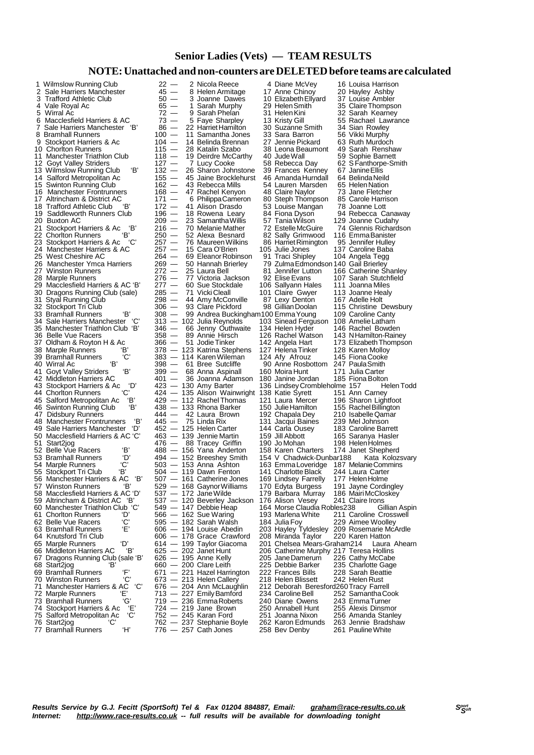#### **Senior Ladies (Vets) — TEAM RESULTS**

#### **NOTE:Unattached and non-counters are DELETEDbefore teams are calculated**

|   | 1 Wilmslow Running Club                                             | 22<br>$\overbrace{\phantom{123221111}}$ | 2 Nicola Reece                                         | 4 Diane McVey                                                          | 16 Louisa Harrison                                             |
|---|---------------------------------------------------------------------|-----------------------------------------|--------------------------------------------------------|------------------------------------------------------------------------|----------------------------------------------------------------|
| 2 | Sale Harriers Manchester                                            | $45 -$                                  | 8 Helen Armitage                                       | 17 Anne Chinoy                                                         | 20 Hayley Ashby                                                |
| 3 | Trafford Athletic Club                                              | $50 -$                                  | 3 Joanne Dawes                                         | 10 Elizabeth Ellyard                                                   | 37 Louise Ambler                                               |
|   | 4 Vale Royal Ac                                                     | $65 -$                                  | 1 Sarah Murphy                                         | 29  Helen Smith                                                        | 35 Claire Thompson                                             |
|   | 5 Wirral Ac                                                         | $72 -$                                  | 9 Sarah Phelan                                         | 31 Helen Kini                                                          | 32 Sarah Kearney                                               |
| 6 | Macclesfield Harriers & AC                                          | 73                                      | 5 Faye Sharpley                                        | 13 Kristy Gill                                                         | 55 Rachael Lawrance                                            |
|   | 7 Sale Harriers Manchester 'B'                                      | $86 -$                                  | 22 Harriet Hamilton                                    | 30 Suzanne Smith                                                       | 34 Sian Rowley                                                 |
|   | 8 Bramhall Runners                                                  | 100 —                                   | 11 Samantha Jones                                      | 33 Sara Barron                                                         | 56 Vikki Murphy                                                |
|   | 9 Stockport Harriers & Ac                                           | $104 -$                                 | 14 Belinda Brennan                                     | 27 Jennie Pickard                                                      | 63 Ruth Murdoch                                                |
|   | 10 Chorlton Runners                                                 | 115 —                                   | 28 Katalin Szabo                                       | 38 Leona Beaumont                                                      | 49 Sarah Renshaw                                               |
|   | 11 Manchester Triathlon Club                                        | $118 -$                                 | 19 Deirdre McCarthy                                    | 40 Jude Wall                                                           | 59 Sophie Barnett                                              |
|   | 12 Goyt Valley Striders                                             | $127 -$                                 | 7 Lucy Cooke                                           | 58 Rebecca Day                                                         | 62 S Fanthorpe-Smith                                           |
|   | 'В'<br>13 Wilmslow Running Club                                     | $132 -$                                 | 26 Sharon Johnstone                                    | 39 Frances Kenney                                                      | 67 Janine Ellis                                                |
|   | 14 Salford Metropolitan Ac                                          | $155 -$                                 | 45 Jaine Brocklehurst                                  | 46 Amanda Hurndall                                                     | 64 Belinda Neild                                               |
|   | 15 Swinton Running Club                                             | $162 -$                                 | 43 Rebecca Mills                                       | 54 Lauren Marsden                                                      | 65 Helen Nation                                                |
|   | 16 Manchester Frontrunners                                          | $168 -$                                 | 47 Rachel Kenyon                                       | 48 Claire Naylor                                                       | 73 Jane Fletcher                                               |
|   | 17 Altrincham & District AC                                         | $171 -$                                 | 6 Philippa Cameron                                     | 80 Steph Thompson                                                      | 85 Carole Harrison                                             |
|   | 18 Trafford Athletic Club<br>'В'                                    | $172 -$                                 | 41 Alison Drasdo                                       | 53 Louise Mangan                                                       | 78 Joanne Lott                                                 |
|   | 19 Saddleworth Runners Club                                         | 196 —                                   | 18 Rowena Leary                                        | 84 Fiona Dyson                                                         | 94 Rebecca Canaway                                             |
|   | 20 Buxton AC                                                        | $209 -$                                 | 23 Samantha Willis                                     | 57 Tania Wilson                                                        | 129 Joanne Cudahy                                              |
|   | 21 Stockport Harriers & Ac 'B'                                      | $216 -$                                 | 70 Melanie Mather                                      | 72 Estelle McGuire                                                     | 74 Glennis Richardson                                          |
|   | 'В'<br>22 Chorlton Runners                                          | 250 —                                   | 52 Alexa Besnard                                       | 82 Sally Grimwood                                                      | 116 Emma Banister                                              |
|   | 23 Stockport Harriers & Ac<br>'C'                                   | 257 —                                   | 76 Maureen Wilkins                                     | 86 Harriet Rimington                                                   | 95 Jennifer Hulley                                             |
|   | 24 Manchester Harriers & AC                                         | 257 —                                   | 15 Cara O'Brien                                        | 105 Julie Jones                                                        | 137 Caroline Baba                                              |
|   | 25 West Cheshire AC                                                 | 264 —                                   | 69 Eleanor Robinson                                    | 91 Traci Shipley                                                       | 104 Angela Tegg                                                |
|   | 26 Manchester Ymca Harriers                                         | $269 -$                                 | 50 Hannah Brierley                                     | 79 Zulma Edmondson 140 Gail Brierley                                   |                                                                |
|   | 27 Winston Runners                                                  | $272 -$                                 | 25 Laura Bell                                          | 81 Jennifer Lutton                                                     | 166 Catherine Shanley                                          |
|   | 28 Marple Runners                                                   | 276 —                                   | 77 Victoria Jackson                                    | 92 Elise Evans                                                         | 107 Sarah Stutchfield                                          |
|   | 29 Macclesfield Harriers & AC 'B'                                   | $277 -$                                 | 60 Sue Stockdale                                       | 106 Sallyann Hales                                                     | 111 Joanna Miles                                               |
|   | 30 Dragons Running Club (sale)                                      | 285 —                                   | 71 Vicki Cleall                                        | 101 Claire Gwyer                                                       | 113 Joanne Healy                                               |
|   | 31 Styal Running Club                                               | 298 —                                   | 44 Amy McConville                                      | 87 Lexy Denton                                                         | 167 Adelle Holt                                                |
|   | 32 Stockport Tri Club                                               | $306 -$                                 | 93 Clare Pickford                                      | 98 Gillian Doolan                                                      | 115 Christine Dewsbury                                         |
|   | ʻBʻ<br>33 Bramhall Runners                                          | 308 —                                   | 99 Andrea Buckingham100 Emma Young                     |                                                                        | 109 Caroline Canty                                             |
|   | 34 Sale Harriers Manchester 'C'                                     |                                         | 313 — 102 Julia Reynolds                               | 103 Sinead Ferguson 108 Amelie Latham                                  |                                                                |
|   | 35 Manchester Triathlon Club 'B'                                    | 346 —                                   | 66 Jenny Outhwaite                                     | 134 Helen Hyder                                                        | 146 Rachel Bowden                                              |
|   | 36 Belle Vue Racers                                                 | 358 —                                   | 89 Annie Hirsch                                        | 126 Rachel Watson                                                      | 143 NHamilton-Rainey                                           |
|   | 37 Oldham & Royton H & Ac                                           | 366 —                                   | 51 Jodie Tinker                                        | 142 Angela Hart                                                        | 173 Elizabeth Thompson                                         |
|   | 38 Marple Runners<br>Έ                                              |                                         | 378 — 123 Katrina Stephens                             | 127 Helena Tinker                                                      | 128 Karen Molloy                                               |
|   | 'С'<br>39 Bramhall Runners                                          |                                         | 383 - 114 Karen Wileman                                | 124 Afy Afrouz                                                         | 145 Fiona Cooke                                                |
|   | Έ<br>40 Wirral Ac                                                   |                                         | 398 — 61 Bree Sutcliffe                                | 90 Anne Rosbottom 247 Paula Smith                                      |                                                                |
|   | ʻBʻ<br>41 Goyt Valley Striders                                      | 399 —                                   | 68 Anna Aspinall                                       | 160 Moira Hunt                                                         | 171 Julia Carter                                               |
|   | 42 Middleton Harriers AC                                            | $401 -$                                 | 36 Joanna Adamson                                      | 180 Janine Jordan                                                      | 185 Fiona Bolton                                               |
|   | 43 Stockport Harriers & Ac<br>'D'                                   |                                         | 423 — 130 Amy Barter                                   | 136 Lindsey Crombleholme 157                                           | Helen Todd                                                     |
|   | 'C'<br>44 Chorlton Runners                                          |                                         | 424 — 135 Alison Wainwright 138 Katie Syrett           |                                                                        | 151 Ann Carney                                                 |
|   | 'В'<br>45 Salford Metropolitan Ac                                   |                                         | 429 — 112 Rachel Thomas                                | 121 Laura Mercer                                                       | 196 Sharon Lightfoot                                           |
|   | 'В'<br>46 Swinton Running Club                                      |                                         | 438 — 133 Rhona Barker                                 | 150 Julie Hamilton                                                     | 155 Rachel Billington                                          |
|   | 47 Didsbury Runners                                                 | 444 —                                   | 42 Laura Brown                                         | 192 Chapala Dey                                                        | 210 Isabelle Qamar                                             |
|   | 'В'<br>48 Manchester Frontrunners                                   | 445 —                                   | 75 Linda Rix                                           | 131 Jacqui Baines                                                      | 239 Mel Johnson                                                |
|   | 49 Sale Harriers Manchester 'D'                                     |                                         | 452 — 125 Helen Carter                                 | 144 Carla Ousey                                                        | 183 Caroline Barrett                                           |
|   | 50 Macclesfield Harriers & AC 'C'                                   |                                         | 463 — 139 Jennie Martin                                | 159 Jill Abbott                                                        | 165 Saranya Hasler                                             |
|   | 51 Start2jog                                                        |                                         | 476 - 88 Tracey Griffin                                | 190 Jo Mohan                                                           | 198 Helen Holmes                                               |
|   | 'В'<br>52 Belle Vue Racers                                          |                                         | 488 - 156 Yana Anderton                                | 158 Karen Charters                                                     | 174 Janet Shepherd                                             |
|   | ʻD'<br>53 Bramhall Runners                                          |                                         | 494 — 152 Breeshey Smith                               | 154 V Chadwick-Dunbar188                                               | Kata Kolozsvary                                                |
|   | 'С'<br>54 Marple Runners                                            |                                         | $503 - 153$ Anna Ashton                                | 163 Emma Loveridge                                                     | 187 Melanie Commins                                            |
|   | 'В'<br>55 Stockport Tri Club<br>'В'                                 |                                         | 504 — 119 Dawn Fenton                                  | 141 Charlotte Black                                                    | 244 Laura Carter                                               |
|   | 56 Manchester Harriers & AC<br>'B'                                  |                                         | 507 — 161 Catherine Jones<br>529 - 168 Gaynor Williams | 169 Lindsey Farrelly                                                   | 177 Helen Holme<br>191 Jayne Cordingley                        |
|   | 57 Winston Runners<br>58 Macclesfield Harriers & AC 'D'             |                                         |                                                        | 170 Edyta Burgess                                                      | 186 Mairi McCloskey                                            |
|   |                                                                     |                                         | 537 — 172 Jane Wilde                                   | 179 Barbara Murray                                                     |                                                                |
|   | 59 Altrincham & District AC 'B'<br>60 Manchester Triathlon Club 'C' |                                         | 537 - 120 Beverley Jackson                             | 176 Alison Vesey<br>164 Morse Claudia Robles238                        | 241 Claire Irons                                               |
|   | 61 Chorlton Runners<br>ʻDʻ                                          |                                         | 549 — 147 Debbie Heap<br>566 - 162 Sue Waring          | 193 Marlena White                                                      | Gillian Aspin<br>211 Caroline Crosswell                        |
|   | 'C'<br>62 Belle Vue Racers                                          |                                         | 595 — 182 Sarah Walsh                                  |                                                                        |                                                                |
|   | Έ'<br>63 Bramhall Runners                                           |                                         |                                                        | 184 Julia Foy                                                          | 229 Aimee Woolley                                              |
|   | 64 Knutsford Tri Club                                               |                                         | 606 — 194 Louise Abedin<br>606 — 178 Grace Crawford    | 208 Miranda Taylor                                                     | 203 Hayley Tyldesley 209 Rosemarie McArdle<br>220 Karen Hatton |
|   | 'D'                                                                 |                                         |                                                        |                                                                        |                                                                |
|   | 65 Marple Runners<br>'В'                                            |                                         | 614 — 199 Taylor Giacoma<br>625 - 202 Janet Hunt       | 201 Chelsea Mears-Graham214<br>206 Catherine Murphy 217 Teresa Hollins | Laura Ahearn                                                   |
|   | 66 Middleton Harriers AC<br>67 Dragons Running Club (sale 'B'       |                                         | 626 — 195 Anne Kelly                                   | 205 Jane Damerum                                                       |                                                                |
|   |                                                                     |                                         |                                                        |                                                                        | 226 Cathy McCabe                                               |
|   | 68 Start2jog<br>'В'<br>ʻF'                                          |                                         | $660 - 200$ Clare Leith                                | 225 Debbie Barker<br>222 Frances Bills                                 | 235 Charlotte Gage                                             |
|   | 69 Bramhall Runners<br>'C'<br>70 Winston Runners                    |                                         | 671 — 221 Hazel Harrington<br>673 - 213 Helen Callery  | 218 Helen Blissett                                                     | 228 Sarah Beattie<br>242 Helen Rust                            |
|   | 'С'<br>71 Manchester Harriers & AC                                  |                                         |                                                        | 212 Deborah Beresford260 Tracy Farrell                                 |                                                                |
|   | Έ'                                                                  |                                         | 676 — 204 Ann McLaughlin<br>713 - 227 Emily Bamford    | 234 Caroline Bell                                                      |                                                                |
|   | 72 Marple Runners<br>ʻGʻ<br>73 Bramhall Runners                     |                                         | 719 — 236 EmmaRoberts                                  | 240 Diane Owens                                                        | 252 Samantha Cook<br>243 EmmaTurner                            |
|   | 74 Stockport Harriers & Ac<br>'Е'                                   |                                         | 724 — 219 Jane Brown                                   | 250 Annabell Hunt                                                      | 255 Alexis Dinsmor                                             |
|   | 75 Salford Metropolitan Ac<br>'C'                                   |                                         | 752 — 245 Karan Ford                                   | 251 Joanna Nixon                                                       | 256 Amanda Stanley                                             |
|   | 76 Start2jog<br>'C'                                                 |                                         | 762 — 237 Stephanie Boyle                              | 262 Karon Edmunds                                                      | 263 Jennie Bradshaw                                            |
|   | ʻH'<br>77 Bramhall Runners                                          |                                         | 776 — 257 Cath Jones                                   | 258 Bev Denby                                                          | 261 Pauline White                                              |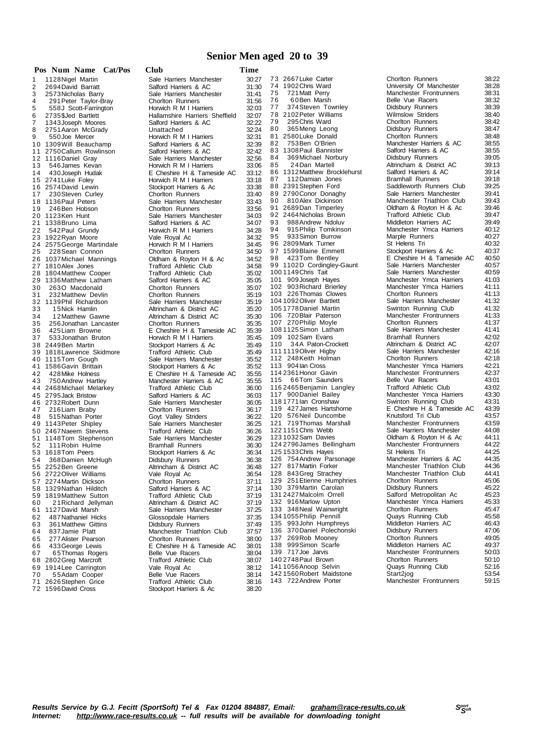#### **Senior Men aged 20 to 39**

|          |                     |                                         | Pos Num Name Cat/Pos | Club                                                    | Time         |
|----------|---------------------|-----------------------------------------|----------------------|---------------------------------------------------------|--------------|
| 1        | 1128 Nigel Martin   |                                         |                      | Sale Harriers Manchester                                | 30:2         |
| 2        |                     | 2694 David Barratt                      |                      | Salford Harriers & AC                                   | 31:3         |
| 3        |                     | 2573 Nicholas Barry                     |                      | Sale Harriers Manchester                                | 31:4         |
| 4        |                     | 291 Peter Taylor-Bray                   |                      | Chorlton Runners                                        | 31:5         |
| 5        |                     | 558J Scott-Farrington                   |                      | Horwich R M I Harriers                                  | 32:0         |
| 6        |                     | 2735\$Jed Bartlett                      |                      | Hallamshire Harriers Sheffield                          | 32:0         |
| 7        |                     | 1343 Joseph Moores                      |                      | Salford Harriers & AC                                   | 32:2         |
| 8        |                     | 2751 Aaron McGrady                      |                      | Unattached                                              | 32:2         |
| 9        | 550 Joe Mercer      |                                         |                      | Horwich R M I Harriers                                  | 32:3         |
| 10       |                     | 1309 Will Beauchamp                     |                      | Salford Harriers & AC                                   | 32:3         |
| 11<br>12 | 1116 Daniel Gray    | 2750 Callum Rowlinson                   |                      | Salford Harriers & AC<br>Sale Harriers Manchester       | 32:4<br>32:5 |
| 13       |                     | 546 James Kevan                         |                      | Horwich R M I Harriers                                  | 33:0         |
| 14       |                     | 430 Joseph Hudak                        |                      | E Cheshire H & Tameside AC                              | 33:1         |
| 15       | 2741 Luke Foley     |                                         |                      | Horwich R M I Harriers                                  | 33:1         |
| 16       | 2574 David Lewin    |                                         |                      | Stockport Harriers & Ac                                 | 33:3         |
| 17       |                     | 230 Steven Curley                       |                      | Chorlton Runners                                        | 33.4         |
| 18       | 1136 Paul Peters    |                                         |                      | Sale Harriers Manchester                                | 33.4         |
| 19       | 246 Ben Hobson      |                                         |                      | <b>Chorlton Runners</b>                                 | 33:5         |
| 20       | 1123Ken Hunt        |                                         |                      | Sale Harriers Manchester                                | 34.0         |
| 21       | 1338 Bruno Lima     |                                         |                      | Salford Harriers & AC                                   | 34.0         |
| 22       |                     | 542 Paul Grundy                         |                      | Horwich R M I Harriers                                  | 34:2         |
| 23       | 1922 Ryan Moore     |                                         |                      | Vale Royal Ac                                           | 34:3         |
| 24       |                     | 2575 George Martindale                  |                      | Horwich R M I Harriers                                  | 34:4         |
| 25       |                     | 228 Sean Connon                         |                      | <b>Chorlton Runners</b>                                 | 34:5         |
| 26       |                     | 1037 Michael Mannings                   |                      | Oldham & Royton H & Ac                                  | 34:5         |
| 27<br>28 | 1810Alex Jones      | 1804 Matthew Cooper                     |                      | <b>Trafford Athletic Club</b><br>Trafford Athletic Club | 34:5<br>35:0 |
| 29       |                     | 1336 Matthew Latham                     |                      | Salford Harriers & AC                                   | 35.0         |
| 30       |                     | 2630 Macdonald                          |                      | Chorlton Runners                                        | 35:0         |
| 31       |                     | 232 Matthew Devlin                      |                      | <b>Chorlton Runners</b>                                 | 35:1         |
| 32       |                     | 1139Phil Richardson                     |                      | Sale Harriers Manchester                                | 35:1         |
| 33       |                     | 15 Nick Hamlin                          |                      | Altrincham & District AC                                | 35:2         |
| 34       |                     | 12Matthew Gawne                         |                      | Altrincham & District AC                                | 35:3         |
| 35       |                     | 256 Jonathan Lancaster                  |                      | Chorlton Runners                                        | 35:3         |
| 36       |                     | 425 Liam Browne                         |                      | E Cheshire H & Tameside AC                              | 35:3         |
| 37       |                     | 533 Jonathan Bruton                     |                      | Horwich R M I Harriers                                  | 35.4         |
| 38       | 2449Ben Martin      |                                         |                      | Stockport Harriers & Ac                                 | 35.4         |
| 39       |                     | 1818 Lawrence Skidmore                  |                      | <b>Trafford Athletic Club</b>                           | 35:4         |
| 40<br>41 | 1115Tom Gough       |                                         |                      | Sale Harriers Manchester                                | 35:5         |
| 42       |                     | 1586 Gavin Brittain                     |                      | Stockport Harriers & Ac<br>E Cheshire H & Tameside AC   | 35:5<br>35:5 |
| 43       |                     | 428 Mike Holness<br>750 Andrew Hartley  |                      | Manchester Harriers & AC                                | 35:5         |
| 44       |                     | 2468 Michael Melarkey                   |                      | <b>Trafford Athletic Club</b>                           | 36:0         |
| 45       | 2795 Jack Bristow   |                                         |                      | Salford Harriers & AC                                   | 36:0         |
|          | 46 2732 Robert Dunn |                                         |                      | Sale Harriers Manchester                                | 36:0         |
| 47       | 216Liam Braby       |                                         |                      | <b>Chorlton Runners</b>                                 | 36:1         |
| 48       |                     | 515 Nathan Porter                       |                      | Goyt Valley Striders                                    | 36.2         |
| 49       |                     | 1143 Peter Shipley                      |                      | Sale Harriers Manchester                                | 36:2         |
| 50       |                     | 2467 Naeem Stevens                      |                      | <b>Trafford Athletic Club</b>                           | 36:2         |
| 51       |                     | 1148Tom Stephenson                      |                      | Sale Harriers Manchester                                | 36:2         |
| 52       |                     | 111 Robin Hulme                         |                      | <b>Bramhall Runners</b>                                 | 36:3         |
| 53       | 1618Tom Peers       |                                         |                      | Stockport Harriers & Ac                                 | 36:3<br>36:3 |
| 54       |                     | 368 Damien McHugh<br>55 2252 Ben Greene |                      | Didsbury Runners<br>Altrincham & District AC            | 36:4         |
| 56       |                     | 2722 Oliver Williams                    |                      | Vale Royal Ac                                           | 36:5         |
| 57       |                     | 2274 Martin Dickson                     |                      | <b>Chorlton Runners</b>                                 | 37:1         |
| 58       |                     | 1329 Nathan Hilditch                    |                      | Salford Harriers & AC                                   | 37:1         |
| 59       |                     | 1819 Matthew Sutton                     |                      | <b>Trafford Athletic Club</b>                           | 37:1         |
| 60       |                     | 21 Richard Jellyman                     |                      | Altrincham & District AC                                | 37:1         |
| 61       | 1127 David Marsh    |                                         |                      | Sale Harriers Manchester                                | 37:2         |
| 62       |                     | 487 Nathaniel Hicks                     |                      | Glossopdale Harriers                                    | 37:3         |
| 63       |                     | 361 Matthew Gittins                     |                      | Didsbury Runners                                        | 37.4         |
| 64       | 837 Jamie Platt     |                                         |                      | Manchester Triathlon Club                               | 37.5         |
| 65       |                     | 277 Alister Pearson                     |                      | <b>Chorlton Runners</b>                                 | 38:0         |
| 66       |                     | 433 George Lewis                        |                      | E Cheshire H & Tameside AC                              | 38:0         |
| 67       |                     | 65 Thomas Rogers<br>2802 Greg Marcroft  |                      | Belle Vue Racers<br><b>Trafford Athletic Club</b>       | 38:0<br>38:0 |
| 68<br>69 |                     | 1914 Lee Carrington                     |                      | Vale Royal Ac                                           | 38:1         |
| 70       |                     | 55Adam Cooper                           |                      | Belle Vue Racers                                        | 38:1         |
| 71       |                     | 2626Stephen Grice                       |                      | <b>Trafford Athletic Club</b>                           | 38:1         |
| 72       | 1596 David Cross    |                                         |                      | Stockport Harriers & Ac                                 | 38:2         |
|          |                     |                                         |                      |                                                         |              |

7 3 2667Luke Carter Chorlton Runners 38:22 9 0 810Alex Dickinson Manchester Triathlon Club 39:43 111 1119 Oliver Higby 117 900Daniel Bailey 138 999Simon Scarfe<br>139 717Joe Jarvis 142 1560 Robert Maidstone

7 4 1902Chris Ward University Of Manchester 38:28 7 5 721Matt Perry Manchester Frontrunners 38:31 7 6 6 0Ben Marsh Belle Vue Racers 38:32 7 7 374Steven Townley Didsbury Runners 38:39 2102 Peter Williams Wilmslow Striders 38:40<br>295 Chris Ward Chortton Runners 38:42 7 9 295Chris Ward Chorlton Runners 38:42 80 365Meng Leong **Didsbury Runners** 38:47 8 1 2580Luke Donald Chorlton Runners 38:48 8 2 753 Ben O'Brien Manchester Harriers & AC 38:55<br>83 1308 Paul Bannister Salford Harriers & AC 38:55 8 3 1308Paul Bannister Salford Harriers & AC 38:55 Didsbury Runners 85 24Dan Martell **Altrincham & District AC** 39:13<br>86 1312Matthew Brocklehurst Salford Harriers & AC 39:14 8 6 1312Matthew Brocklehurst Salford Harriers & AC 39:14<br>87 112Damian Jones Bramhall Runners 39:18 87 112Damian Jones Bramhall Runners 39:18<br>88 2391 Stephen Ford Saddleworth Runners Club 39:25 8 82391 Stephen Ford Saddleworth Runners Club 39:25<br>8 927 90 Conor Donaghy Sale Harriers Manchester 39:41 89 2790Conor Donaghy Sale Harriers Manchester 39:41<br>90 810Alex Dickinson Manchester Triathlon Club 39:43 9 1 2689Dan Timperley Oldham & Royton H & Ac 39:46 9 2 2464Nicholas Brown Trafford Athletic Club 39:47 9 988 988 Andrew Ndoluv Middleton Harriers AC 39:49<br>94 915 Philip Tomkinson Manchester Ymca Harriers 40:12 94 915Philip Tomkinson Manchester Ymca Harriers 40:12<br>95 933Simon Burrow Marple Runners 40:27 era 933 Simon Burrow Marple Runners 40:27<br>9 6 2809 Mark Turner St Helens Tri 40:32 96 2809Mark Turner St Helens Tri 40:32<br>97 1599Blaine Emmett Stockport Harriers & Ac 40:37 97 1599Blaine Emmett Stockport Harriers & Ac 40:37<br>98 423Tom Bentley F Cheshire H & Tameside AC 40:50 98 423Tom Bentley **E Cheshire H & Tameside AC** 40:50 99 1102D Cordingley-Gaunt Sale Harriers Manchester 40:57 100 1149 Chris Tait Sale Harriers Manchester 40:59<br>
101 909 Joseph Hayes Manchester Ymca Harriers 41:03 101 909Joseph Hayes Manchester Ymca Harriers 41:03<br>102 903 Richard Brierley Manchester Ymca Harriers 41:11 Manchester Ymca Harriers 41:11<br>Chorlton Runners 41:13 103 226Thomas Clowes Chorlton Runners 41:13<br>104 1092 Oliver Bartlett Chorles Sale Harriers Manchester 41:32 104 1092 Oliver Bartlett Sale Harriers Manchester 41:32<br>105 1778 Daniel Martin Swinton Running Club 41:32 Swinton Running Club 106 720Blair Paterson Manchester Frontrunners 41:33 107 107 270 Philip Moyle Chorlton Runners 41:37<br>125 270 Philip Moyle Chorlton Runners 41:41<br>125 270 Philip Moyle Sale Harriers Manchester 41:41 108 1125 Simon Latham Sale Harriers Manchester 11:41<br>109 102 Sam Evans Sale Harriers Manchester 41:41<br>109 102 Sam Evans Bramhall Runners 42:02 109 102 Sam Evans Bramhall Runners 42:02<br>110 34A Paton-Crockett Altrincham & District AC 42:07 11 Altrincham & District AC 42:07<br>
12:16 Sale Harriers Manchester 42:16 112 248Keith Holman Chorlton Runners 42:18 113 904Ian Cross Manchester Ymca Harriers 42:21 114 2361Honor Gavin Manchester Frontrunners 42:37 116 6 6Tom Saunders 115 Belle Vue Racers 116 43:01<br>165 Benjamin Langley 117 116 116 116 43:02 116 2465Benjamin Langley Trafford Athletic Club 43:02 118 1771Ian Cronshaw Swinton Running Club 43:31 119 427James Hartshorne E Cheshire H & Tameside AC 43:39 120 576Neil Duncombe Knutsford Tri Club 43:57 121 719Thomas Marshall Manchester Frontrunners 43:59<br>1221151Chris Webb 12 Sale Harriers Manchester 44:08 122 1151 Chris Webb Sale Harriers Manchester 44:08<br>123 1032 Sam Davies Oldham & Royton H & Ac 44:11 Oldham & Royton H & Ac 44:11<br>Manchester Frontrunners 44:22 124 2796 James Bellingham Manchester Frontrunners 44:22<br>
125 1533 Chris Hayes St Helens Tri 44:25<br>
126 754 Andrew Parsonage Manchester Harriers & AC 44:35 125 1533Chris Hayes St Helens Tri 44:25 126 754Andrew Parsonage Manchester Harriers & AC 44:35 127 817 Manchester Triathlon Club 44:36<br>128 843 Greg Strachey Manchester Triathlon Club 44:41 128 843Greg Strachey **Manchester Triathlon Club** 44:41<br>129 251 Etienne Humphries Chorlton Runners 45:06 129 251Etienne Humphries Chorlton Runners 45:06 130 379Martin Carolan Didsbury Runners 45:22 131 2427Malcolm Orrell Salford Metropolitan Ac 45:23 132 916Marlow Upton Manchester Ymca Harriers 45:33 133 348Neal Wainwright Chorlton Runners 1934<br>134 1055Philip Pennill Chorlton Runners 1945-58 134 1055 Philip Pennill Country Countries Running Club 45:58<br>135 993 John Humphreys Middleton Harriers AC 46:43 135 9935 9936<br>Middleton Harriers AC 46:43<br>Didsbury Runners 47:06 136 370 Daniel Polechonski Didsbury Runners 47:06<br>137 269 Rob Mooney Chorlton Runners 49:05 137 Chorlton Runners<br>
Middleton Harriers AC 49:37 139 717Joe Jarvis Manchester Frontrunners 50:03 140 2748Paul Brown Chorlton Runners 50:10 141 1056 Anoop Selvin **Causa Causes Access Cover 142 1560 Robert Maidstone Start Start 2jog 53:54**<br>142 1560 Robert Maidstone Start 2jog 53:54 143 722Andrew Porter Manchester Frontrunners 59:15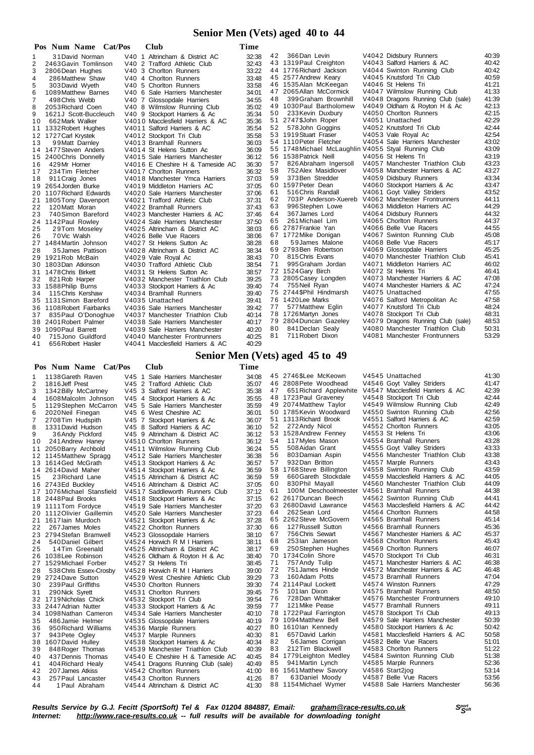### **Senior Men (Vets) aged 40 to 44**

| Pos            | Num Name Cat/Pos         | <b>Club</b>                      | Time  |    |                                                     |                                   |       |
|----------------|--------------------------|----------------------------------|-------|----|-----------------------------------------------------|-----------------------------------|-------|
| 1              | 31 David Norman          | V40 1 Altrincham & District AC   | 32:38 | 42 | 366Dan Levin                                        | V4042 Didsbury Runners            | 40:39 |
| 2              | 2463 Gavin Tomlinson     | V40 2 Trafford Athletic Club     | 32:43 |    | 43 1319 Paul Creighton                              | V4043 Salford Harriers & AC       | 40:42 |
| 3              | 2806 Dean Hughes         | V40 3 Chorlton Runners           | 33:22 |    | 44 1776 Richard Jackson                             | V4044 Swinton Running Club        | 40:42 |
| 4              | 286 Matthew Shaw         | V40 4 Chorlton Runners           | 33:48 |    | 45 2577 Andrew Keary                                | V4045 Knutsford Tri Club          | 40:59 |
| 5              | 303 David Wyeth          | V40 5 Chorlton Runners           | 33:58 |    | 46 1535 Alan McKeegan                               | V4046 St Helens Tri               | 41:21 |
| 6              | 1089 Matthew Barnes      | V40 6 Sale Harriers Manchester   | 34:01 |    | 47 2065 Allan McCormick                             | V4047 Wilmslow Running Club       | 41:33 |
| $\overline{7}$ | 498 Chris Webb           | V40 7 Glossopdale Harriers       | 34:55 | 48 | 399 Graham Brownhill                                | V4048 Dragons Running Club (sale) | 41:39 |
| 8              | 2053 Richard Coen        | V40 8 Wilmslow Running Club      | 35:02 |    | 49 1030 Paul Bartholomew                            | V4049 Oldham & Royton H & Ac      | 42:13 |
| 9              | 1621J Scott-Buccleuch    | V40 9 Stockport Harriers & Ac    | 35:34 | 50 | 233 Kevin Duxbury                                   | V4050 Chorlton Runners            | 42:15 |
| 10             | 662 Mark Walker          | V4010 Macclesfield Harriers & AC | 35:36 |    | 51 2747\$John Roper                                 | V4051 Unattached                  | 42:29 |
|                | 11 1332 Robert Hughes    | V4011 Salford Harriers & AC      | 35:54 | 52 | 578 John Goggins                                    | V4052 Knutsford Tri Club          | 42:44 |
|                | 12 1727 Carl Krystek     | V4012 Stockport Tri Club         | 35:58 |    | 53 1919 Stuart Fraser                               | V4053 Vale Royal Ac               | 42:54 |
| 13             | 99 Matt Darnley          | V4013 Bramhall Runners           | 36:03 |    | 54 1110 Peter Fletcher                              | V4054 Sale Harriers Manchester    | 43:02 |
|                | 14 1477 Steven Anders    | V4014 St Helens Sutton Ac        | 36:09 |    | 55 1748 Michael McLaughlin V4055 Styal Running Club |                                   | 43:09 |
|                | 15 2400 Chris Donnelly   | V4015 Sale Harriers Manchester   | 36:12 |    | 56 1538 Patrick Neill                               | V4056 St Helens Tri               | 43:19 |
| 16             | 429 Mr Horner            | V4016 E Cheshire H & Tameside AC | 36:30 | 57 | 826 Abraham Ingersoll                               | V4057 Manchester Triathlon Club   | 43:23 |
| 17             | 234 Tim Fletcher         | V4017 Chorlton Runners           | 36:32 | 58 | 752 Alex Masidlover                                 | V4058 Manchester Harriers & AC    | 43:27 |
| 18             | 911 Craig Jones          | V4018 Manchester Ymca Harriers   | 37:03 | 59 | 373 Ben Stredder                                    | V4059 Didsbury Runners            | 43:34 |
|                | 19 2654 Jorden Burke     | V4019 Middleton Harriers AC      | 37:05 |    | 60 1597 Peter Dean                                  | V4060 Stockport Harriers & Ac     | 43:47 |
|                | 20 1107 Richard Edwards  | V4020 Sale Harriers Manchester   | 37:06 | 61 | 516 Chris Randall                                   | V4061 Goyt Valley Striders        | 43:52 |
|                | 21 1805 Tony Davenport   | V4021 Trafford Athletic Club     | 37:31 | 62 | 703P Anderson-Xuereb                                | V4062 Manchester Frontrunners     | 44:11 |
| 22             | 120 Matt Moran           | V4022 Bramhall Runners           | 37:43 | 63 | 996Stephen Lowe                                     | V4063 Middleton Harriers AC       | 44:29 |
| 23             | 740 Simon Bareford       | V4023 Manchester Harriers & AC   | 37:46 | 64 | 367 James Lord                                      | V4064 Didsbury Runners            | 44:32 |
|                | 24 1142 Paul Rowley      | V4024 Sale Harriers Manchester   | 37:50 | 65 | 261 Michael Lim                                     | V4065 Chorlton Runners            | 44:37 |
| 25             | 29Tom Moseley            | V4025 Altrincham & District AC   | 38:03 |    | 66 2787 Frankie Yan                                 | V4066 Belle Vue Racers            | 44:55 |
| 26             | 70Vic Walsh              | V4026 Belle Vue Racers           | 38:06 |    | 67 1772 Mike Donigan                                | V4067 Swinton Running Club        | 45:08 |
|                | 27 1484 Martin Johnson   | V4027 St Helens Sutton Ac        | 38:28 | 68 | 59 James Malone                                     | V4068 Belle Vue Racers            | 45:17 |
| 28             | 35 James Pattison        | V4028 Altrincham & District AC   | 38:34 |    | 69 2793 Ben Robertson                               | V4069 Glossopdale Harriers        | 45:25 |
|                | 29 1921 Rob McBain       | V4029 Vale Royal Ac              | 38:43 | 70 | 815 Chris Evans                                     | V4070 Manchester Triathlon Club   | 45:41 |
|                | 30 1803Dan Atkinson      | V4030 Trafford Athletic Club     | 38:54 | 71 | 995 Graham Jordan                                   | V4071 Middleton Harriers AC       | 46:02 |
|                | 31 1478 Chris Birkett    | V4031 St Helens Sutton Ac        | 38:57 |    | 72 1524 Gary Birch                                  | V4072 St Helens Tri               | 46:41 |
| 32             | 821 Rob Harper           | V4032 Manchester Triathlon Club  | 39:25 |    | 73 2805 Casey Longden                               | V4073 Manchester Harriers & AC    | 47:08 |
|                | 33 1588 Philip Burns     | V4033 Stockport Harriers & Ac    | 39:40 | 74 | 755 Neil Ryan                                       | V4074 Manchester Harriers & AC    | 47:24 |
| 34             | 115 Chris Kershaw        | V4034 Bramhall Runners           | 39:40 |    | 75 2744 \$Phil Hindmarsh                            | V4075 Unattached                  | 47:55 |
|                | 35 1131 Simon Bareford   | V4035 Unattached                 | 39:41 |    | 76 1420 Lee Marks                                   | V4076 Salford Metropolitan Ac     | 47:58 |
|                | 36 1108 Robert Fairbanks | V4036 Sale Harriers Manchester   | 39:42 | 77 | 577 Matthew Eglin                                   | V4077 Knutsford Tri Club          | 48:24 |
| 37             | 835 Paul O'Donoghue      | V4037 Manchester Triathlon Club  | 40:14 |    | 78 1726 Martyn Jones                                | V4078 Stockport Tri Club          | 48:31 |
|                | 38 2401 Robert Palmer    | V4038 Sale Harriers Manchester   | 40:17 |    | 79 2804 Duncan Gazeley                              | V4079 Dragons Running Club (sale) | 48:53 |
|                | 39 1090 Paul Barrett     | V4039 Sale Harriers Manchester   | 40:20 | 80 | 841 Declan Sealy                                    | V4080 Manchester Triathlon Club   | 50:31 |
| 40             | 715 Jono Guildford       | V4040 Manchester Frontrunners    | 40:25 | 81 | 711 Robert Dixon                                    | V4081 Manchester Frontrunners     | 53:29 |
| 41             | 656 Robert Hasler        | V4041 Macclesfield Harriers & AC | 40:29 |    |                                                     |                                   |       |

# **Senior Men (Vets) aged 45 to 49**

|                | Pos Num Name Cat/Pos       | <b>Club</b>                       | Time  |    |                          |                                  |       |
|----------------|----------------------------|-----------------------------------|-------|----|--------------------------|----------------------------------|-------|
| 1              | 1138 Gareth Raven          | V45 1 Sale Harriers Manchester    | 34:08 |    | 45 2746 SLee McKeown     | V4545 Unattached                 | 41:30 |
| $\overline{2}$ | 1816 Jeff Prest            | V45 2 Trafford Athletic Club      | 35:07 |    | 46 2808 Pete Woodhead    | V4546 Goyt Valley Striders       | 41:47 |
| 3              | 1342 Billy McCartney       | V45 3 Salford Harriers & AC       | 35:38 | 47 | 651 Richard Applewhite   | V4547 Macclesfield Harriers & AC | 42:39 |
| 4              | 1608 Malcolm Johnson       | V45 4 Stockport Harriers & Ac     | 35:55 |    | 48 1723 Paul Graveney    | V4548 Stockport Tri Club         | 42:44 |
| 5              | 1129 Stephen McCarron      | V45 5 Sale Harriers Manchester    | 35:59 | 49 | 2074 Matthew Taylor      | V4549 Wilmslow Running Club      | 42:49 |
| 6              | 2020 Neil Finegan          | V45 6 West Cheshire AC            | 36:01 |    | 50 1785 Kevin Woodward   | V4550 Swinton Running Club       | 42:56 |
| 7              | 2708Tim Hudspith           | V45 7 Stockport Harriers & Ac     | 36:07 |    | 51 1313 Richard Brook    | V4551 Salford Harriers & AC      | 42:59 |
| 8              | 1331 David Hudson          | V45 8 Salford Harriers & AC       | 36:10 | 52 | 272 Andy Nicol           | V4552 Chorlton Runners           | 43:05 |
| 9              | 36Andy Pickford            | V45 9 Altrincham & District AC    | 36:12 |    | 53 1528 Andrew Fenney    | V4553 St Helens Tri              | 43:06 |
| 10             | 241 Andrew Haney           | V4510 Chorlton Runners            | 36:12 | 54 | 117 Myles Mason          | V4554 Bramhall Runners           | 43:28 |
| 11             | 2050 Barry Archbold        | V4511 Wilmslow Running Club       | 36:24 | 55 | 508 Aidan Grant          | V4555 Goyt Valley Striders       | 43:33 |
|                | 12 1145 Matthew Spragg     | V4512 Sale Harriers Manchester    | 36:38 | 56 | 803 Damian Aspin         | V4556 Manchester Triathlon Club  | 43:38 |
|                | 13 1614 Ged McGrath        | V4513 Stockport Harriers & Ac     | 36:57 | 57 | 932Dan Britton           | V4557 Marple Runners             | 43:43 |
| 14             | 2614 David Maher           | V4514 Stockport Harriers & Ac     | 36:59 |    | 58 1768 Steve Billington | V4558 Swinton Running Club       | 43:59 |
| 15             | 23 Richard Lane            | V4515 Altrincham & District AC    | 36:59 | 59 | 660 Gareth Stockdale     | V4559 Macclesfield Harriers & AC | 44:05 |
|                | 16 2743Ed Buckley          | V4516 Altrincham & District AC    | 37:05 | 60 | 830 Phil Mayall          | V4560 Manchester Triathlon Club  | 44:09 |
|                | 17 1076 Michael Stansfield | V4517 Saddleworth Runners Club    | 37:12 | 61 | 100M Deschoolmeester     | V4561 Bramhall Runners           | 44:38 |
|                | 18 2448 Paul Brooks        | V4518 Stockport Harriers & Ac     | 37:15 |    | 62 2617 Duncan Beech     | V4562 Swinton Running Club       | 44:41 |
|                | 19 1111 Tom Fordyce        | V4519 Sale Harriers Manchester    | 37:20 |    | 63 2680 David Lawrance   | V4563 Macclesfield Harriers & AC | 44:42 |
|                | 20 1112 Olivier Gaillemin  | V4520 Sale Harriers Manchester    | 37:23 | 64 | 262 Sean Lord            | V4564 Chorlton Runners           | 44:58 |
|                | 21 1617 lain Murdoch       | V4521 Stockport Harriers & Ac     | 37:28 |    | 65 2262 Steve McGovern   | V4565 Bramhall Runners           | 45:14 |
| 22             | 267 James Moles            | V4522 Chorlton Runners            | 37:30 | 66 | 127 Russell Sutton       | V4566 Bramhall Runners           | 45:36 |
| 23             | 2794 Stefan Bramwell       | V4523 Glossopdale Harriers        | 38:10 | 67 | 756 Chris Sewart         | V4567 Manchester Harriers & AC   | 45:37 |
| 24             | 540 Daniel Gilbert         | V4524 Horwich R M I Harriers      | 38:11 | 68 | 253 lan Jameson          | V4568 Chorlton Runners           | 45:43 |
| 25             | 14Tim Greenald             | V4525 Altrincham & District AC    | 38:17 | 69 | 250 Stephen Hughes       | V4569 Chorlton Runners           | 46:07 |
|                | 26 1038 Lee Robinson       | V4526 Oldham & Royton H & Ac      | 38:40 |    | 70 1734 Colin Shore      | V4570 Stockport Tri Club         | 46:31 |
|                | 27 1529 Michael Forber     | V4527 St Helens Tri               | 38:45 | 71 | 757 Andy Tulip           | V4571 Manchester Harriers & AC   | 46:38 |
| 28             | 538 Chris Essex-Crosby     | V4528 Horwich R M I Harriers      | 39:00 | 72 | 751 James Hinde          | V4572 Manchester Harriers & AC   | 46:48 |
|                | 29 2724 Dave Sutton        | V4529 West Cheshire Athletic Club | 39:29 | 73 | 160 Adam Potts           | V4573 Bramhall Runners           | 47:04 |
| 30             | 239 Paul Griffiths         | V4530 Chorlton Runners            | 39:30 | 74 | 2114 Paul Lockett        | V4574 Winston Runners            | 47:29 |
| 31             | 290 Nick Syrett            | V4531 Chorlton Runners            | 39:45 | 75 | 101 lan Dixon            | V4575 Bramhall Runners           | 48:50 |
|                | 32 1719 Nicholas Chick     | V4532 Stockport Tri Club          | 39.54 | 76 | 728Dan Whittaker         | V4576 Manchester Frontrunners    | 49:10 |
|                | 33 2447 Adrian Nutter      | V4533 Stockport Harriers & Ac     | 39:59 | 77 | 121 Mike Pease           | V4577 Bramhall Runners           | 49:11 |
|                | 34 1098 Nathan Cameron     | V4534 Sale Harriers Manchester    | 40:10 |    | 78 1722 Paul Farrington  | V4578 Stockport Tri Club         | 49:13 |
| 35             | 486 Jamie Helmer           | V4535 Glossopdale Harriers        | 40:19 |    | 79 1094 Matthew Bell     | V4579 Sale Harriers Manchester   | 50:39 |
| 36             | 950 Richard Williams       | V4536 Marple Runners              | 40:27 |    | 80 1610lan Kennedy       | V4580 Stockport Harriers & Ac    | 50:42 |
| 37             | 943 Pete Ogley             | V4537 Marple Runners              | 40:30 | 81 | 657 David Larkin         | V4581 Macclesfield Harriers & AC | 50:58 |
|                | 38 1607 David Hulley       | V4538 Stockport Harriers & Ac     | 40:34 | 82 | 56 James Corrigan        | V4582 Belle Vue Racers           | 51:01 |
| 39             | 848 Roger Thomas           | V4539 Manchester Triathlon Club   | 40:39 | 83 | 212Tim Blackwell         | V4583 Chorlton Runners           | 51:22 |
| 40             | 437 Dennis Thomas          | V4540 E Cheshire H & Tameside AC  | 40:45 |    | 84 1779 Leighton Medley  | V4584 Swinton Running Club       | 51:38 |
| 41             | 404 Richard Healy          | V4541 Dragons Running Club (sale) | 40:49 | 85 | 941 Martin Lynch         | V4585 Marple Runners             | 52:36 |
| 42             | 207 James Atkiss           | V4542 Chorlton Runners            | 41:00 |    | 86 1561 Matthew Savory   | V4586 Start2jog                  | 53:14 |
| 43             | 257 Paul Lancaster         | V4543 Chorlton Runners            | 41:26 | 87 | 63Daniel Moody           | V4587 Belle Vue Racers           | 53:56 |
| 44             | 1 Paul Abraham             | V4544 Altrincham & District AC    | 41:30 |    | 88 1154 Michael Wymer    | V4588 Sale Harriers Manchester   | 56:36 |

Results Service by G.J. Fecitt (SportSoft) Tel & Fax 01204 884887, Email: <u>[graham@race-results.co.uk](mailto:graham@race-results.co.uk)</u> S<sup>oon</sup><br>Internet: <u><http://www.race-results.co.uk></u> -- full results will be available for downloading tonight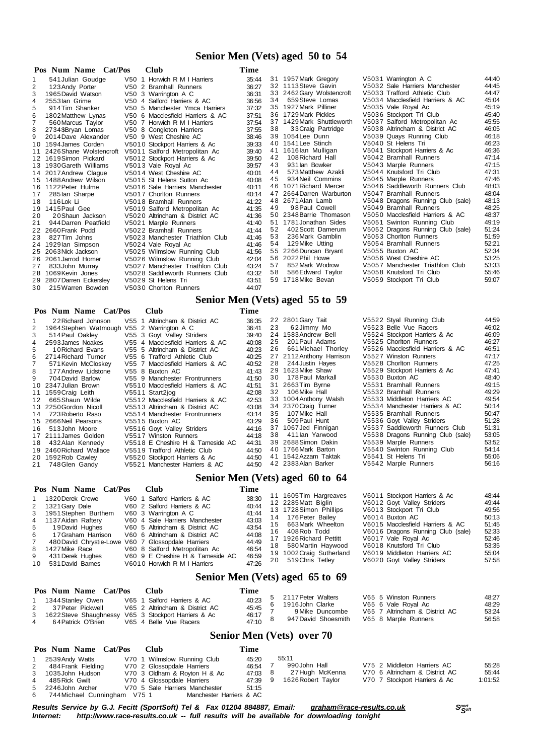#### **Senior Men (Vets) aged 50 to 54**

|    | Pos Num Name Cat/Pos       | Club                             | Time  |    |                           |                                   |       |
|----|----------------------------|----------------------------------|-------|----|---------------------------|-----------------------------------|-------|
|    | 541 Julian Goudge          | V50 1 Horwich R M I Harriers     | 35:44 |    | 31 1957 Mark Gregory      | V5031 Warrington A C              | 44:40 |
| 2  | 123 Andy Porter            | V50 2 Bramhall Runners           | 36:27 |    | 32 1113 Steve Gavin       | V5032 Sale Harriers Manchester    | 44:45 |
| 3  | 1965 David Watson          | V50 3 Warrington A C             | 36:31 |    | 33 2462 Gary Wolstencroft | V5033 Trafford Athletic Club      | 44:47 |
| 4  | 2553 lan Grime             | V50 4 Salford Harriers & AC      | 36:56 | 34 | 659 Steve Lomas           | V5034 Macclesfield Harriers & AC  | 45:04 |
| 5  | 914 Tim Shanker            | V50 5 Manchester Ymca Harriers   | 37:32 |    | 35 1927 Mark Pilliner     | V5035 Vale Royal Ac               | 45:19 |
| 6  | 1802 Matthew Lynas         | V50 6 Macclesfield Harriers & AC | 37:51 |    | 36 1729 Mark Pickles      | V5036 Stockport Tri Club          | 45:40 |
|    | 560 Marcus Taylor          | V50 7 Horwich R M I Harriers     | 37:54 | 37 | 1429 Mark Shuttleworth    | V5037 Salford Metropolitan Ac     | 45:55 |
| 8  | 2734\$Bryan Lomas          | V50 8 Congleton Harriers         | 37:55 | 38 | 33 Craig Partridge        | V5038 Altrincham & District AC    | 46:05 |
| 9  | 2014 Dave Alexander        | V50 9 West Cheshire AC           | 38:46 |    | 39 1054 Lee Dunn          | V5039 Quays Running Club          | 46:18 |
|    | 10 1594 James Corden       | V5010 Stockport Harriers & Ac    | 39:33 |    | 40 1541 Lee Stinch        | V5040 St Helens Tri               | 46:23 |
|    | 11 2426 Shane Wolstencroft | V5011 Salford Metropolitan Ac    | 39:40 | 41 | 1616lan Mulligan          | V5041 Stockport Harriers & Ac     | 46:36 |
| 12 | 1619Simon Pickard          | V5012 Stockport Harriers & Ac    | 39.50 | 42 | 108 Richard Hall          | V5042 Bramhall Runners            | 47:14 |
|    | 13 1930 Gareth Williams    | V5013 Vale Roval Ac              | 39:57 | 43 | 931 lan Bowker            | V5043 Marple Runners              | 47:15 |
|    | 14 2017 Andrew Claque      | V5014 West Cheshire AC           | 40:01 | 44 | 573 Matthew Azakli        | V5044 Knutsford Tri Club          | 47:31 |
|    | 15 1488 Andrew Wilson      | V5015 St Helens Sutton Ac        | 40:08 | 45 | 934 Neil Commins          | V5045 Marple Runners              | 47:46 |
|    | 16 1122 Peter Hulme        | V5016 Sale Harriers Manchester   | 40:11 |    | 46 1071 Richard Mercer    | V5046 Saddleworth Runners Club    | 48:03 |
| 17 | 285 lan Sharpe             | V5017 Chorlton Runners           | 40:14 | 47 | 2664 Darren Warburton     | V5047 Bramhall Runners            | 48:04 |
| 18 | 116 Lok Li                 | V5018 Bramhall Runners           | 41:22 |    | 48 2671 Alan Lamb         | V5048 Dragons Running Club (sale) | 48:13 |
| 19 | 1415 Paul Gee              | V5019 Salford Metropolitan Ac    | 41:35 | 49 | 98 Paul Cowell            | V5049 Bramhall Runners            | 48:25 |
| 20 | 20 Shaun Jackson           | V5020 Altrincham & District AC   | 41:36 |    | 50 2348 Barrie Thomason   | V5050 Macclesfield Harriers & AC  | 48:37 |
| 21 | 944 Darren Peatfield       | V5021 Marple Runners             | 41:40 |    | 51 1781 Jonathan Sides    | V5051 Swinton Running Club        | 49:19 |
| 22 | 2660 Frank Podd            | V5022 Bramhall Runners           | 41:44 | 52 | 402 Scott Damerum         | V5052 Dragons Running Club (sale) | 51:24 |
| 23 | 827 Tim Johns              | V5023 Manchester Triathlon Club  | 41:46 | 53 | 236 Mark Gamblin          | V5053 Chorlton Runners            | 51:59 |
|    | 24 1929 lan Simpson        | V5024 Vale Roval Ac              | 41:46 | 54 | 129 Mike Utting           | V5054 Bramhall Runners            | 52:21 |
|    | 25 2063 Nick Jackson       | V5025 Wilmslow Running Club      | 41:56 |    | 55 2266 Duncan Bryant     | V5055 Buxton AC                   | 52:34 |
|    | 26 2061 Jarrod Homer       | V5026 Wilmslow Running Club      | 42:04 |    | 56 2022 Phil Howe         | V5056 West Cheshire AC            | 53:25 |
| 27 | 833 John Murray            | V5027 Manchester Triathlon Club  | 43:24 | 57 | 852 Mark Wodrow           | V5057 Manchester Triathlon Club   | 53:33 |
|    | 28 1069 Kevin Jones        | V5028 Saddleworth Runners Club   | 43:32 | 58 | 586 Edward Taylor         | V5058 Knutsford Tri Club          | 55:46 |
|    | 29 2807 Darren Eckersley   | V5029 St Helens Tri              | 43:51 |    | 59 1718 Mike Bevan        | V5059 Stockport Tri Club          | 59:07 |
| 30 | 215 Warren Bowden          | V5030 Chorlton Runners           | 44:07 |    |                           |                                   |       |

#### **Senior Men (Vets) aged 55 to 59**

#### **Pos Num Name Cat/Pos Club Time** 1 2 2Richard Johnson V55 1 Altrincham & District AC 36:35 2 1964Stephen Watmough V55 2 Warrington A C 36:41 3 514Paul Oakley V55 3 Goyt Valley Striders 39:40 4 2593James Noakes V55 4 Macclesfield Harriers & AC 40:08 5 1 0Richard Evans V55 5 Altrincham & District AC 40:23 6 2714Richard Turner V55 6 Trafford Athletic Club 40:25 571 Kevin McCloskey V55 7 Macclesfield Harriers & AC<br>177 Andrew Lidstone V55 8 Buxton AC 8 177 Andrew Lidstone V 55 8 Buxton AC 41:43<br>9 704 David Barlow 455 9 Manchester Frontrunners 41:50 9 704David Barlow V55 9 Manchester Frontrunners 41:50<br>10 2347Julian Brown V5510 Macclesfield Harriers & AC 41:51 2347 Julian Brown V5510 Macclesfield Harriers & AC 41:51<br>1559 Craig Leith V5511 Start2jog 42:08 1 1 1559Craig Leith V551 1 Start2jog 42:08 12 665 Shaun Wilde V5512 Macclesfield Harriers & AC 42:53 1 3 2250Gordon Nicoll V551 3 Altrincham & District AC 43:08 14 723 Roberto Raso V5514 Manchester Frontrunners 43:14<br>15 2666 Neil Pearsons V5515 Buyton AC 43:29 15 2666 Neil Pearsons v 5515 Buxton AC 43:29<br>16 513 John Moore v 5516 Govt Valley Striders 44:16 16 513John Moore V5516 Goyt Valley Striders 44:16<br>17 2111 James Golden V5517 Winston Runners 44:18 17 2111 James Golden V5517 Winston Runners 44:18<br>17 2111 James Golden V5517 Winston Runners 44:18<br>18 432 Alan Kennedy V5518 E Cheshire H & Tameside AC 44:31 1 8 432Alan Kennedy V551 8 E Cheshire H & Tameside AC 44:31 2 2 2801Gary Tait V552 2 Styal Running Club 44:59 23 6 2Jimmy Mo  $V$ 5523 Belle Vue Racers 46:02<br>24 1583 Andrew Bell  $V$ 5524 Stockport Harriers & Ac 46:09 24 1583Andrew Bell v5524 Stockport Harriers & Ac 46:09<br>25 201 Paul Adams v5525 Choriton Runners 46:27 25 201 Paul Adams V5525 Chorlton Runners 46:27<br>26 661 Michael Thorley V5526 Macclesfield Harriers & AC 46:51 26 661 Michael Thorley V5526 Macclesfield Harriers & AC 46:51<br>27 2112 Anthony Harrison V5527 Winston Runners 47:17 V5527 Winston Runners 28 244 Justin Hayes V5528 Chorlton Runners 47:25<br>29 1623 Mike Shaw V5529 Stockport Harriers & Ac 47:41 2 9 1623Mike Shaw V552 9 Stockport Harriers & Ac 47:41 3 0 178Paul Markall V553 0 Buxton AC 48:40 3 1 2663Tim Byrne V553 1 Bramhall Runners 49:15 32 106 Mike Hall V5532 Bramhall Runners 49:29<br>33 1004 Anthony Walsh V5533 Middleton Harriers AC 49:54 V5533 Middleton Harriers AC 3 4 2370Craig Turner V553 4 Manchester Harriers & AC 50:14 3 5 107Mike Hall V553 5 Bramhall Runners 50:47 36 509Paul Hunt V5536 Goyt Valley Striders 51:28<br>37 1067Jed Finnigan V5537 Saddleworth Runners Club 51:31 3 7 1067Jed Finnigan V553 7 Saddleworth Runners Club 51:31 3 8 411Ian Yarwood V553 8 Dragons Running Club (sale) 53:05 V5539 Marple Runners

1 9 2460Richard Wallace V551 9 Trafford Athletic Club 44:50 20 1592Rob Cawley  $V5520$  Stockport Harriers & Ac  $44:50$ <br>21 748 Glen Gandy  $V5521$  Manchester Harriers & AC  $44:50$ 

V5521 Manchester Harriers & AC

#### **Senior Men (Vets) aged 60 to 64**

4 0 1766Mark Barton V554 0 Swinton Running Club 54:14 4 1 1542Azzam Taktak V554 1 St Helens Tri 55:06 1 238 Parker Stringer Stringers 11

| Pos Num Name Cat/Pos<br><b>Club</b><br>V60 1 Salford Harriers & AC<br>1 1320 Derek Crewe<br>V60 2 Salford Harriers & AC<br>2 1321 Gary Dale<br>3 1951 Stephen Burthem<br>V60 3 Warrington A C<br>V60 4 Sale Harriers Manchester<br>4 1137 Aidan Raftery<br>19David Hughes<br>V60 5 Altrincham & District AC<br>5<br>17 Graham Harrison<br>V60 6 Altrincham & District AC<br>6<br>480 David Chrystie-Lowe V60 7 Glossopdale Harriers<br>V60 8 Salford Metropolitan Ac<br>8 1427 Mike Race<br>V60 9 E Cheshire H & Tameside AC<br>431 Derek Hughes<br>9<br>531 David Barnes<br>V6010 Horwich R M I Harriers<br>10 | Time<br>38:30<br>40:44<br>41:44<br>43:03<br>43:54<br>44:08<br>44:49<br>46:54<br>46:59<br>47:26 | 11 1605 Tim Hargreaves<br>12 2285 Matt Biglin<br>13 1728 Simon Phillips<br>14 176 Peter Bailev<br>15 663 Mark Wheelton<br>16 408 Rob Todd<br>17 1926 Richard Pettitt<br>18 580 Martin Haywood<br>19 1002 Craig Sutherland<br>20 519 Chris Tetley | V6011 Stockport Harriers & Ac<br>V6012 Govt Valley Striders<br>V6013 Stockport Tri Club<br>V6014 Buxton AC<br>V6015 Macclesfield Harriers & AC<br>V6016 Dragons Running Club (sale)<br>V6017 Vale Royal Ac<br>V6018 Knutsford Tri Club<br>V6019 Middleton Harriers AC<br>V6020 Goyt Valley Striders | 48:44<br>49:44<br>49:56<br>50:13<br>51:45<br>52:33<br>52:46<br>53:35<br>55:04<br>57:58 |
|-----------------------------------------------------------------------------------------------------------------------------------------------------------------------------------------------------------------------------------------------------------------------------------------------------------------------------------------------------------------------------------------------------------------------------------------------------------------------------------------------------------------------------------------------------------------------------------------------------------------|------------------------------------------------------------------------------------------------|--------------------------------------------------------------------------------------------------------------------------------------------------------------------------------------------------------------------------------------------------|-----------------------------------------------------------------------------------------------------------------------------------------------------------------------------------------------------------------------------------------------------------------------------------------------------|----------------------------------------------------------------------------------------|
|-----------------------------------------------------------------------------------------------------------------------------------------------------------------------------------------------------------------------------------------------------------------------------------------------------------------------------------------------------------------------------------------------------------------------------------------------------------------------------------------------------------------------------------------------------------------------------------------------------------------|------------------------------------------------------------------------------------------------|--------------------------------------------------------------------------------------------------------------------------------------------------------------------------------------------------------------------------------------------------|-----------------------------------------------------------------------------------------------------------------------------------------------------------------------------------------------------------------------------------------------------------------------------------------------------|----------------------------------------------------------------------------------------|

#### **Senior Men (Vets) aged 65 to 69**

|   | Pos Num Name Cat/Pos                                   | - Club                         | Time                 |                     |                                |       |
|---|--------------------------------------------------------|--------------------------------|----------------------|---------------------|--------------------------------|-------|
|   | 1344 Stanley Owen                                      | V65 1 Salford Harriers & AC    | $5^{\circ}$<br>40:23 | 2117 Peter Walters  | V65 5 Winston Runners          | 48:27 |
|   |                                                        |                                |                      | 1916 John Clarke    | V65 6 Vale Royal Ac            | 48:29 |
|   | 37 Peter Pickwell                                      | V65 2 Altrincham & District AC | 45:45                |                     |                                |       |
|   | 3 1622 Steve Shaughnessy V65 3 Stockport Harriers & Ac |                                | 46:17                | 9 Mike Duncombe     | V65 7 Altrincham & District AC | 53:24 |
|   |                                                        |                                |                      | 947 David Shoesmith | V65 8 Marple Runners           | 56:58 |
| 4 | 64 Patrick O'Brien                                     | V65 4 Belle Vue Racers         | 47:10                |                     |                                |       |

#### **Senior Men (Vets) over 70**

|             | Pos Num Name Cat/Pos                                                   | - Club                                                                                    | Time                      |                                                               |  |                                                                                                |                           |
|-------------|------------------------------------------------------------------------|-------------------------------------------------------------------------------------------|---------------------------|---------------------------------------------------------------|--|------------------------------------------------------------------------------------------------|---------------------------|
| $2^{\circ}$ | 2539Andy Watts<br>484 Frank Fielding<br>3 1035 John Hudson             | V70 1 Wilmslow Running Club<br>V70 2 Glossopdale Harriers<br>V70 3 Oldham & Royton H & Ac | 45:20<br>46.54<br>47:03 8 | 55:11<br>990John Hall<br>27Hugh McKenna<br>1626 Robert Taylor |  | V75 2 Middleton Harriers AC<br>V70 6 Altrincham & District AC<br>V70 7 Stockport Harriers & Ac | 55:28<br>55:44<br>1:01:52 |
| 4           | 485 Rick Gwilt<br>5 2246 John Archer<br>6 744 Michael Cunningham V75 1 | V70 4 Glossopdale Harriers<br>V70 5 Sale Harriers Manchester<br>Manchester Harriers & AC  | 47:39 9<br>51:15          |                                                               |  |                                                                                                |                           |

Results Service by G.J. Fecitt (SportSoft) Tel & Fax 01204 884887, Email: [graham@race-results.co.uk](mailto:graham@race-results.co.uk)<br>Internet: http://www.race-results.co.uk -- full results will be available for downloading topight *Internet: <http://www.race-results.co.uk> -- full results will be available for downloading tonight*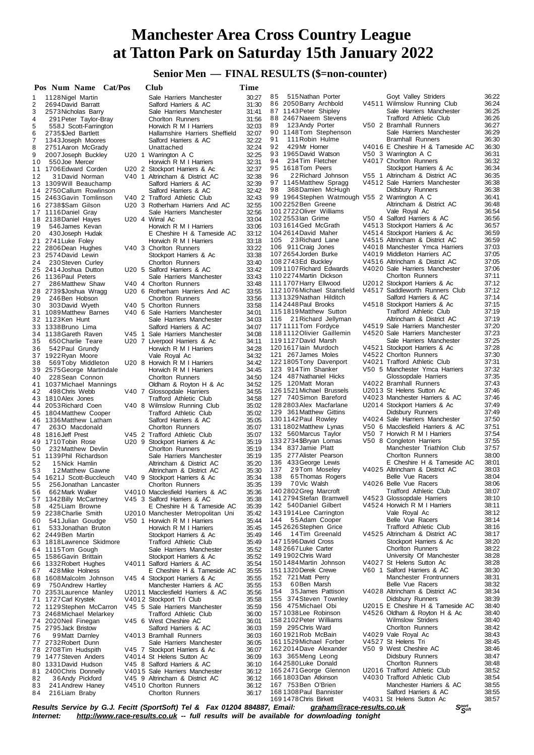### **Senior Men — FINAL RESULTS (\$=non-counter)**

|          | Pos Num Name Cat/Pos                                 | Club                                                             | Time           |                                                                      |                                                                  |                |
|----------|------------------------------------------------------|------------------------------------------------------------------|----------------|----------------------------------------------------------------------|------------------------------------------------------------------|----------------|
| -1       | 1128 Nigel Martin                                    | Sale Harriers Manchester                                         | 30:27          | 85<br>515 Nathan Porter                                              | Goyt Valley Striders                                             | 36:22          |
| 2        | 2694 David Barratt                                   | Salford Harriers & AC                                            | 31:30          | 86 2050 Barry Archbold                                               | V4511 Wilmslow Running Club                                      | 36:24          |
| 3        | 2573 Nicholas Barry                                  | Sale Harriers Manchester                                         | 31:41          | 87 1143 Peter Shipley                                                | Sale Harriers Manchester                                         | 36:25          |
| 4        | 291 Peter Taylor-Bray                                | <b>Chorlton Runners</b>                                          | 31:56          | 88 2467 Naeem Stevens                                                | <b>Trafford Athletic Club</b>                                    | 36:26          |
| 5        | 558J Scott-Farrington                                | Horwich R M I Harriers                                           | 32:03          | 89<br>123 Andy Porter<br>90 1148 Tom Stephenson                      | V50 2 Bramhall Runners<br>Sale Harriers Manchester               | 36:27<br>36:29 |
| 6<br>7   | 2735\$Jed Bartlett<br>1343 Joseph Moores             | Hallamshire Harriers Sheffield<br>Salford Harriers & AC          | 32:07<br>32:22 | 91<br>111 Robin Hulme                                                | <b>Bramhall Runners</b>                                          | 36:30          |
| 8        | 2751 Aaron McGrady                                   | Unattached                                                       | 32:24          | 92<br>429Mr Horner                                                   | V4016 E Cheshire H & Tameside AC                                 | 36:30          |
| 9        | 2007 Joseph Buckley                                  | U20 1 Warrington A C                                             | 32:25          | 93 1965 David Watson                                                 | V50 3 Warrington A C                                             | 36:31          |
| 10       | 550 Joe Mercer                                       | Horwich R M I Harriers                                           | 32:31          | 94<br>234 Tim Fletcher                                               | V4017 Chorlton Runners                                           | 36:32          |
| 11       | 1706 Edward Corden                                   | U20 2 Stockport Harriers & Ac                                    | 32:37          | 95 1618Tom Peers                                                     | Stockport Harriers & Ac                                          | 36:34          |
| 12       | 31 David Norman                                      | V40 1 Altrincham & District AC                                   | 32:38          | 96<br>22 Richard Johnson                                             | V55 1 Altrincham & District AC                                   | 36:35          |
|          | 13 1309 Will Beauchamp                               | Salford Harriers & AC                                            | 32:39          | 97 1145 Matthew Spragg                                               | V4512 Sale Harriers Manchester                                   | 36:38          |
|          | 14 2750 Callum Rowlinson                             | Salford Harriers & AC                                            | 32:42          | 98<br>368 Damien McHugh                                              | Didsbury Runners                                                 | 36:38<br>36:41 |
|          | 15 2463 Gavin Tomlinson<br>16 2738\$Sam Gilson       | V40 2 Trafford Athletic Club<br>U20 3 Rotherham Harriers And AC  | 32:43<br>32:55 | 99 1964 Stephen Watmough V55 2 Warrington A C<br>100 2252 Ben Greene | Altrincham & District AC                                         | 36:48          |
|          | 17 1116 Daniel Gray                                  | Sale Harriers Manchester                                         | 32:56          | 1012722 Oliver Williams                                              | Vale Royal Ac                                                    | 36:54          |
|          | 18 2138 Daniel Hayes                                 | U20 4 Wirral Ac                                                  | 33:04          | 102 2553 lan Grime                                                   | V50 4 Salford Harriers & AC                                      | 36:56          |
| 19       | 546 James Kevan                                      | Horwich R M I Harriers                                           | 33:06          | 1031614 Ged McGrath                                                  | V4513 Stockport Harriers & Ac                                    | 36:57          |
| 20       | 430 Joseph Hudak                                     | E Cheshire H & Tameside AC                                       | 33:12          | 104 2614 David Maher                                                 | V4514 Stockport Harriers & Ac                                    | 36:59          |
| 21       | 2741 Luke Foley                                      | Horwich R M I Harriers                                           | 33:18          | 105 23 Richard Lane                                                  | V4515 Altrincham & District AC                                   | 36:59          |
|          | 22 2806 Dean Hughes                                  | V40 3 Chorlton Runners                                           | 33:22          | 106 911 Craig Jones                                                  | V4018 Manchester Ymca Harriers                                   | 37:03          |
|          | 23 2574 David Lewin                                  | Stockport Harriers & Ac                                          | 33:38          | 107 2654 Jorden Burke<br>1082743Ed Buckley                           | V4019 Middleton Harriers AC<br>V4516 Altrincham & District AC    | 37:05<br>37:05 |
| 24       | 230 Steven Curley<br>25 2414 Joshua Dutton           | <b>Chorlton Runners</b><br>U20 5 Salford Harriers & AC           | 33:40<br>33:42 | 1091107 Richard Edwards                                              | V4020 Sale Harriers Manchester                                   | 37:06          |
|          | 26 1136 Paul Peters                                  | Sale Harriers Manchester                                         | 33:43          | 110 2274 Martin Dickson                                              | <b>Chorlton Runners</b>                                          | 37:11          |
| 27       | 286 Matthew Shaw                                     | V40 4 Chorlton Runners                                           | 33:48          | 1111707 Harry Ellwood                                                | U2012 Stockport Harriers & Ac                                    | 37:12          |
|          | 28 2739\$Joshua Wragg                                | U20 6 Rotherham Harriers And AC                                  | 33:55          | 1121076 Michael Stansfield                                           | V4517 Saddleworth Runners Club                                   | 37:12          |
| 29       | 246 Ben Hobson                                       | <b>Chorlton Runners</b>                                          | 33:56          | 1131329 Nathan Hilditch                                              | Salford Harriers & AC                                            | 37:14          |
| 30       | 303 David Wyeth                                      | V40 5 Chorlton Runners                                           | 33:58          | 114 2448 Paul Brooks                                                 | V4518 Stockport Harriers & Ac                                    | 37:15          |
|          | 31 1089 Matthew Barnes                               | V40 6 Sale Harriers Manchester                                   | 34:01          | 1151819Matthew Sutton                                                | Trafford Athletic Club                                           | 37:19          |
|          | 32 1123Ken Hunt                                      | Sale Harriers Manchester                                         | 34:03          | 116 21 Richard Jellyman                                              | Altrincham & District AC                                         | 37:19          |
|          | 33 1338 Bruno Lima                                   | Salford Harriers & AC                                            | 34:07          | 1171111Tom Fordyce<br>1181112 Olivier Gaillemin                      | V4519 Sale Harriers Manchester<br>V4520 Sale Harriers Manchester | 37:20<br>37:23 |
| 35       | 34 1138 Gareth Raven<br>650 Charlie Teare            | V45 1 Sale Harriers Manchester<br>U20 7 Liverpool Harriers & Ac  | 34:08<br>34:11 | 1191127 David Marsh                                                  | Sale Harriers Manchester                                         | 37:25          |
| 36       | 542 Paul Grundy                                      | Horwich R M I Harriers                                           | 34:28          | 1201617 lain Murdoch                                                 | V4521 Stockport Harriers & Ac                                    | 37:28          |
|          | 37 1922 Ryan Moore                                   | Vale Royal Ac                                                    | 34:32          | 121 267 James Moles                                                  | V4522 Chorlton Runners                                           | 37:30          |
| 38       | 569Toby Middleton                                    | U20 8 Horwich R M I Harriers                                     | 34:42          | 1221805Tony Davenport                                                | V4021 Trafford Athletic Club                                     | 37:31          |
|          | 39 2575 George Martindale                            | Horwich R M I Harriers                                           | 34:45          | 123 914 Tim Shanker                                                  | V50 5 Manchester Ymca Harriers                                   | 37:32          |
| 40       | 228 Sean Connon                                      | <b>Chorlton Runners</b>                                          | 34:50          | 124 487 Nathaniel Hicks                                              | Glossopdale Harriers                                             | 37:35          |
| 41       | 1037 Michael Mannings                                | Oldham & Royton H & Ac                                           | 34:52          | 125 120 Matt Moran                                                   | V4022 Bramhall Runners                                           | 37:43          |
| 42       | 498 Chris Webb                                       | V40 7 Glossopdale Harriers                                       | 34:55          | 126 1521 Michael Brussels                                            | U2013 St Helens Sutton Ac                                        | 37:46          |
|          | 43 1810 Alex Jones                                   | <b>Trafford Athletic Club</b>                                    | 34:58          | 127 740 Simon Bareford<br>128 2803 Alex Macfarlane                   | V4023 Manchester Harriers & AC<br>U2014 Stockport Harriers & Ac  | 37:46<br>37:49 |
|          | 44 2053 Richard Coen<br>45 1804 Matthew Cooper       | V40 8 Wilmslow Running Club<br><b>Trafford Athletic Club</b>     | 35:02<br>35:02 | 129 361 Matthew Gittins                                              | Didsbury Runners                                                 | 37:49          |
|          | 46 1336 Matthew Latham                               | Salford Harriers & AC                                            | 35:05          | 1301142 Paul Rowley                                                  | V4024 Sale Harriers Manchester                                   | 37:50          |
| 47       | 2630 Macdonald                                       | <b>Chorlton Runners</b>                                          | 35:07          | 1311802 Matthew Lynas                                                | V50 6 Macclesfield Harriers & AC                                 | 37:51          |
|          | 48 1816 Jeff Prest                                   | V45 2 Trafford Athletic Club                                     | 35:07          | 132 560 Marcus Taylor                                                | V50 7 Horwich R M I Harriers                                     | 37:54          |
|          | 49 1710 Tobin Rose                                   | U20 9 Stockport Harriers & Ac                                    | 35:19          | 1332734\$Bryan Lomas                                                 | V50 8 Congleton Harriers                                         | 37:55          |
| 50       | 232 Matthew Devlin                                   | <b>Chorlton Runners</b>                                          | 35:19          | 134 837 Jamie Platt                                                  | Manchester Triathlon Club                                        | 37:57          |
|          | 51 1139 Phil Richardson                              | Sale Harriers Manchester                                         | 35:19          | 135 277 Alister Pearson                                              | <b>Chorlton Runners</b><br>E Cheshire H & Tameside AC            | 38:00          |
| 52       | 15 Nick Hamlin                                       | Altrincham & District AC<br>Altrincham & District AC             | 35:20<br>35:30 | 136 433 George Lewis<br>137<br>29Tom Moseley                         | V4025 Altrincham & District AC                                   | 38:01<br>38:03 |
| 53       | 12 Matthew Gawne<br>54 1621J Scott-Buccleuch         | V40 9 Stockport Harriers & Ac                                    | 35:34          | 138<br>65 Thomas Rogers                                              | Belle Vue Racers                                                 | 38:04          |
| 55       | 256 Jonathan Lancaster                               | Chorlton Runners                                                 | 35:35          | 139<br>70Vic Walsh                                                   | V4026 Belle Vue Racers                                           | 38:06          |
| 56       | 662 Mark Walker                                      | V4010 Macclesfield Harriers & AC                                 | 35:36          | 140 2802 Greg Marcroft                                               | <b>Trafford Athletic Club</b>                                    | 38:07          |
| 57       | 1342 Billy McCartney                                 | V45 3 Salford Harriers & AC                                      | 35:38          | 141 2794 Stefan Bramwell                                             | V4523 Glossopdale Harriers                                       | 38:10          |
| 58       | 425 Liam Browne                                      | E Cheshire H & Tameside AC                                       | 35:39          | 142 540 Daniel Gilbert                                               | V4524 Horwich R M I Harriers                                     | 38:11          |
| 59       | 2238 Charlie Smith                                   | U2010 Manchester Metropolitan Uni                                | 35:42          | 1431914 Lee Carrington                                               | Vale Royal Ac                                                    | 38:12          |
| 60       | 541 Julian Goudge                                    | V50 1 Horwich R M I Harriers                                     | 35:44          | 144 55Adam Cooper                                                    | Belle Vue Racers<br><b>Trafford Athletic Club</b>                | 38:14<br>38:16 |
| 61       | 533 Jonathan Bruton<br>62 2449Ben Martin             | Horwich R M I Harriers<br>Stockport Harriers & Ac                | 35:45<br>35:49 | 145 2626 Stephen Grice<br>146<br>14Tim Greenald                      | V4525 Altrincham & District AC                                   | 38:17          |
|          | 63 1818 Lawrence Skidmore                            | <b>Trafford Athletic Club</b>                                    | 35:49          | 147 1596 David Cross                                                 | Stockport Harriers & Ac                                          | 38:20          |
|          | 64 1115Tom Gough                                     | Sale Harriers Manchester                                         | 35:52          | 148 2667 Luke Carter                                                 | Chorlton Runners                                                 | 38:22          |
|          | 65 1586 Gavin Brittain                               | Stockport Harriers & Ac                                          | 35:52          | 149 1902 Chris Ward                                                  | University Of Manchester                                         | 38:28          |
|          | 66 1332 Robert Hughes                                | V4011 Salford Harriers & AC                                      | 35:54          | 150 1484 Martin Johnson                                              | V4027 St Helens Sutton Ac                                        | 38:28          |
| 67       | 428 Mike Holness                                     | E Cheshire H & Tameside AC                                       | 35:55          | 151 1320 Derek Crewe                                                 | V60 1 Salford Harriers & AC                                      | 38:30          |
| 68       | 1608 Malcolm Johnson                                 | V45 4 Stockport Harriers & Ac                                    | 35:55          | 152 721 Matt Perry                                                   | Manchester Frontrunners                                          | 38:31          |
| 69       | 750 Andrew Hartley                                   | Manchester Harriers & AC                                         | 35:55          | 60Ben Marsh<br>153                                                   | Belle Vue Racers                                                 | 38:32          |
|          | 70 2353 Laurence Manley                              | U2011 Macclesfield Harriers & AC                                 | 35:56          | 154<br>35 James Pattison                                             | V4028 Altrincham & District AC                                   | 38:34          |
|          | 71 1727 Carl Krystek                                 | V4012 Stockport Tri Club                                         | 35:58          | 155 374 Steven Townley<br>156 475 Michael Obi                        | Didsbury Runners<br>U2015 E Cheshire H & Tameside AC             | 38:39<br>38:40 |
|          | 72 1129 Stephen McCarron<br>73 2468 Michael Melarkey | V45 5 Sale Harriers Manchester<br><b>Trafford Athletic Club</b>  | 35:59<br>36:00 | 1571038Lee Robinson                                                  | V4526 Oldham & Royton H & Ac                                     | 38:40          |
|          | 74 2020 Neil Finegan                                 | V45 6 West Cheshire AC                                           | 36:01          | 158 2102 Peter Williams                                              | <b>Wilmslow Striders</b>                                         | 38:40          |
|          | 75 2795 Jack Bristow                                 | Salford Harriers & AC                                            | 36:03          | 159 295 Chris Ward                                                   | Chorlton Runners                                                 | 38:42          |
| 76       | 99 Matt Darnley                                      | V4013 Bramhall Runners                                           | 36:03          | 160 1921 Rob McBain                                                  | V4029 Vale Royal Ac                                              | 38:43          |
|          | 77 2732 Robert Dunn                                  | Sale Harriers Manchester                                         | 36:05          | 1611529 Michael Forber                                               | V4527 St Helens Tri                                              | 38:45          |
|          | 78 2708 Tim Hudspith                                 | V45 7 Stockport Harriers & Ac                                    | 36:07          | 162 2014 Dave Alexander                                              | V50 9 West Cheshire AC                                           | 38:46          |
|          | 79 1477 Steven Anders                                | V4014 St Helens Sutton Ac                                        | 36:09          | 163 365 Meng Leong                                                   | Didsbury Runners                                                 | 38:47          |
| 80       | 1331 David Hudson                                    | V45 8 Salford Harriers & AC                                      | 36:10          | 164 2580 Luke Donald<br>165 2471 George Glennon                      | Chorlton Runners<br>U2016 Trafford Athletic Club                 | 38:48<br>38:52 |
| 81<br>82 | 2400 Chris Donnelly<br>36 Andy Pickford              | V4015 Sale Harriers Manchester<br>V45 9 Altrincham & District AC | 36:12<br>36:12 | 166 1803 Dan Atkinson                                                | V4030 Trafford Athletic Club                                     | 38:54          |
| 83       | 241 Andrew Haney                                     | V4510 Chorlton Runners                                           | 36:12          | 167 753 Ben O'Brien                                                  | Manchester Harriers & AC                                         | 38:55          |
| 84       | 216 Liam Braby                                       | <b>Chorlton Runners</b>                                          | 36:17          | 168 1308 Paul Bannister                                              | Salford Harriers & AC                                            | 38:55          |
|          |                                                      |                                                                  |                | 169 1478 Chris Birkett                                               | V4031 St Helens Sutton Ac                                        | 38:57          |

Results Service by G.J. Fecitt (SportSoft) Tel & Fax 01204 884887, Email: [graham@race-results.co.uk](mailto:graham@race-results.co.uk)<br>Internet: http://www.race-results.co.uk -- full results will be available for downloading tonight *Internet: <http://www.race-results.co.uk> -- full results will be available for downloading tonight*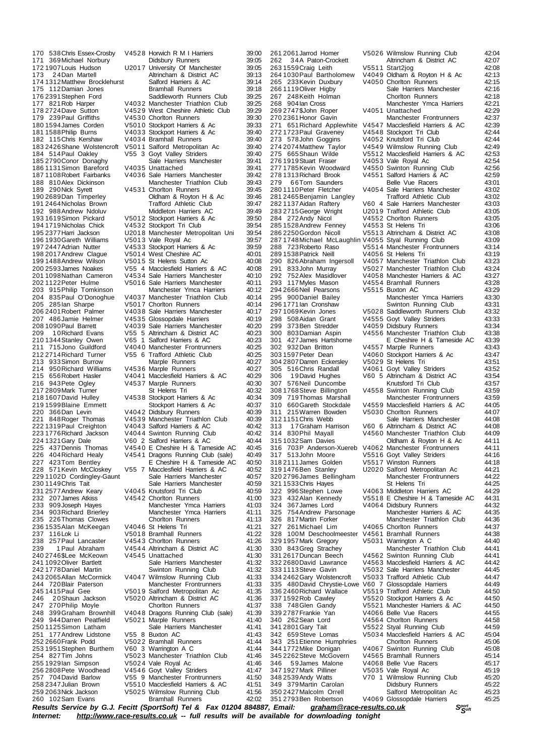174 1312 Matthew Brocklehurst 185 2790 Conor Donaghy Sale Harriers<br>186 1131 Simon Bareford V4035 Unattached 209 1 0 Richard Evans V55 5 Altrincham & District AC<br>210 1344 Stanley Owen V65 1 Salford Harriers & AC 259 2063 Nick Jackson V5025 Wilmslow Running Club 41:56<br>260 102 Sam Evans Bramhall Runners 42:02

170 538 Chris Essex-Crosby V4528 Horwich R M I Harriers 39:00<br>171 369 Michael Norbury Didsbury Runners 39:05 171 369 Michael Norbury **Didsbury Runners** 39:05<br>172 1907 Louis Hudson U2017 University Of Manchester 39:05 172 1907 Louis Hudson **U2017 University Of Manchester** 39:05<br>173 24 Dan Martell **Manchester Altrincham & District AC** 39:13 Altrincham & District AC 39:13<br>Salford Harriers & AC 39:14 175 112Damian Jones Bramhall Runners 39:18 176 2391 Stephen Ford Saddleworth Runners Club 39:25<br>177 821 Rob Harper V4032 Manchester Triathlon Club 39:25 177 821 Rob Harper V4032 Manchester Triathlon Club 39:25<br>178 2724 Dave Sutton V4529 West Cheshire Athletic Club 39:29 178 2724 Dave Sutton V4529 West Cheshire Athletic Club<br>179 239 Paul Griffiths V4530 Chorlton Runners 179 239 Paul Griffiths V4530 Chorlton Runners 39:30<br>1801594 James Corden V5010 Stockport Harriers & Ac 39:33 180 1594James Corden V501 0 Stockport Harriers & Ac 39:33 V4033 Stockport Harriers & Ac 182 115 Chris Kershaw V4034 Bramhall Runners 39:40<br>183 24 26 Shane Wolstencroft V5011 Salford Metropolitan Ac 39:40 183 2426Shane Wolstencroft V501 1 Salford Metropolitan Ac 39:40 V55 3 Goyt Valley Striders 39:40<br>Sale Harriers Manchester 39:41 186 1131 Simon Bareford V4035 Unattached 39:41 39:41 187 1108 Robert Fairbanks V4036 Sale Harriers Manchester 39:42<br>188 810 Alex Dickinson Manchester Triathlon Club 39:43 Manchester Triathlon Club<br>V4531 Chorlton Runners 189 290Nick Syrett V453 1 Chorlton Runners 39:45 190 2689Dan Timperley Oldham & Royton H & Ac 39:46 191 2464Nicholas Brown Trafford Athletic Club 39:47 192 988 Andrew Ndoluv Middleton Harriers AC 39:49<br>1931619 Simon Pickard V5012 Stockport Harriers & Ac 39:50 193 1619 Simon Pickard V501 2 Stockport Harriers & Ac 39:50<br>194 1719 Nicholas Chick V453 2 Stockport Tri Club 39:54 V4532 Stockport Tri Club 195 2377Harri Jackson U201 8 Manchester Metropolitan Uni 39:54 196 1930 Gareth Williams V501 3 Vale Royal Ac 39:57<br>196 1930 Gareth Williams V501 3 Vale Royal Ac 39:57<br>197 2447 Adrian Nutter V4533 Stockport Harriers & Ac 39:59 197 2447Adrian Nutter V453 3 Stockport Harriers & Ac 39:59 198 2017 Andrew Clague V5014 West Cheshire AC 40:01<br>199 1488 Andrew Wilson V5015 St Helens Sutton Ac 40:08 199 1488 Andrew Wilson V5015 St Helens Sutton Ac 40:08<br>200 2593 James Noakes V55 4 Macclesfield Harriers & AC 40:08 V55 4 Macclesfield Harriers & AC 201 1098Nathan Cameron V453 4 Sale Harriers Manchester 40:10 V5016 Sale Harriers Manchester 40:11<br>Manchester Ymca Harriers 40:12 203 915Philip Tomkinson Manchester Ymca Harriers 40:12 204 835 Paul O'Donoghue V4037 Manchester Triathlon Club 40:14<br>205 285 lan Sharpe V5017 Chorlton Runners 40:14 205 285 Ian Sharpe  $\frac{10.14}{2062401}$  Runners 40:14<br>206 2401 Robert Palmer V4038 Sale Harriers Manchester 40:17 206 2401 Robert Palmer V4038 Sale Harriers Manchester 40:17<br>207 486 Jamie Helmer V4535 Glossopdale Harriers 40:19 V4535 Glossopdale Harriers 208 1090 Paul Barrett V4039 Sale Harriers Manchester 40:20<br>209 10 Richard Evans V55 5 Altrincham & District AC 40:23 210 1344Stanley Owen V65 1 Salford Harriers & AC 40:23 211 715Jono Guildford V4040 Manchester Frontrunners 40:25<br>212 2714 Richard Turner V55 6 Trafford Athletic Club 40:25 V55 6 Trafford Athletic Club<br>Marple Runners 213 933Simon Burrow Marple Runners 40:27 214 950 Richard Williams V4536 Marple Runners 40:27<br>215 656 Robert Hasler V4041 Macclesfield Harriers & AC 40:29 V4041 Macclesfield Harriers & AC V4537 Marple Runners 40:30<br>20:32 St Helens Tri 40:32 217 2809Mark Turner St Helens Tri 40:32 V4538 Stockport Harriers & Ac 40:34<br>20:34 Stockport Harriers & Ac 40:37 219 1599Blaine Emmett Stockport Harriers & Ac 40:37 220 366Dan Levin V404 2 Didsbury Runners 40:39 221 848 Roger Thomas V4539 Manchester Triathlon Club<br>222 1319 Paul Creighton V4043 Salford Harriers & AC 222 1319 Paul Creighton V4043 Salford Harriers & AC 40:42<br>223 1776 Richard Jackson V4044 Swinton Running Club 40:42 223 1776Richard Jackson V404 4 Swinton Running Club 40:42 224 1321Gary Dale V60 2 Salford Harriers & AC 40:44 225 437 Dennis Thomas V4540 E Cheshire H & Tameside AC 40:45<br>226 404 Richard Healy V4541 Dragons Running Club (sale) 40:49 226 404 Richard Healy V4541 Dragons Running Club (sale) 40:49<br>227 423 Tom Bentley E Cheshire H & Tameside AC 40:50 E Cheshire H & Tameside AC<br>255 7 Macclesfield Harriers & AC 228 571Kevin McCloskey V55 7 Macclesfield Harriers & AC 40:52 229 1102D Cordingley-Gaunt Sale Harriers Manchester 40:57<br>230 1149 Chris Tait Sale Harriers Manchester 40:59 230 1149 Chris Tait (20:59 Sale Harriers Manchester 40:59 1149 Christ Actor 40:59 231 2577 Andrew Keary V4045 Knutsford Tri Club 40:59<br>232 207 James Atkiss V4542 Chorlton Runners 41:00 232 207 James Atkiss V4542 Chorlton Runners 41:00<br>233 909 Joseph Hayes Manchester Ymca Harriers 41:03 Manchester Ymca Harriers 234 903Richard Brierley Manchester Ymca Harriers 41:11 235 226 Thomas Clowes Chorlton Runners 41:13<br>236 1535 Alan McKeegan V4046 St Helens Tri 41:21 236 1535Alan McKeegan V404 6 St Helens Tri 41:21 237 116Lok Li V501 8 Bramhall Runners 41:22 238 257 Paul Lancaster 19454 3 Chorlton Runners 11:26<br>239 1 Paul Abraham 19454 4 Altrincham 8 District AC 41:30 V4544 Altrincham & District AC 41:30<br>V4545 Unattached 41:30 240 2746 \$Lee McKeown V4545 Unattached 41:30<br>241 1092 Oliver Bartlett Sale Harriers Manchester 41:32 241 1092 Oliver Bartlett Sale Harriers Manchester Sale Harriers Manchester 1242 1778 Daniel Martin 242 1778Daniel Martin Swinton Running Club 41:32 243 2065 Allan McCormick V4047 Wilmslow Running Club 41:33<br>244 720 Blair Paterson Manchester Frontrunners 41:33 244 720 Blair Paterson Manchester Frontrunners 41:33<br>245 1415 Paul Gee 195019 Salford Metropolitan Ac 41:35 245 1415Paul Gee V501 9 Salford Metropolitan Ac 41:35 246 20 Shaun Jackson V5020 Altrincham & District AC 41:36<br>247 270 Philip Movle Chorton Runners 41:37 247 270 Philip Moyle Chorlton Runners 41:37<br>248 399 Graham Brownhill V4048 Dragons Running Club (sale) 41:39 V4048 Dragons Running Club (sale) 249 944 Darren Peatfield V5021 Marple Runners (41:40)<br>250 1125 Simon Latham (41:41 Sale Harriers Manchester (41:41 250 1125Simon Latham Sale Harriers Manchester 41:41 251 177Andrew Lidstone V55 8 Buxton AC 41:43 V5022 Bramhall Runners 41:44<br>V60 3 Warrington A C 41:44 253 1951Stephen Burthem V60 3 Warrington A C 41:44 V5023 Manchester Triathlon Club 255 1929 Ian Simpson v 5024 Vale Royal Ac 41:46<br>256 2808 Pete Woodhead v 4546 Govt Vallev Striders 41:47 256 2808 Pete Woodhead V454 6 Goyt Valley Striders 41:47<br>257 704 David Barlow V55 9 Manchester Frontrunners 41:50 257 704 David Barlow V55 9 Manchester Frontrunners 41:50<br>258 2347 Julian Brown V55 9 Manchester Frontrunners 41:50 258 2347Julian Brown V551 0 Macclesfield Harriers & AC 41:51

285 1528 Andrew Fenney 345 2262 Steve McGovern

261 2061 Jarrod Homer V5026 Wilmslow Running Club 42:04<br>262 34A Paton-Crockett Altrincham & District AC 42:07 262 3 4A Paton-Crockett Altrincham & District AC 42:07 262 1946 Fallot Colorent Mathematic Corporation Control Cast 2020<br>263 1559Craig Leith 19551 1 Start2jog 42:08<br>264 1030 Paul Bartholomew V4049 Oldham & Royton H & Ac 264 1030 Paul Bartholomew V4049 Oldham & Royton H & Ac 42:13<br>265 233 Kevin Duxbury V4050 Chorlton Runners 42:15 V4050 Chorlton Runners<br>Sale Harriers Manchester 266 1119 Oliver Higby Sale Harriers Manchester 42:16<br>267 248 Keith Holman Chortton Runners 42:18 267 248Keith Holman Chorlton Runners 42:18 2221 Manchester Ymca Harriers 42:21<br>22:29 42:29 269 2747 3John Roper V4051 Unattached 42:29<br>270 2361 Honor Gavin Manchester Frontrunners 42:37 270 2361Honor Gavin Manchester Frontrunners 42:37 271 651 Richard Applewhite V4547 Macclesfield Harriers & AC 42:39<br>272 1723 Paul Gravenev V4548 Stockport Tri Club 42:44 V4548 Stockport Tri Club 273 578John Goggins V4052 Knutsford Tri Club 42:44<br>274 2074 Matthew Taylor V4549 Wilmslow Running Club 42:49<br>275 665 Shaun Wilde V5512 Macclesfield Harriers & AC 42:53 v 22.49<br>22.49 Wilmslow Running Club 42.49<br>2.53 Macclesfield Harriers & AC 42:53 275 665Shaun Wilde V5512 Macclesfield Harriers & AC 42:53<br>276 1919 Stuart Fraser V4053 Vale Royal Ac 42:54 276 1919 Stuart Fraser V4053 Vale Royal Ac 42:54<br>277 1785 Kevin Woodward V4550 Swinton Running Club 42:56 277 1785 Kevin Woodward V4550 Swinton Running Club 42:56<br>278 1313 Richard Brook V4551 Salford Harriers & AC 42:59 279 66Tom Saunders Belle Vue Racers 43:01<br>2801110 Peter Fletcher V4054 Sale Harriers Manchester 43:02 V4054 Sale Harriers Manchester 43:02<br>Trafford Athletic Club 43:02 281 2465Benjamin Langley Trafford Athletic Club 43:02 282 1137Aidan Raftery V60 4 Sale Harriers Manchester 43:03 283 2715 George Wright U2019 Trafford Athletic Club 43:05<br>284 272 Andy Nicol V4552 Chorlton Runners 43:05 V4552 Chorlton Runners 43:05<br>V4553 St Helens Tri 43:06 286 2250Gordon Nicoll V551 3 Altrincham & District AC 43:08 287 1748Michael McLaughlin V405 5 Styal Running Club 43:09 288 723Roberto Raso V551 4 Manchester Frontrunners 43:14 289 1538 Patrick Neill V4056 St Helens Tri 43:19<br>290 826 Abraham Ingersoll V4057 Manchester Triathlon Club 43:23 290 826Abraham Ingersoll V4057 Manchester Triathlon Club 43:23<br>291 833John Murray V5027 Manchester Triathlon Club 43:24 V5027 Manchester Triathlon Club 292 752Alex Masidlover V4058 Manchester Harriers & AC 43:27<br>293 117Myles Mason V4554 Bramhall Runners 43:28 24554 Bramhall Runners 43:28<br>129 13:29 V5515 Buxton AC 294 2666 Neil Pearsons versions versions versions versions versions versions versions versions version versio<br>295 900 Daniel Bailey Manchester Ymca Harriers 43:30 295 900Daniel Bailey Manchester Ymca Harriers 43:30 296 1771 Ian Cronshaw **Swinton Running Club**<br>297 1069 Kevin Jones V5028 Saddleworth Runners Club 43:32 297 1069Kevin Jones V502 8 Saddleworth Runners Club 43:32 V4555 Goyt Valley Striders 299 373Ben Stredder (1995) 2008 Pulsbury Runners (1998) 43:34<br>1980 803 Damian Aspin (1995 6 Manchester Triathlon Club 19:38) 300 803Damian Aspin V455 6 Manchester Triathlon Club 43:38 301 427James Hartshorne E Cheshire H & Tameside AC 43:39 302 932Dan Britton V4557 Marple Runners 43:43<br>303 1597 Peter Dean V4060 Stockport Harriers & Ac 43:47 V4060 Stockport Harriers & Ac 43:47<br>V5029 St Helens Tri 43:51 304 2807Darren Eckersley V502 9 St Helens Tri 43:51 305 516Chris Randall V406 1 Goyt Valley Striders 43:52 V60 5 Altrincham & District AC 307 576Neil Duncombe Knutsford Tri Club 43:57 308 1768Steve Billington V455 8 Swinton Running Club 43:59 309 719Thomas Marshall Manchester Frontrunners 43:59 310 660Gareth Stockdale V4559 Macclesfield Harriers & AC 44:05<br>311 215 Warren Bowden V5030 Chorlton Runners 44:07 311 215 Warren Bowden V5030 Chorlton Runners 44:07<br>312 1151 Chris Webb Sale Harriers Manchester 44:08 Sale Harriers Manchester 313 1 7Graham Harrison V60 6 Altrincham & District AC 44:08 314 830 Phil Mayall V4560 Manchester Triathlon Club 44:09<br>315 1032 Sam Davies Coldham & Royton H & Ac 44:11 315 1032 Sam Davies Christian Davies Oldham & Royton H & Ac 44:11<br>316 703P Anderson-Xuereb V4062 Manchester Frontrunners 44:11 316 703P Anderson-Xuereb V4062 Manchester Frontrunners 44:11<br>317 513John Moore V5516 Goyt Valley Striders 44:16 317 513John Moore V551 6 Goyt Valley Striders 44:16 V5517 Winston Runners 319 1476Ben Stanley U202 0 Salford Metropolitan Ac 44:21 319 1476 Ben Stanley U2020 Salford Metropolitan Ac 44:21<br>320 2796 James Bellingham Manchester Frontrunners 44:22<br>321 1533 Chris Hayes St Helens Tri 44:25 321 1533 Chris Hayes (1998) St Helens Tri (14:25 44:25<br>322 996 Stephen Lowe (1998 3 Middleton Harriers AC (14:29) 322 996 Stephen Lowe V4063 Middleton Harriers AC 44:29<br>323 432 Alan Kennedy V5518 E Cheshire H & Tameside AC 44:31 323 432Alan Kennedy V551 8 E Cheshire H & Tameside AC 44:31 V4064 Didsbury Runners 325 754 Andrew Parsonage Manchester Harriers & AC 44:35<br>326 817 Martin Forker Manchester Triathlon Club 44:36 326 817Martin Forker Manchester Triathlon Club 44:36 327 261 Michael Lim V4065 Chorlton Runners 44:37<br>328 100M Deschoolmeester V4561 Bramhall Runners 44:38 V4561 Bramhall Runners 44:38<br>V5031 Warrington A C 44:40 329 1957 Mark Gregory V5031 Warrington A C 44:40<br>330 843 Gregory V5031 Warrington A C 44:40<br>330 843 Gregory Manchester Triathlon Club 44:41 330 843Greg Strachey Manchester Triathlon Club 44:41 331 2617 Duncan Beech V456 2 Swinton Running Club 44:41<br>332 2680 David Lawrance V456 3 Macclesfield Harriers & AC 44:42 332 2680 David Lawrance V456 3 Macclesfield Harriers & AC 44:42<br>333 1113 Steve Gavin V5032 Sale Harriers Manchester 44:45 V5032 Sale Harriers Manchester<br>V5033 Trafford Athletic Club 334 2462 Gary Wolstencroft V5033 Trafford Athletic Club 44:47<br>335 480 David Chrystie-Lowe V60 7 Glossopdale Harriers 44:49 335 480David Chrystie-Lowe V60 7 Glossopdale Harriers 44:49<br>335 480David Chrystie-Lowe V60 7 Glossopdale Harriers 44:49 336 2460Richard Wallace V551 9 Trafford Athletic Club 44:50 337 1592 Rob Cawley V5520 Stockport Harriers & Ac 44:50<br>338 748 Glen Gandy V5521 Manchester Harriers & AC 44:50 338 748 Glen Gandy v 5521 Manchester Harriers & AC 44:50<br>339 2787 Frankie Yan v 4066 Belle Vue Racers 44:55 V4066 Belle Vue Racers 340 262Sean Lord V456 4 Chorlton Runners 44:58 341 2801Gary Tait V552 2 Styal Running Club 44:59 342 659Steve Lomas V503 4 Macclesfield Harriers & AC 45:04 343 251 Etienne Humphries Chorlton Runners 45:06<br>344 1772 Mike Donigan V4067 Swinton Running Club 45:08 V4067 Swinton Running Club 45:08<br>V4565 Bramhall Runners 45:14 346 59James Malone V4068 Belle Vue Racers (45:17<br>347 1927 Mark Pilliner (195035 Vale Roval Ac (45:19) 347 1927 Mark Pilliner V5035 Vale Royal Ac 45:19<br>348 2539 Andy Watts V70 1 Wilmslow Running Club 45:20 V70 1 Wilmslow Running Club 45:20<br>Didsbury Runners 45:22 349 379Martin Carolan Didsbury Runners 45:22 350 2427Malcolm Orrell Salford Metropolitan Ac 45:23 V4069 Glossopdale Harriers

Results Service by G.J. Fecitt (SportSoft) Tel & Fax 01204 884887, Email: [graham@race-results.co.uk](mailto:graham@race-results.co.uk)<br>Internet: http://www.race-results.co.uk -- full results will be available for downloading tonight *Internet: <http://www.race-results.co.uk> -- full results will be available for downloading tonight*

Bramhall Runners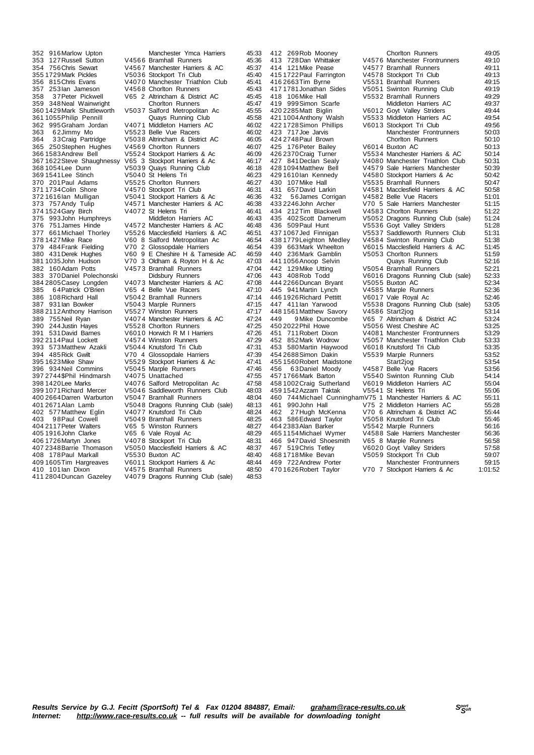367 1622 Steve Shaughnessy V65 3 Stockport Harriers & Ac 368 1054 Lee Dunn V5039 Quays Running Club 370 201Paul Adams V5525 Chorlton Runners<br>371 1734 Colin Shore V4570 Stockport Tri Club 382 160 Adam Potts 397 2744 \$ Phil Hindmarsh<br>398 1420 Lee Marks 403 98 Paul Cowell V5049 Bramhall Runners<br>404 2117 Peter Walters V65 5 Winston Runners

352 916Marlow Upton Manchester Ymca Harriers 45:33 353 127Russell Sutton V456 6 Bramhall Runners 45:36 354 756Chris Sewart V456 7 Manchester Harriers & AC 45:37 355 1729 Mark Pickles V5036 Stockport Tri Club 45:40<br>356 815 Chris Evans V4070 Manchester Triathlon Club 45:41 V4070 Manchester Triathlon Club 357 253 Ian Jameson V4568 Chorlton Runners 45:43<br>358 37 Peter Pickwell V65 2 Altrincham & District AC 45:45 358 3 7Peter Pickwell V65 2 Altrincham & District AC 45:45 359 348Neal Wainwright Chorlton Runners 45:47<br>3601429Mark Shuttleworth V5037 Salford Metropolitan Ac 45:55 V5037 Salford Metropolitan Ac 45:55<br>Quays Running Club 45:58 361 1055Philip Pennill Quays Running Club 45:58 362 995Graham Jordan V407 1 Middleton Harriers AC 46:02 V5523 Belle Vue Racers 364 3 3Craig Partridge V503 8 Altrincham & District AC 46:05 365 250Stephen Hughes V456 9 Chorlton Runners 46:07 366 1583Andrew Bell V552 4 Stockport Harriers & Ac 46:09 368 1054Lee Dunn V503 9 Quays Running Club 46:18 369 1541 Lee Stinch  $V$  5040 St Helens Tri  $V$  46:23<br>370 201 Paul Adams V5525 Choriton Runners 46:27 371 1734Colin Shore V457 0 Stockport Tri Club 46:31 372 1616Ian Mulligan V504 1 Stockport Harriers & Ac 46:36 373 757Andy Tulip V457 1 Manchester Harriers & AC 46:38 V4072 St Helens Tri 46:41<br>Middleton Harriers AC 46:43 375 993John Humphreys Middleton Harriers AC 46:43<br>376 751James Hinde V4572 Manchester Harriers & AC 46:48 376 751 James Hinde V4572 Manchester Harriers & AC<br>377 661 Michael Thorley V5526 Macclesfield Harriers & A 377 661Michael Thorley V552 6 Macclesfield Harriers & AC 46:51 378 1427 Mike Race V60 8 Salford Metropolitan Ac 46:54<br>378 1427 Mike Race V60 8 Salford Metropolitan Ac 46:54<br>379 484 Frank Fielding V70 2 Glossopdale Harriers 46:54 379 484 Frank Fielding V70 2 Glossopdale Harriers 46:54<br>380 431 Derek Hughes V60 9 E Cheshire H & Tameside AC 46:59 380 431Derek Hughes V60 9 E Cheshire H & Tameside AC 46:59 V70 3 Oldham & Royton H & Ac 47:03<br>V4573 Bramhall Runners 47:04 383 370Daniel Polechonski Didsbury Runners 47:06<br>384 2805 Casev Longden V4073 Manchester Harriers & AC 47:08 384 2805 Casey Longden V4073 Manchester Harriers & AC 47:08<br>385 64 Patrick O'Brien V65 4 Belle Vue Racers 47:10 385 64 Patrick O'Brien V65 4 Belle Vue Racers 47:10<br>386 108 Richard Hall V5042 Bramhall Runners 47:14 386 108Richard Hall V504 2 Bramhall Runners 47:14 397 17:15 V5043 Marple Runners 47:15<br>17:17 V5527 Winston Runners 388 2112Anthony Harrison V552 7 Winston Runners 47:17 V4074 Manchester Harriers & AC 390 244 Justin Hayes V5528 Chorlton Runners 47:25<br>391 531 David Barnes V6010 Horwich R M I Harriers 47:26 391 531 David Barnes V6010 Horwich R M I Harriers 47:26<br>392 2114 Paul Lockett V4574 Winston Runners 47:29 392 2114 Paul Lockett V4574 Winston Runners 47:29<br>393 573 Matthew Azakli V5044 Knutsford Tri Club 47:31 393 573Matthew Azakli V5044 Knutsford Tri Club 47:31<br>393 573Matthew Azakli V5044 Knutsford Tri Club 47:31<br>394 485Rick Gwilt V70 4 Glossopdale Harriers 47:39 394 485 Rick Gwilt V70 4 Glossopdale Harriers 47:39<br>395 1623 Mike Shaw V5529 Stockport Harriers & Ac 47:41 395 1623 Mike Shaw V5529 Stockport Harriers & Ac 47:41<br>396 934 Neil Commins V5045 Marple Runners 47:46 V5045 Marple Runners 47:46<br>V4075 Unattached 47:55 398 1420 Lee Marks V4076 Salford Metropolitan Ac 47:58<br>399 1071 Richard Mercer V5046 Saddleworth Runners Club 48:03 399 1071Richard Mercer V504 6 Saddleworth Runners Club 48:03 400 2664 Darren Warburton V5047 Bramhall Runners 48:04<br>401 2671 Alan Lamb V5048 Dragons Running Club (sale) 48:13 401 2671 Alan Lamb V5048 Dragons Running Club (sale) 48:13<br>402 577 Matthew Eglin V4077 Knutsford Tri Club 48:24 402 577 Matthew Eglin V4077 Knutsford Tri Club (48:24 403 98 Paul Cowell (48:25 V5049 Bramhall Runners 404 2117Peter Walters V65 5 Winston Runners 48:27 405 1916 John Clarke V65 6 Vale Royal Ac 48:29<br>405 1916 John Clarke V65 6 Vale Royal Ac 48:29<br>406 1726 Martyn Jones V4078 Stockport Tri Club 406 1726 Martyn Jones 1986 V4078 Stockport Tri Club 48:31<br>407 2348 Barrie Thomason V5050 Macclesfield Harriers & AC 48:37 V5050 Macclesfield Harriers & AC 48:37<br>V5530 Buxton AC 48:40 408 178 Paul Markall V5530 Buxton AC 48:40<br>409 1605 Tim Hargreaves V6011 Stockport Harriers & Ac 48:44 V6011 Stockport Harriers & Ac 410 101 Ian Dixon V4575 Bramhall Runners 48:50<br>411 2804 Duncan Gazeley V4079 Dragons Running Club (sale) 48:53 V4079 Dragons Running Club (sale)

412 269Rob Mooney Chorlton Runners 49:05<br>413 728Dan Whittaker 6 V4576 Manchester Frontrunners 49:10 413 728Dan Whittaker V457 6 Manchester Frontrunners 49:10 414 121 Mike Pease V4577 Bramhall Runners 49:11<br>415 1722 Paul Farrington V4578 Stockport Tri Club 49:13 415 1722 Paul Farrington V4578 Stockport Tri Club 49:13<br>416 2663 Tim Byrne V5531 Bramhall Runners 49:15<br>417 1781 Jonathan Sides V5051 Swinton Running Club 49:19 V5531 Bramhall Runners 417 1781 Jonathan Sides V5051 Swinton Running Club 49:19<br>418 106 Mike Hall V5532 Bramhall Runners 49:29 418 106Mike Hall V553 2 Bramhall Runners 49:29 419 999 Simon Scarfe Middleton Harriers AC 49:37<br>420 2285 Matt Biglin V6012 Goyt Valley Striders 49:44 420 2285 Matt Biglin V601 2 Goyt Valley Striders 49:44<br>421 1004 Anthony Walsh V5533 Middleton Harriers AC 49:54<br>422 1728 Simon Phillips V601 3 Stockport Tri Club 49:56 V5533 Middleton Harriers AC  $49:54$ <br>V6013 Stockport Tri Club 49:56 422 1728 Simon Phillips V601 3 Stockport Tri Club 49:56<br>423 717 Joe Jarvis Manchester Frontrunners 50:03 Manchester Frontrunners 424 2748 Paul Brown Chorlton Runners 50:10<br>425 176 Peter Bailey 6014 Buxton AC 50:13 425 176 Peter Bailey V6014 Buxton RC<br>425 176 Peter Bailey V6014 Buxton AC 50:13<br>426 2370 Craig Turner V5534 Manchester Harriers & AC 50:14 426 2370Craig Turner V553 4 Manchester Harriers & AC 50:14 427 841 Declan Sealy v 4080 Manchester Triathlon Club 50:31<br>428 1094 Matthew Bell v 4579 Sale Harriers Manchester 50:39 428 1094 Matthew Bell V4579 Sale Harriers Manchester 50:39<br>429 1610 Jan Kennedy V4580 Stockport Harriers & Ac 50:42 429 1610 lan Kennedy V4580 Stockport Harriers & Ac 50:42<br>430 107 Mike Hall V5535 Bramball Runners 50:47 430 107 Mike Hall  $\sim$  V5535 Bramhall Runners 60:47 50:47<br>431 657 David Larkin V4581 Macclesfield Harriers & AC 50:58 431 657David Larkin V4581 Macclesfield Harriers & AC 50:58<br>432 56James Corrigan V4582 Belle Vue Racers 51:01 432 56James Corrigan V4582 Belle Vue Racers 51:01<br>433 2246 John Archer V70 5 Sale Harriers Manchester 51:15 433 2246John Archer V70 5 Sale Harriers Manchester 51:15 434 212Tim Blackwell V458 3 Chorlton Runners 51:22 435 402 Scott Damerum V505 2 Dragons Running Club (sale) 51:24<br>436 509 Paul Hunt V5536 Govt Valley Striders 51:28 436 509Paul Hunt V5536 Goyt Valley Striders<br>4371067Jed Finnigan V5537 Saddleworth Runners<br>4381779Leighton Medley V4584 Swinton Running Cl V5537 Saddleworth Runners Club 51:31<br>V4584 Swinton Running Club 51:38 438 1779 Leighton Medley V458 4 Swinton Running Club 51:38<br>439 663 Mark Wheelton V6015 Macclesfield Harriers & AC 51:45 439 663 Mark Wheelton V6015 Macclesfield Harriers & AC 51:45<br>440 236 Mark Gamblin V5053 Chorlton Runners 51:59 440 V5053 Chorlton Runners 51:59<br>Quays Running Club 52:16 441 1056Anoop Selvin Quays Running Club 52:16 V5054 Bramhall Runners 443 408Rob Todd V601 6 Dragons Running Club (sale) 52:33 444 2266Duncan Bryant V505 5 Buxton AC 52:34 445 941 Martin Lynch V4585 Marple Runners 52:36<br>446 1926 Richard Pettitt V6017 Vale Royal Ac 52:46 446 1926 Richard Pettitt V6017 Vale Royal Ac 52:46<br>447 411 lan Yarwood V5538 Dragons Running Club (sale) 53:05 V5538 Dragons Running Club (sale) 53:05<br>V4586 Start2jog 53:14 448 1561 Matthew Savory V4586 Start2jog<br>449 9 Mike Duncombe V65 7 Altrincham & District AC 53:24<br>450 2022 Phil Howe V5056 West Cheshire AC 53:25 449 9 Mike Duncombe V65 7 Altrincham & District AC 53:24 450 2022Phil Howe V505 6 West Cheshire AC 53:25 451 711 Robert Dixon version version version version version version version version version version version v<br>452 852 Mark Wodrow v V5057 Manchester Triathlon Club 53:33 452 852Mark Wodrow V505 7 Manchester Triathlon Club 53:33 153 580 Martin Haywood V6018 Knutsford Tri Club 53:35<br>454 2688 Simon Dakin V5539 Marple Runners 53:52 V5539 Marple Runners 53:52<br>Start2jog 53:54 455 1560 Robert Maidstone Start2jog 53:54<br>456 63 Daniel Moody 34587 Belle Vue Racers 53:56 456 63Daniel Moody V4587 Belle Vue Racers<br>456 63Daniel Moody V4587 Belle Vue Racers 53:56<br>4571766Mark Barton V5540 Swinton Running Club 54:14 45540 Swinton Running Club 54:14<br>176019 Middleton Harriers AC 55:04 V6019 Middleton Harriers AC 55:04<br>V5541 St Helens Tri 55:06 459 1002 Craig Sutherland V6019 Middleton Harriers AC<br>459 1542 Azzam Taktak V554 1 St Helens Tri 55:06<br>460 744 Michael Cunningham V75 1 Manchester Harriers & AC 55:11 460 744 Michael Cunningham V75 1 Manchester Harriers & AC 55:11<br>461 990 John Hall V75 2 Middleton Harriers AC 55:28 461 990John Hall V75 2 Middleton Harriers AC 55:28<br>462 27Hugh McKenna V70 6 Altrincham & District AC 55:44 462 2 7Hugh McKenna V70 6 Altrincham & District AC 55:44 463 586Edward Taylor V5058 Knutsford Tri Club<br>464 2383 Alan Barker V5542 Marple Runners 464 2383Alan Barker V554 2 Marple Runners 56:16 166 12 marple Tunners<br>16536 11568 Sale Harriers Manchester 56:36<br>16558 16558 466 947David Shoesmith V65 8 Marple Runners 1686 947David Shoesmith V65 8 Marple Runners 56:58<br>467 519Chris Tetley 196020 Goyt Valley Striders 57:58 467 519Chris Tetley V6020 Goyt Valley Striders 57:58<br>468 1718 Mike Bevan V5059 Stockport Tri Club 59:07 468 1718Mike Bevan V505 9 Stockport Tri Club 59:07 469 722Andrew Porter Manchester Frontrunners<br>4701626Robert Taylor V70 7 Stockport Harriers & Ac

V70 7 Stockport Harriers & Ac 1:01:52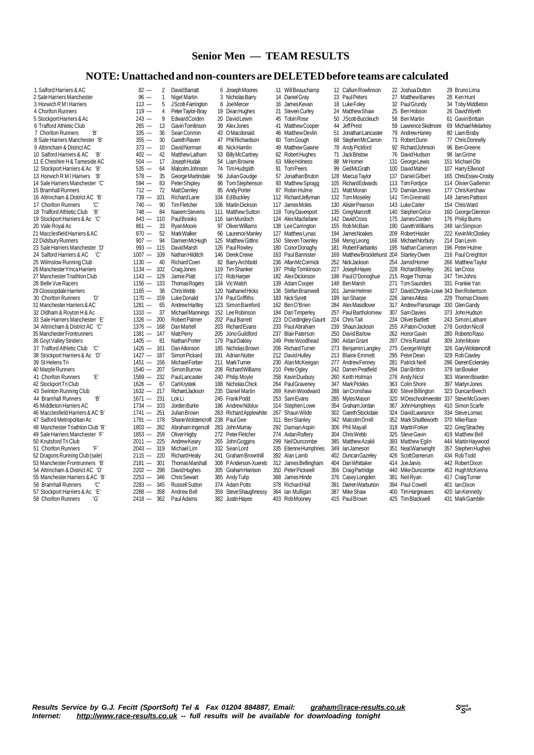### **Senior Men — TEAM RESULTS**

### **NOTE:Unattached and non-counters are DELETEDbefore teams are calculated**

| 1 Salford Harriers & AC           | 82<br>$\overline{\phantom{0}}$   | $\overline{2}$ | David Barratt                   |     | 6 Joseph Moores         |     | 11 Will Beauchamp       |     | 12 Callum Rowlinson   |     | 22 Joshua Dutton                      |     | 29 Bruno Lima          |
|-----------------------------------|----------------------------------|----------------|---------------------------------|-----|-------------------------|-----|-------------------------|-----|-----------------------|-----|---------------------------------------|-----|------------------------|
| 2 Sale Harriers Manchester        | 96<br>$\overline{\phantom{0}}$   | 1              | Nigel Martin                    |     | 3 Nicholas Barry        | 14  | Daniel Gray             | 23  | Paul Peters           |     | 27 Matthew Barnes                     |     | 28 Ken Hunt            |
| 3 Horwich R M I Harriers          | $113 -$                          | 5              | J Scott-Farrington              |     | 8 JoeMercer             | 16  | James Kevan             |     | 18 Luke Foley         |     | 32 Paul Grundy                        |     | 34 Toby Middleton      |
| 4 Chorlton Runners                | $119 -$                          | 4              | Peter Taylor-Bray               |     | 19 Dean Hughes          | 21  | <b>Steven Curley</b>    |     | 24 Matthew Shaw       |     | 25 Ben Hobson                         |     | 26 David Wyeth         |
| 5 Stockport Harriers & Ac         | $243 -$                          | 9              | Edward Corden                   |     | 20 David Lewin          | 45  | <b>Tobin Rose</b>       | 50  | JScott-Buccleuch      | 58  | <b>BenMartin</b>                      | 61  | Gavin Brittain         |
| 6 Trafford Athletic Club          | 265<br>$\overline{\phantom{m}}$  | 13             | <b>GavinTomlinson</b>           |     | 39 Alex Jones           | 41  | Matthew Cooper          | 44  | <b>JeffPrest</b>      | 59  | Lawrence Skidmore                     | 69  | <b>MichaelMelarkey</b> |
| Έ,<br>7 Chorlton Runners          | 335<br>$\overline{\phantom{m}}$  | 36             | Sean Connon                     |     | 43 OMacdonald           | 46  | <b>Matthew Devlin</b>   | 51  | Jonathan Lancaster    |     | 79 Andrew Haney                       |     | 80 Liam Braby          |
| 8 Sale Harriers Manchester 'B     | 355<br>$\overline{\phantom{0}}$  | 30             | Gareth Raven                    |     | 47 Phil Richardson      | 60  | Tom Gough               | 68  | Stephen McCarron      |     | 73 Robert Dunn                        |     | 77 Chris Donnelly      |
| 9 Altrincham & District AC        | $373 -$                          | 10             | DavidNorman                     | 48  | Nick Hamlin             | 49  | <b>Matthew Gawne</b>    |     | 78 Andy Pickford      |     | 92 Richard Johnson                    | 96  | <b>Ben Greene</b>      |
| Έ<br>10 Salford Harriers & AC     | $402 -$                          | 42             | Matthew Latham                  |     | 53 Billy McCartney      | 62  | Robert Hughes           | 71  | Jack Bristow          |     | 76 David Hudson                       |     | 98 Ian Grime           |
| 11 E Cheshire H & Tameside AC     | 504<br>$\overline{\phantom{m}}$  | 17             | <b>JosephHudak</b>              |     | 54 Liam Browne          |     | 63 Mike Holness         | 88  | Mr Horner             |     | 131 George Lewis                      |     | 151 Michael Obi        |
| 12 Stockport Harriers & Ac 'B'    | 535<br>$\overline{\phantom{0}}$  | 64             | Malcolm Johnson                 |     | 74 Tim Hudspith         | 91  | <b>Tom Peers</b>        | 99  | GedMcGrath            | 100 | David Maher                           |     | 107 Harry Ellwood      |
| 13 Horwich R M I Harriers 'B'     | 578<br>$\overline{\phantom{m}}$  | 35             | George Martindale               | 56  | Julian Goudge           | 57  | Jonathan Bruton         | 128 | Marcus Taylor         | 137 | Daniel Gilbert                        | 165 | Chris Essex-Crosby     |
| 14 Sale Harriers Manchester 'C'   | $\overline{\phantom{0}}$<br>594  | 83             | Peter Shipley                   |     | 86 Tom Stephenson       | 93  | Matthew Spragg          | 105 | <b>RichardEdwards</b> |     | 113 Tom Fordvce                       |     | 114 Olivier Gaillemin  |
| 15 Bramhall Runners               | 712<br>$\overline{\phantom{0}}$  | 72             | <b>MattDarnley</b>              |     | 85 Andy Porter          | 87  | Robin Hulme             | 121 | Matt Moran            | 170 | Damian Jones                          |     | 177 Chris Kershaw      |
| 16 Altrincham & District AC 'B'   | 739<br>$\qquad \qquad -$         | 101            | <b>Richard Lane</b>             |     | 104 EdBuckley           | 112 | Richard Jellyman        | 132 | Tom Moseley           | 141 | Tim Greenald                          |     | 149 James Pattison     |
|                                   |                                  |                |                                 |     |                         |     |                         |     |                       |     |                                       |     |                        |
| 17 Chorlton Runners<br>۴С         | $740 -$                          | 90             | <b>Tim Fletcher</b>             |     | 106 Martin Dickson      | 117 | James Moles             | 130 | Alister Pearson       |     | 143 LukeCarter                        |     | 154 Chris Ward         |
| 'B'<br>18 Trafford Athletic Club  | 748<br>$\qquad \qquad -$         | 84             | Naeem Stevens                   |     | 111 Matthew Sutton      | 118 | <b>Tony Davenport</b>   | 135 | <b>GregMarcroft</b>   | 140 | Stephen Grice                         |     | 160 George Glennon     |
| 19 Stockport Harriers & Ac 'C     | $843 - 110$                      |                | Paul Brooks                     | 116 | lain Murdoch            | 124 | Alex Macfarlane         | 142 | DavidCross            | 175 | James Corden                          |     | 176 Philip Burns       |
| 20 Vale Royal Ac                  | $861 -$                          | 33             | Rvan Moore                      | 97  | Oliver Williams         | 138 | Lee Carrington          |     | 155 RobMcBain         | 190 | Gareth Williams                       |     | 248 Ian Simpson        |
| 21 Macclesfield Harriers & AC     | 870<br>$\overline{\phantom{0}}$  | 52             | <b>MarkWalker</b>               |     | 66 Laurence Manley      |     | 127 Matthew Lynas       | 194 | James Noakes          | 209 | <b>RobertHasler</b>                   |     | 222 KevinMcCloskey     |
| 22 Didsbury Runners               | 907<br>$\overline{\phantom{m}}$  | 94             | Damien McHugh                   |     | 125 Matthew Gittins     | 150 | <b>Steven Townley</b>   | 158 | Meng Leong            |     | 166 Michael Norbury                   |     | 214 Dan Levin          |
| 23 Sale Harriers Manchester 'D'   | 993                              | $-115$         | DavidMarsh                      |     | 126 Paul Rowley         | 180 | Conor Donaghy           | 181 | Robert Fairbanks      |     | 195 Nathan Cameron                    |     | 196 Peter Hulme        |
| 24 Salford Harriers & AC<br>۰C    | 1007<br>$-$                      | 109            | Nathan Hilditch                 |     | 146 Derek Crewe         | 163 | Paul Bannister          | 169 | Matthew Brocklehurst  | 204 | <b>Stanley Owen</b>                   |     | 216 Paul Creighton     |
| 25 Wilmslow Running Club          | 1130<br>$\qquad \qquad -$        | 40             | Richard Coen                    |     | 82 Barry Archbold       | 236 | AllanMcCormick          | 252 | NickJackson           | 254 | JarrodHomer                           |     | 266 Matthew Taylor     |
| 26 Manchester Ymca Harriers       | 1134<br>$\overline{\phantom{m}}$ | 102            | Craig Jones                     |     | 119 Tim Shanker         | 197 | <b>Philip Tomkinson</b> | 227 | <b>Joseph Hayes</b>   |     | 228 Richard Brierlev                  |     | 261 Ian Cross          |
| 27 Manchester Triathlon Club      | $1143 - 129$                     |                | Jamie Platt                     |     | 172 Rob Harper          | 182 | Alex Dickinson          | 198 | PaulO'Donoghue        | 215 | Roger Thomas                          |     | 247 Tim Johns          |
| 28 Belle Vue Racers               | $1156 -$                         | 133            | Thomas Rogers                   |     | 134 VicWalsh            | 139 | Adam Cooper             | 148 | Ben Marsh             |     | 271 Tom Saunders                      |     | 331 Frankie Yan        |
| 29 Glossopdale Harriers           | 1165<br>$\overline{\phantom{m}}$ | 38             | Chris Webb                      |     | 120 Nathaniel Hicks     | 136 | Stefan Bramwell         | 201 | Jamie Helmer          | 327 | David Chrystie-Lowe 343 Ben Robertson |     |                        |
| 'D'<br>30 Chorlton Runners        | $1170 -$                         | 159            | Luke Donald                     |     | 174 Paul Griffiths      | 183 | Nick Syrett             | 199 | lan Sharpe            | 226 | <b>James Atkiss</b>                   |     | 229 Thomas Clowes      |
| 31 Manchester Harriers & AC       | $1281 -$                         | 65             | Andrew Hartley                  |     | 123 Simon Bareford      |     | 162 Ben O'Brien         |     | 284 AlexMasidlover    |     | 317 Andrew Parsonage                  |     | 330 Glen Gandy         |
| 32 Oldham & Royton H & Ac         | 1310<br>$\overline{\phantom{0}}$ | 37             | Michael Mannings                |     | 152 Lee Robinson        | 184 | Dan Timperley           | 257 | Paul Bartholomew      | 307 | Sam Davies                            |     | 373 John Hudson        |
| 33 Sale Harriers Manchester 'E'   | 1326<br>$-$                      | 200            | <b>Robert Palmer</b>            |     | 202 Paul Barrett        | 223 | D Cordingley-Gaunt      | 224 | <b>Chris Tait</b>     | 234 | <b>Oliver Bartlett</b>                |     | 243 Simon Latham       |
| 34 Altrincham & District AC 'C'   | $1376 - 168$                     |                | Dan Martell                     |     | 203 Richard Evans       | 233 | Paul Abraham            | 239 | Shaun Jackson         |     | 255 A Paton-Crockett                  |     | 278 Gordon Nicoll      |
| 35 Manchester Frontrunners        | $1381 - 147$                     |                | Matt Perry                      |     | 205 Jono Guildford      |     | 237 Blair Paterson      | 250 | David Barlow          |     | 262 Honor Gavin                       |     | 280 Roberto Raso       |
| 36 Goyt Valley Striders           | 1405<br>$\qquad \qquad -$        | 81             | Nathan Porter                   | 179 | Paul Oakley             | 249 | Pete Woodhead           | 290 | Aidan Grant           |     | 297 Chris Randall                     |     | 309 John Moore         |
| 37 Trafford Athletic Club<br>'C'  | 1426<br>$-$                      | 161            | Dan Atkinson                    |     | 185 Nicholas Brown      | 206 | <b>Richard Turner</b>   | 273 | Benjamin Langley      | 275 | <b>George Wright</b>                  |     | 326 Gary Wolstencroft  |
| 38 Stockport Harriers & Ac 'D     | 1427<br>$\overline{\phantom{m}}$ | 187            | Simon Pickard                   | 191 | <b>Adrian Nutter</b>    |     | 212 David Hulley        | 213 | <b>Blaine Emmett</b>  | 295 | Peter Dean                            |     | 329 Rob Cawley         |
| 39 St Helens Tri                  | 1451<br>$\overline{\phantom{0}}$ | 156            | Michael Forber                  | 211 | MarkTurner              | 230 | Alan McKeegan           | 277 | Andrew Fenney         | 281 | <b>Patrick Neill</b>                  |     | 296 Darren Eckersley   |
| 40 Marple Runners                 | 1540<br>$\overline{\phantom{m}}$ | 207            | Simon Burrow                    | 208 | <b>Richard Williams</b> | 210 |                         | 242 | Darren Peatfield      |     | 294 Dan Britton                       |     | 379 lan Bowker         |
| Έ                                 |                                  | $-232$         |                                 |     |                         |     | Pete Ogley              | 260 |                       |     |                                       |     |                        |
| 41 Chorlton Runners               | 1569                             |                | PaulLancaster                   |     | 240 Philip Moyle        | 258 | Kevin Duxbury           |     | Keith Holman          |     | 276 Andy Nicol                        |     | 303 Warren Bowden      |
| 42 Stockport Tri Club             | 1626<br>$\qquad \qquad -$        | 67             | <b>Carl Krystek</b>             |     | 188 Nicholas Chick      | 264 | Paul Graveney           |     | 347 Mark Pickles      | 363 | <b>Colin Shore</b>                    |     | 397 Martyn Jones       |
| 43 Swinton Running Club           | 1632<br>$\overline{\phantom{0}}$ | 217            | RichardJackson                  |     | 235 Daniel Martin       | 269 | Kevin Woodward          | 288 | lan Cronshaw          | 300 | Steve Billington                      |     | 323 Duncan Beech       |
| Έ,<br>44 Bramhall Runners         | $1671 -$                         | 231            | Lok Li                          |     | 245 Frank Podd          | 253 | Sam Evans               | 285 | Myles Mason           | 320 | M Deschoolmeester                     |     | 337 SteveMcGovern      |
| 45 Middleton Harriers AC          | 1734<br>$\overline{\phantom{0}}$ | 103            | Jorden Burke                    |     | 186 Andrew Ndoluv       | 314 | Stephen Lowe            | 354 | Graham Jordan         | 367 | John Humphreys                        |     | 410 Simon Scarfe       |
| 46 Macclesfield Harriers & AC 'B' | 1741<br>$\overline{\phantom{m}}$ | 251            | Julian Brown                    |     | 263 Richard Applewhite  | 267 | Shaun Wilde             | 302 | Gareth Stockdale      |     | 324 David Lawrance                    |     | 334 Steve Lomas        |
| 47 Salford Metropolitan Ac        | $1791 -$                         | 178            | Shane Wolstencroft 238 Paul Gee |     |                         | 311 | <b>Ben Stanley</b>      |     | 342 Malcolm Orrell    | 352 | Mark Shuttleworth                     |     | 370 MikeRace           |
| 48 Manchester Triathlon Club 'B   | 1803                             | $-282$         | Abraham Ingersoll               | 283 | John Murrav             | 292 | Damian Aspin            | 306 | Phil Mayall           |     | 318 Martin Forker                     |     | 322 Greg Strachey      |
| 49 Sale Harriers Manchester 'F'   | 1853<br>$\overline{\phantom{0}}$ | 259            | Oliver Higby                    |     | 272 Peter Fletcher      | 274 | Aidan Raftery           | 304 | Chris Webb            | 325 | Steve Gavin                           |     | 419 Matthew Bell       |
| 50 Knutsford Tri Club             | 2011<br>$\overline{\phantom{m}}$ | 225            | Andrew Keary                    | 265 | John Goggins            | 299 | Neil Duncombe           | 385 | Matthew Azakli        | 393 | <b>Matthew Eglin</b>                  |     | 444 Martin Haywood     |
| 'F'<br>51 Chorlton Runners        | $2043 - 319$                     |                | Michael Lim                     |     | 332 Sean Lord           | 335 | Etienne Humphries       | 349 | lan Jameson           | 351 | Neal Wainwright                       |     | 357 Stephen Hughes     |
| 52 Dragons Running Club (sale)    | $2115 -$                         | 220            | <b>Richard Healy</b>            | 241 | <b>Graham Brownhill</b> |     | 392 Alan Lamb           |     | 402 Duncan Gazeley    | 426 | Scott Damerum                         |     | 434 Rob Todd           |
| 53 Manchester Frontrunners 'B'    | 2181<br>$\qquad \qquad -$        | 301            | <b>Thomas Marshall</b>          | 308 | P Anderson-Xuereb       | 312 | James Bellingham        |     | 404 Dan Whittaker     | 414 | JoeJarvis                             |     | 442 Robert Dixon       |
| 54 Altrincham & District AC 'D'   | 2202<br>$-$                      | 298            | DavidHughes                     |     | 305 Graham Harrison     | 350 | Peter Pickwell          | 356 | CraigPartridge        |     | 440 MikeDuncombe                      |     | 453 Hugh McKenna       |
| 55 Manchester Harriers & AC 'B'   | 2253<br>$\overline{\phantom{m}}$ | 346            | <b>Chris Sewart</b>             |     | 365 Andy Tulip          | 368 | James Hinde             | 376 | Casey Longden         |     | 381 Neil Ryan                         |     | 417 Craig Turner       |
| 56 Bramhall Runners<br>'С'        | 2283<br>$\overline{\phantom{0}}$ | 345            | <b>Russell Sutton</b>           | 374 | Adam Potts              | 378 | <b>Richard Hall</b>     | 391 | Darren Warburton      | 394 | Paul Cowell                           |     | 401 Ian Dixon          |
| Έ<br>57 Stockport Harriers & Ac   | 2288<br>$\overline{\phantom{0}}$ | 358            | Andrew Bell                     |     | 359 Steve Shaughnessy   | 364 | lan Mulligan            |     | 387 Mike Shaw         | 400 | Tim Hargreaves                        |     | 420 Ian Kennedy        |
| 58 Chorlton Runners<br>'ና'        | $2418 - 362$                     |                | Paul Adams                      |     | 382 Justin Hayes        |     | 403 RobMooney           |     | 415 Paul Brown        |     | 425 Tim Blackwell                     |     | 431 Mark Gamblin       |
|                                   |                                  |                |                                 |     |                         |     |                         |     |                       |     |                                       |     |                        |